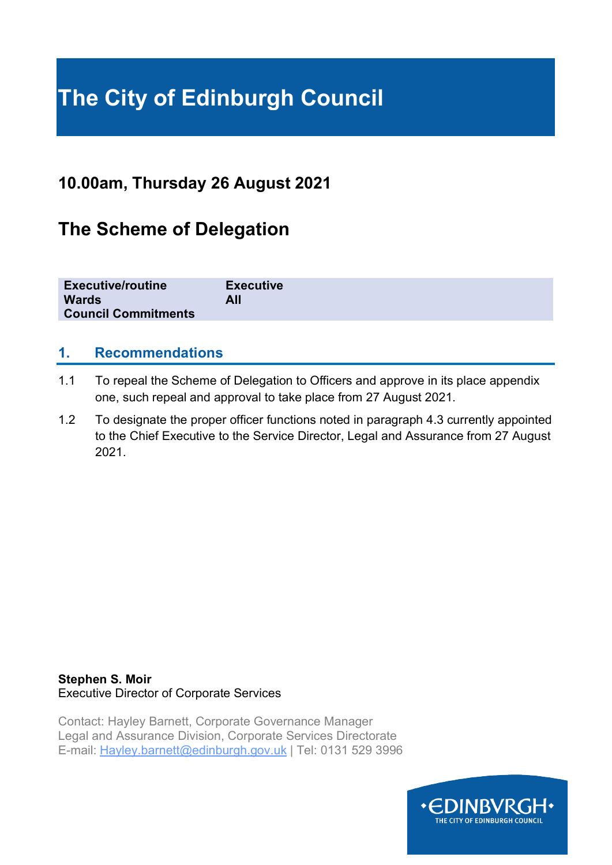# **The City of Edinburgh Council**

## **10.00am, Thursday 26 August 2021**

## **The Scheme of Delegation**

| <b>Executive/routine</b>   | <b>Executive</b> |
|----------------------------|------------------|
| <b>Wards</b>               | All              |
| <b>Council Commitments</b> |                  |

### **1. Recommendations**

- 1.1 To repeal the Scheme of Delegation to Officers and approve in its place appendix one, such repeal and approval to take place from 27 August 2021.
- 1.2 To designate the proper officer functions noted in paragraph 4.3 currently appointed to the Chief Executive to the Service Director, Legal and Assurance from 27 August 2021.

### **Stephen S. Moir**  Executive Director of Corporate Services

Contact: Hayley Barnett, Corporate Governance Manager Legal and Assurance Division, Corporate Services Directorate E-mail: Hayley.barnett@edinburgh.gov.uk | Tel: 0131 529 3996

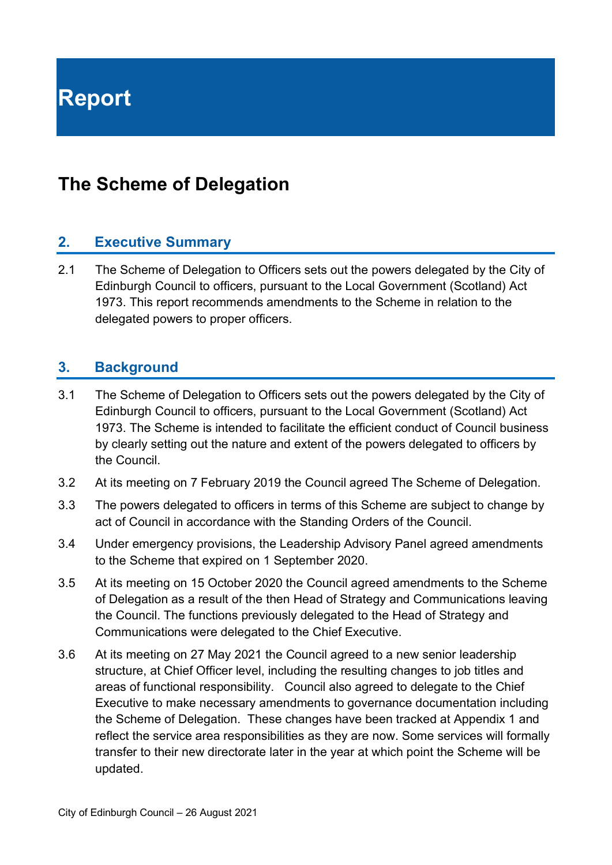**Report**

## **The Scheme of Delegation**

### **2. Executive Summary**

2.1 The Scheme of Delegation to Officers sets out the powers delegated by the City of Edinburgh Council to officers, pursuant to the Local Government (Scotland) Act 1973. This report recommends amendments to the Scheme in relation to the delegated powers to proper officers.

### **3. Background**

- 3.1 The Scheme of Delegation to Officers sets out the powers delegated by the City of Edinburgh Council to officers, pursuant to the Local Government (Scotland) Act 1973. The Scheme is intended to facilitate the efficient conduct of Council business by clearly setting out the nature and extent of the powers delegated to officers by the Council.
- 3.2 At its meeting on 7 February 2019 the Council agreed The Scheme of Delegation.
- 3.3 The powers delegated to officers in terms of this Scheme are subject to change by act of Council in accordance with the Standing Orders of the Council.
- 3.4 Under emergency provisions, the Leadership Advisory Panel agreed amendments to the Scheme that expired on 1 September 2020.
- 3.5 At its meeting on 15 October 2020 the Council agreed amendments to the Scheme of Delegation as a result of the then Head of Strategy and Communications leaving the Council. The functions previously delegated to the Head of Strategy and Communications were delegated to the Chief Executive.
- 3.6 At its meeting on 27 May 2021 the Council agreed to a new senior leadership structure, at Chief Officer level, including the resulting changes to job titles and areas of functional responsibility. Council also agreed to delegate to the Chief Executive to make necessary amendments to governance documentation including the Scheme of Delegation. These changes have been tracked at Appendix 1 and reflect the service area responsibilities as they are now. Some services will formally transfer to their new directorate later in the year at which point the Scheme will be updated.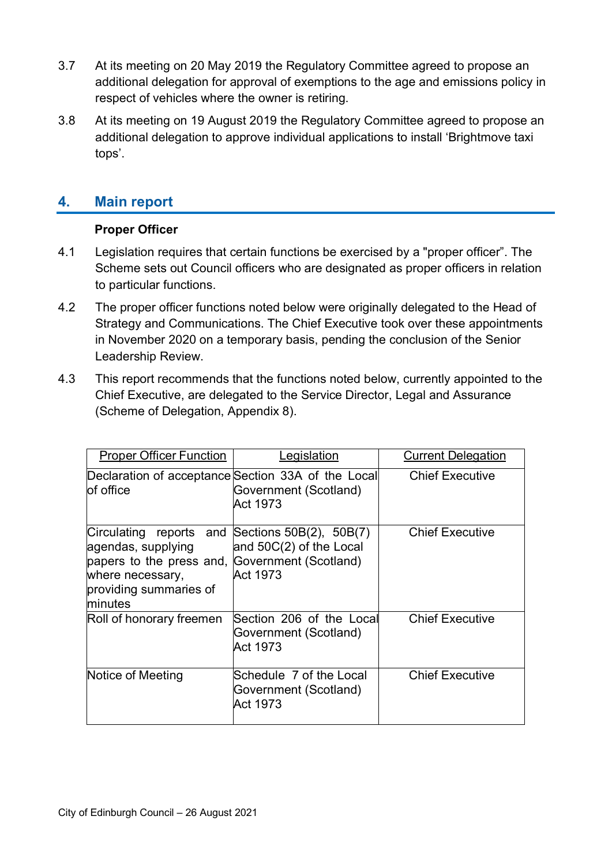- 3.7 At its meeting on 20 May 2019 the Regulatory Committee agreed to propose an additional delegation for approval of exemptions to the age and emissions policy in respect of vehicles where the owner is retiring.
- 3.8 At its meeting on 19 August 2019 the Regulatory Committee agreed to propose an additional delegation to approve individual applications to install 'Brightmove taxi tops'.

### **4. Main report**

### **Proper Officer**

- 4.1 Legislation requires that certain functions be exercised by a "proper officer". The Scheme sets out Council officers who are designated as proper officers in relation to particular functions.
- 4.2 The proper officer functions noted below were originally delegated to the Head of Strategy and Communications. The Chief Executive took over these appointments in November 2020 on a temporary basis, pending the conclusion of the Senior Leadership Review.
- 4.3 This report recommends that the functions noted below, currently appointed to the Chief Executive, are delegated to the Service Director, Legal and Assurance (Scheme of Delegation, Appendix 8).

| <b>Proper Officer Function</b>                                                                                                                                                   | _egislation                                                                             | <b>Current Delegation</b> |
|----------------------------------------------------------------------------------------------------------------------------------------------------------------------------------|-----------------------------------------------------------------------------------------|---------------------------|
| lof office                                                                                                                                                                       | Declaration of acceptance Section 33A of the Local<br>Government (Scotland)<br>Act 1973 | <b>Chief Executive</b>    |
| Circulating reports and Sections 50B(2), 50B(7)<br>agendas, supplying<br>papers to the press and, Government (Scotland)<br>where necessary,<br>providing summaries of<br>minutes | and 50C(2) of the Local<br>Act 1973                                                     | <b>Chief Executive</b>    |
| Roll of honorary freemen                                                                                                                                                         | Section 206 of the Local<br>Government (Scotland)<br>Act 1973                           | <b>Chief Executive</b>    |
| Notice of Meeting                                                                                                                                                                | Schedule 7 of the Local<br>Government (Scotland)<br>Act 1973                            | <b>Chief Executive</b>    |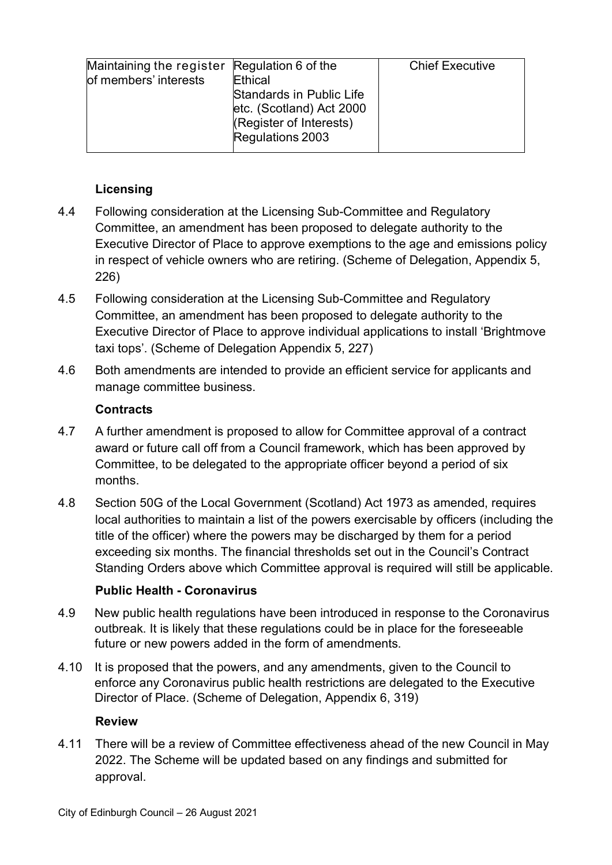| Maintaining the register Regulation 6 of the |                          | <b>Chief Executive</b> |
|----------------------------------------------|--------------------------|------------------------|
| of members' interests                        | Ethical                  |                        |
|                                              |                          |                        |
|                                              | Standards in Public Life |                        |
|                                              | etc. (Scotland) Act 2000 |                        |
|                                              | (Register of Interests)  |                        |
|                                              | Regulations 2003         |                        |
|                                              |                          |                        |

### **Licensing**

- 4.4 Following consideration at the Licensing Sub-Committee and Regulatory Committee, an amendment has been proposed to delegate authority to the Executive Director of Place to approve exemptions to the age and emissions policy in respect of vehicle owners who are retiring. (Scheme of Delegation, Appendix 5, 226)
- 4.5 Following consideration at the Licensing Sub-Committee and Regulatory Committee, an amendment has been proposed to delegate authority to the Executive Director of Place to approve individual applications to install 'Brightmove taxi tops'. (Scheme of Delegation Appendix 5, 227)
- 4.6 Both amendments are intended to provide an efficient service for applicants and manage committee business.

### **Contracts**

- 4.7 A further amendment is proposed to allow for Committee approval of a contract award or future call off from a Council framework, which has been approved by Committee, to be delegated to the appropriate officer beyond a period of six months.
- 4.8 Section 50G of the Local Government (Scotland) Act 1973 as amended, requires local authorities to maintain a list of the powers exercisable by officers (including the title of the officer) where the powers may be discharged by them for a period exceeding six months. The financial thresholds set out in the Council's Contract Standing Orders above which Committee approval is required will still be applicable.

### **Public Health - Coronavirus**

- 4.9 New public health regulations have been introduced in response to the Coronavirus outbreak. It is likely that these regulations could be in place for the foreseeable future or new powers added in the form of amendments.
- 4.10 It is proposed that the powers, and any amendments, given to the Council to enforce any Coronavirus public health restrictions are delegated to the Executive Director of Place. (Scheme of Delegation, Appendix 6, 319)

### **Review**

4.11 There will be a review of Committee effectiveness ahead of the new Council in May 2022. The Scheme will be updated based on any findings and submitted for approval.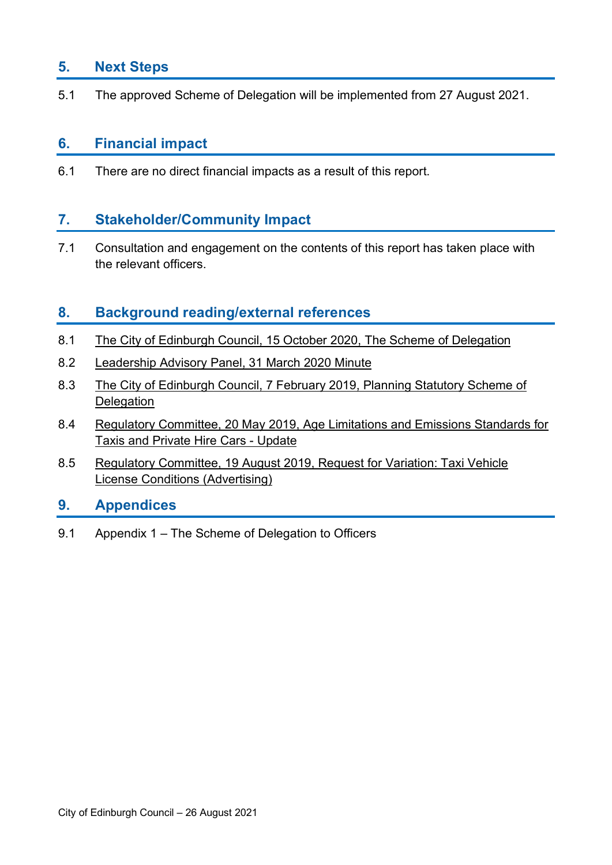### **5. Next Steps**

5.1 The approved Scheme of Delegation will be implemented from 27 August 2021.

### **6. Financial impact**

6.1 There are no direct financial impacts as a result of this report.

### **7. Stakeholder/Community Impact**

7.1 Consultation and engagement on the contents of this report has taken place with the relevant officers.

### **8. Background reading/external references**

- 8.1 [The City of Edinburgh Council, 15 October 2020, The Scheme of Delegation](https://democracy.edinburgh.gov.uk/ieListDocuments.aspx?CId=150&MId=5592)
- 8.2 [Leadership Advisory Panel, 31 March 2020 Minute](https://democracy.edinburgh.gov.uk/ieListDocuments.aspx?CId=162&MId=5491&Ver=4)
- 8.3 [The City of Edinburgh Council, 7 February 2019, Planning Statutory Scheme of](https://democracy.edinburgh.gov.uk/CeListDocuments.aspx?MID=1022&RD=Meeting&DF=07%2f02%2f2019&A=1&R=0)  **Delegation**
- 8.4 [Regulatory Committee, 20 May 2019, Age Limitations and Emissions Standards for](https://democracy.edinburgh.gov.uk/CeListDocuments.aspx?CommitteeId=144&MeetingId=4155&DF=20%2F05%2F2019&Ver=2)  [Taxis and Private Hire Cars -](https://democracy.edinburgh.gov.uk/CeListDocuments.aspx?CommitteeId=144&MeetingId=4155&DF=20%2F05%2F2019&Ver=2) Update
- 8.5 [Regulatory Committee, 19 August 2019, Request for Variation: Taxi Vehicle](https://democracy.edinburgh.gov.uk/ieListDocuments.aspx?CId=144&MId=370&Ver=4)  License [Conditions \(Advertising\)](https://democracy.edinburgh.gov.uk/ieListDocuments.aspx?CId=144&MId=370&Ver=4)

### **9. Appendices**

9.1 Appendix 1 – The Scheme of Delegation to Officers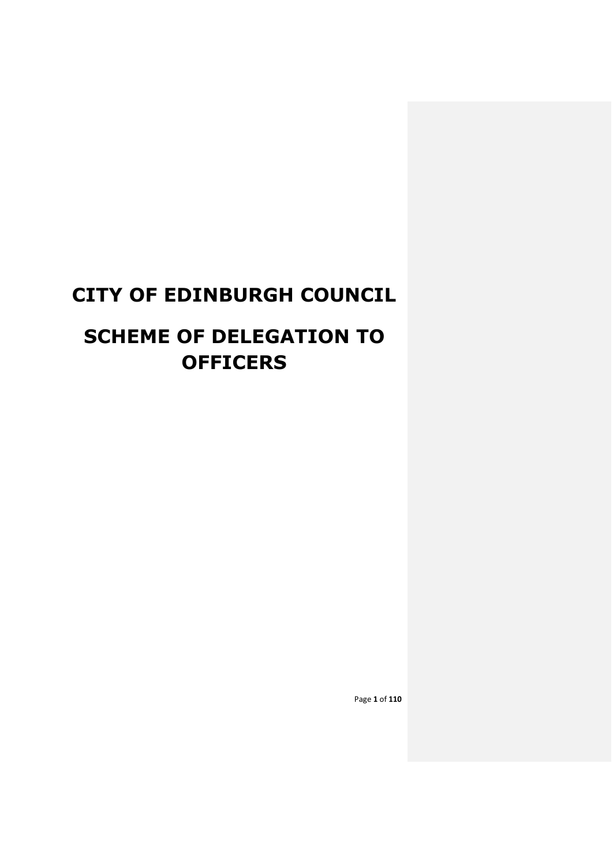# **CITY OF EDINBURGH COUNCIL**

# **SCHEME OF DELEGATION TO OFFICERS**

Page **1** of **110**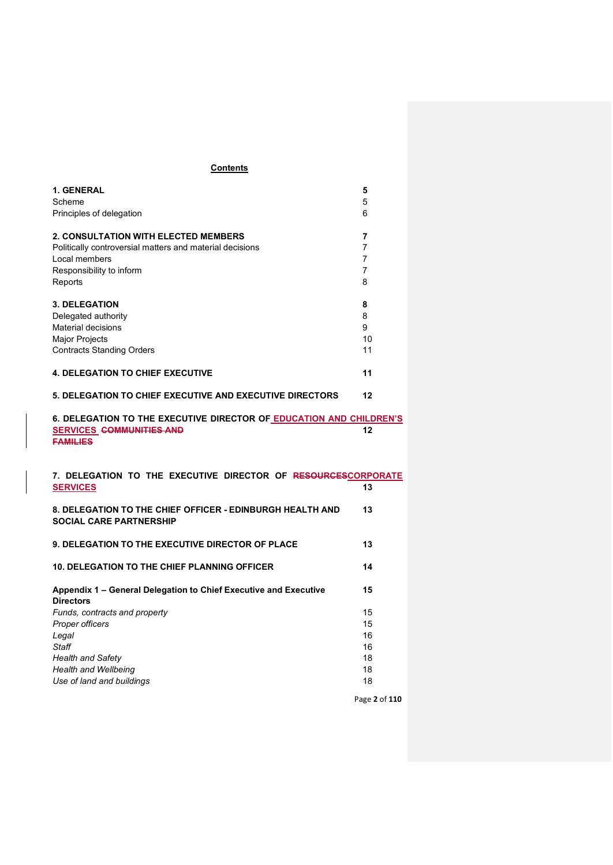#### **Contents**

| 1. GENERAL<br>Scheme<br>Principles of delegation                                                                                                                | 5<br>5<br>6             |
|-----------------------------------------------------------------------------------------------------------------------------------------------------------------|-------------------------|
| <b>2. CONSULTATION WITH ELECTED MEMBERS</b><br>Politically controversial matters and material decisions<br>Local members<br>Responsibility to inform<br>Reports | 7<br>7<br>7<br>7<br>8   |
| <b>3. DELEGATION</b><br>Delegated authority<br><b>Material decisions</b><br><b>Major Projects</b><br><b>Contracts Standing Orders</b>                           | 8<br>8<br>9<br>10<br>11 |
| <b>4. DELEGATION TO CHIEF EXECUTIVE</b>                                                                                                                         | 11                      |
| <b>5. DELEGATION TO CHIEF EXECUTIVE AND EXECUTIVE DIRECTORS</b>                                                                                                 | 12                      |
| 6. DELEGATION TO THE EXECUTIVE DIRECTOR OF EDUCATION AND CHILDREN'S<br><b>SERVICES COMMUNITIES AND</b><br><b>FAMILIES</b>                                       | 12                      |
| 7. DELEGATION TO THE EXECUTIVE DIRECTOR OF RESOURCESCORPORATE<br><b>SERVICES</b>                                                                                | 13                      |
| 8. DELEGATION TO THE CHIEF OFFICER - EDINBURGH HEALTH AND<br><b>SOCIAL CARE PARTNERSHIP</b>                                                                     | 13                      |
| <b>9. DELEGATION TO THE EXECUTIVE DIRECTOR OF PLACE</b>                                                                                                         |                         |
|                                                                                                                                                                 | 13                      |
| <b>10. DELEGATION TO THE CHIEF PLANNING OFFICER</b>                                                                                                             | 14                      |
| Appendix 1 – General Delegation to Chief Executive and Executive<br><b>Directors</b>                                                                            | 15                      |
| Funds, contracts and property                                                                                                                                   | 15                      |
| Proper officers                                                                                                                                                 | 15                      |
| Legal                                                                                                                                                           | 16                      |
| <b>Staff</b>                                                                                                                                                    | 16                      |
| <b>Health and Safety</b>                                                                                                                                        | 18                      |
| Health and Wellbeing<br>Use of land and buildings                                                                                                               | 18<br>18                |

Page **2** of **110**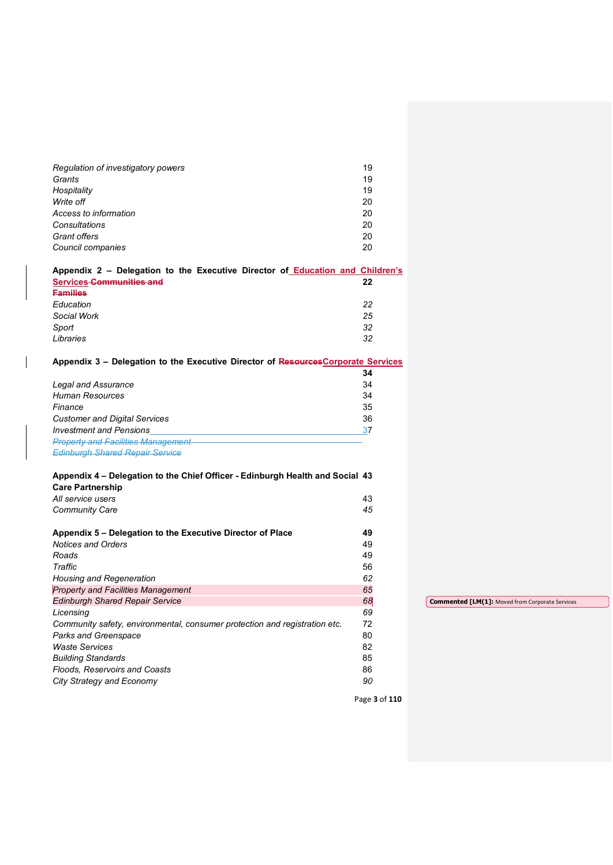| Regulation of investigatory powers                                                | 19            |                                                        |
|-----------------------------------------------------------------------------------|---------------|--------------------------------------------------------|
| Grants                                                                            | 19            |                                                        |
| Hospitality                                                                       | 19            |                                                        |
| Write off                                                                         | 20            |                                                        |
| Access to information                                                             | 20            |                                                        |
| Consultations                                                                     | 20            |                                                        |
| Grant offers                                                                      | 20            |                                                        |
| Council companies                                                                 | 20            |                                                        |
| Appendix 2 - Delegation to the Executive Director of Education and Children's     |               |                                                        |
| <b>Services-Communities and</b>                                                   | 22            |                                                        |
| <b>Families</b>                                                                   |               |                                                        |
| Education                                                                         | 22            |                                                        |
| Social Work                                                                       | 25            |                                                        |
| Sport                                                                             | 32            |                                                        |
| Libraries                                                                         | 32            |                                                        |
|                                                                                   |               |                                                        |
| Appendix 3 - Delegation to the Executive Director of Resources Corporate Services |               |                                                        |
|                                                                                   | 34            |                                                        |
| <b>Legal and Assurance</b>                                                        | 34            |                                                        |
| <b>Human Resources</b>                                                            | 34            |                                                        |
| Finance                                                                           | 35            |                                                        |
| <b>Customer and Digital Services</b>                                              | 36            |                                                        |
| <b>Investment and Pensions</b>                                                    | 37            |                                                        |
| <b>Property and Facilities Management</b>                                         |               |                                                        |
| <b>Edinburgh Shared Repair Service</b>                                            |               |                                                        |
|                                                                                   |               |                                                        |
| Appendix 4 - Delegation to the Chief Officer - Edinburgh Health and Social 43     |               |                                                        |
| <b>Care Partnership</b>                                                           |               |                                                        |
| All service users                                                                 | 43            |                                                        |
| <b>Community Care</b>                                                             | 45            |                                                        |
|                                                                                   |               |                                                        |
| Appendix 5 - Delegation to the Executive Director of Place                        | 49            |                                                        |
| <b>Notices and Orders</b>                                                         | 49            |                                                        |
| Roads                                                                             | 49            |                                                        |
| Traffic                                                                           | 56            |                                                        |
| Housing and Regeneration                                                          | 62            |                                                        |
| <b>Property and Facilities Management</b>                                         | 65            |                                                        |
| <b>Edinburgh Shared Repair Service</b>                                            | 68            | <b>Commented [LM(1]: Moved from Corporate Services</b> |
| Licensing                                                                         | 69            |                                                        |
| Community safety, environmental, consumer protection and registration etc.        | 72            |                                                        |
| Parks and Greenspace                                                              | 80            |                                                        |
|                                                                                   |               |                                                        |
| <b>Waste Services</b>                                                             | 82            |                                                        |
| <b>Building Standards</b>                                                         | 85            |                                                        |
| Floods, Reservoirs and Coasts                                                     | 86            |                                                        |
| City Strategy and Economy                                                         | 90            |                                                        |
|                                                                                   | Page 3 of 110 |                                                        |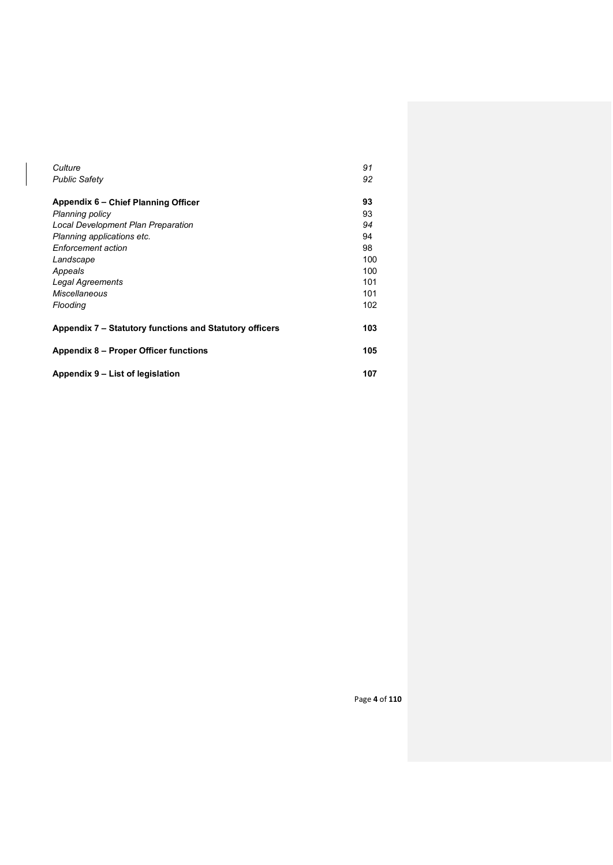| Culture                                                 | 91  |
|---------------------------------------------------------|-----|
| <b>Public Safety</b>                                    | 92  |
|                                                         |     |
| Appendix 6 – Chief Planning Officer                     | 93  |
| <b>Planning policy</b>                                  | 93  |
| Local Development Plan Preparation                      | 94  |
| Planning applications etc.                              | 94  |
| Enforcement action                                      | 98  |
| Landscape                                               | 100 |
| Appeals                                                 | 100 |
| Legal Agreements                                        | 101 |
| Miscellaneous                                           | 101 |
| Flooding                                                | 102 |
|                                                         |     |
| Appendix 7 – Statutory functions and Statutory officers | 103 |
| Appendix 8 – Proper Officer functions                   | 105 |
|                                                         |     |
| Appendix 9 – List of legislation                        | 107 |

Page **4** of **110**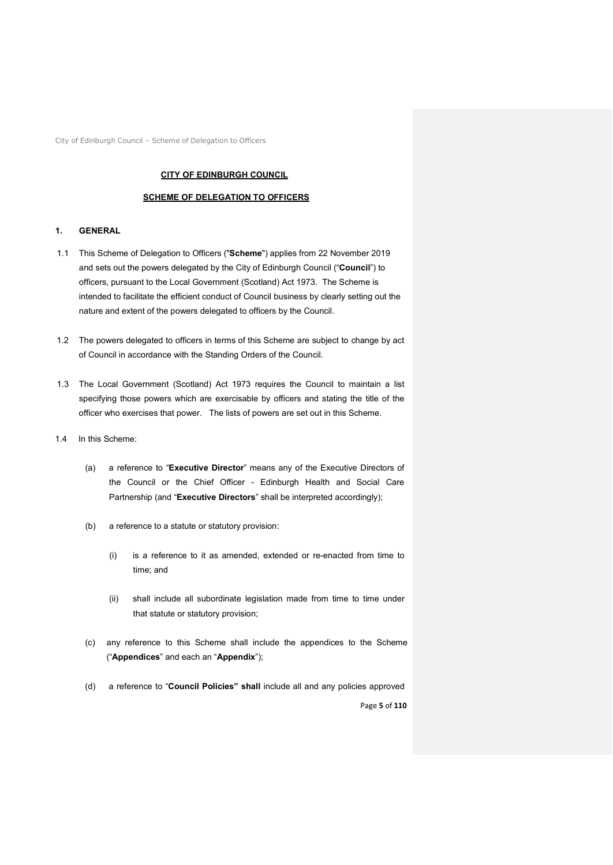City of Edinburgh Council – Scheme of Delegation to Officers

#### **CITY OF EDINBURGH COUNCIL**

#### **SCHEME OF DELEGATION TO OFFICERS**

#### **1. GENERAL**

- 1.1 This Scheme of Delegation to Officers ("**Scheme**") applies from 22 November 2019 and sets out the powers delegated by the City of Edinburgh Council ("**Council**") to officers, pursuant to the Local Government (Scotland) Act 1973. The Scheme is intended to facilitate the efficient conduct of Council business by clearly setting out the nature and extent of the powers delegated to officers by the Council.
- 1.2 The powers delegated to officers in terms of this Scheme are subject to change by act of Council in accordance with the Standing Orders of the Council.
- 1.3 The Local Government (Scotland) Act 1973 requires the Council to maintain a list specifying those powers which are exercisable by officers and stating the title of the officer who exercises that power. The lists of powers are set out in this Scheme.
- 1.4 In this Scheme:
	- (a) a reference to "**Executive Director**" means any of the Executive Directors of the Council or the Chief Officer - Edinburgh Health and Social Care Partnership (and "**Executive Directors**" shall be interpreted accordingly);
	- (b) a reference to a statute or statutory provision:
		- (i) is a reference to it as amended, extended or re-enacted from time to time; and
		- (ii) shall include all subordinate legislation made from time to time under that statute or statutory provision;
	- (c) any reference to this Scheme shall include the appendices to the Scheme ("**Appendices**" and each an "**Appendix**");
	- Page **5** of **110** (d) a reference to "**Council Policies" shall** include all and any policies approved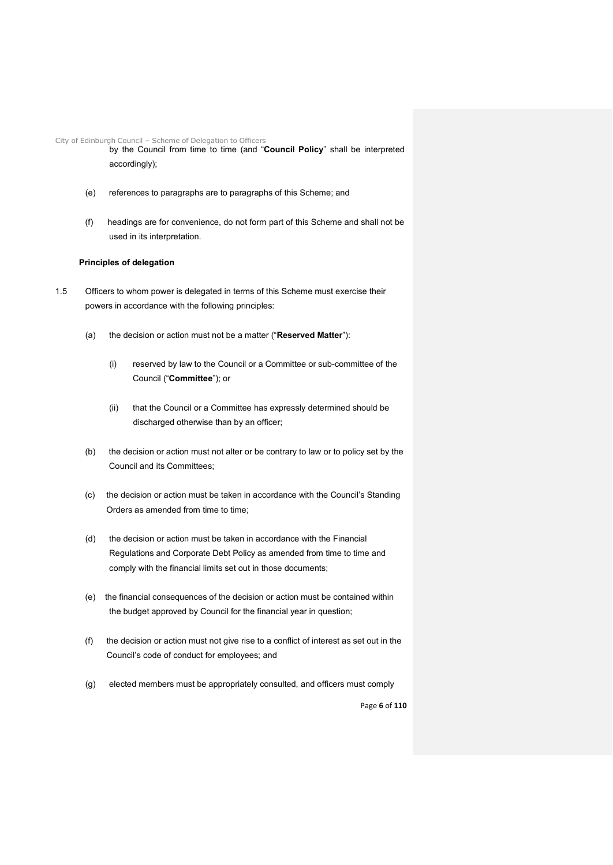City of Edinburgh Council – Scheme of Delegation to Officers

by the Council from time to time (and "**Council Policy**" shall be interpreted accordingly);

- (e) references to paragraphs are to paragraphs of this Scheme; and
- (f) headings are for convenience, do not form part of this Scheme and shall not be used in its interpretation.

#### **Principles of delegation**

- 1.5 Officers to whom power is delegated in terms of this Scheme must exercise their powers in accordance with the following principles:
	- (a) the decision or action must not be a matter ("**Reserved Matter**"):
		- (i) reserved by law to the Council or a Committee or sub-committee of the Council ("**Committee**"); or
		- (ii) that the Council or a Committee has expressly determined should be discharged otherwise than by an officer;
	- (b) the decision or action must not alter or be contrary to law or to policy set by the Council and its Committees;
	- (c) the decision or action must be taken in accordance with the Council's Standing Orders as amended from time to time;
	- (d) the decision or action must be taken in accordance with the Financial Regulations and Corporate Debt Policy as amended from time to time and comply with the financial limits set out in those documents;
	- (e) the financial consequences of the decision or action must be contained within the budget approved by Council for the financial year in question;
	- (f) the decision or action must not give rise to a conflict of interest as set out in the Council's code of conduct for employees; and
	- (g) elected members must be appropriately consulted, and officers must comply

Page **6** of **110**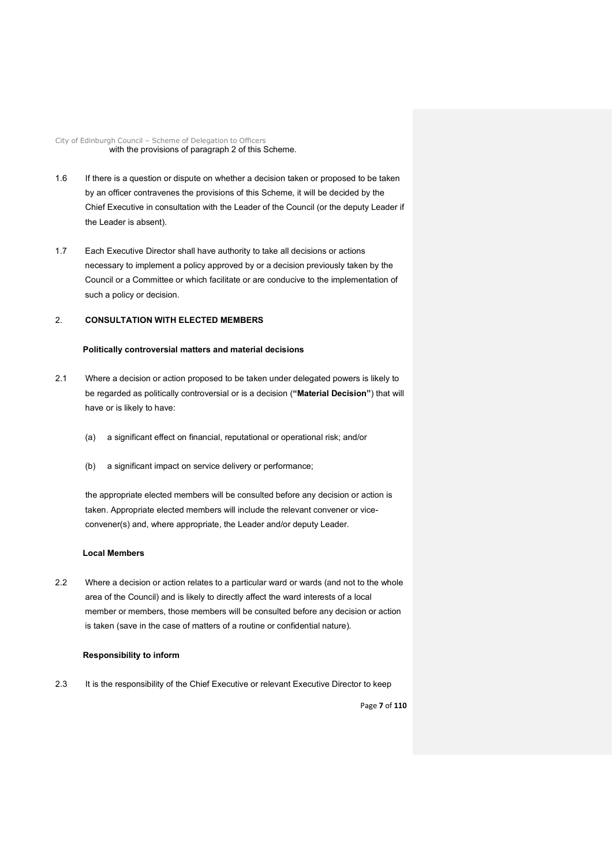City of Edinburgh Council – Scheme of Delegation to Officers with the provisions of paragraph 2 of this Scheme.

- 1.6 If there is a question or dispute on whether a decision taken or proposed to be taken by an officer contravenes the provisions of this Scheme, it will be decided by the Chief Executive in consultation with the Leader of the Council (or the deputy Leader if the Leader is absent).
- 1.7 Each Executive Director shall have authority to take all decisions or actions necessary to implement a policy approved by or a decision previously taken by the Council or a Committee or which facilitate or are conducive to the implementation of such a policy or decision.

#### 2. **CONSULTATION WITH ELECTED MEMBERS**

#### **Politically controversial matters and material decisions**

- 2.1 Where a decision or action proposed to be taken under delegated powers is likely to be regarded as politically controversial or is a decision (**"Material Decision"**) that will have or is likely to have:
	- (a) a significant effect on financial, reputational or operational risk; and/or
	- (b) a significant impact on service delivery or performance;

the appropriate elected members will be consulted before any decision or action is taken. Appropriate elected members will include the relevant convener or viceconvener(s) and, where appropriate, the Leader and/or deputy Leader.

#### **Local Members**

2.2 Where a decision or action relates to a particular ward or wards (and not to the whole area of the Council) and is likely to directly affect the ward interests of a local member or members, those members will be consulted before any decision or action is taken (save in the case of matters of a routine or confidential nature).

#### **Responsibility to inform**

2.3 It is the responsibility of the Chief Executive or relevant Executive Director to keep

Page **7** of **110**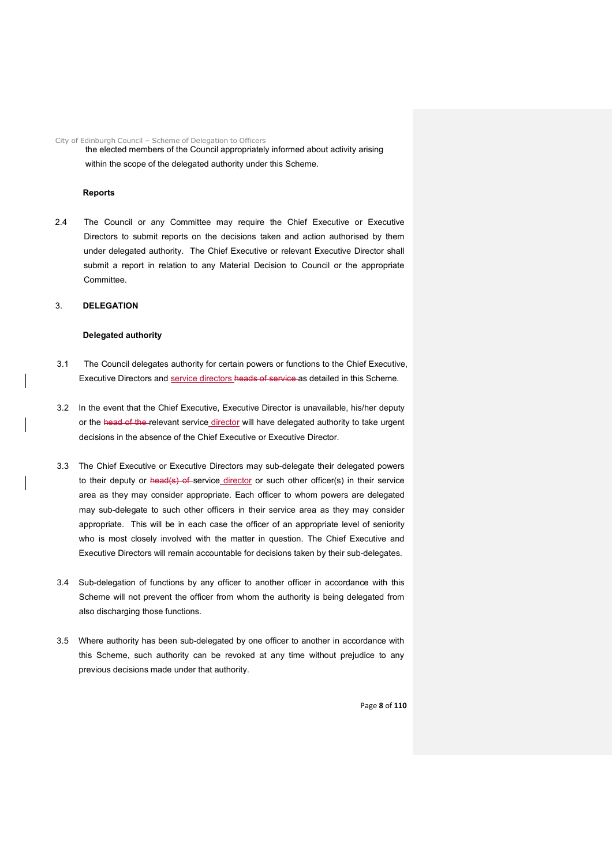City of Edinburgh Council – Scheme of Delegation to Officers

the elected members of the Council appropriately informed about activity arising within the scope of the delegated authority under this Scheme.

#### **Reports**

2.4 The Council or any Committee may require the Chief Executive or Executive Directors to submit reports on the decisions taken and action authorised by them under delegated authority. The Chief Executive or relevant Executive Director shall submit a report in relation to any Material Decision to Council or the appropriate Committee.

#### 3. **DELEGATION**

#### **Delegated authority**

- 3.1 The Council delegates authority for certain powers or functions to the Chief Executive, Executive Directors and service directors heads of service as detailed in this Scheme.
- 3.2 In the event that the Chief Executive, Executive Director is unavailable, his/her deputy or the head of the relevant service director will have delegated authority to take urgent decisions in the absence of the Chief Executive or Executive Director.
- 3.3 The Chief Executive or Executive Directors may sub-delegate their delegated powers to their deputy or head(s) of service director or such other officer(s) in their service area as they may consider appropriate. Each officer to whom powers are delegated may sub-delegate to such other officers in their service area as they may consider appropriate. This will be in each case the officer of an appropriate level of seniority who is most closely involved with the matter in question. The Chief Executive and Executive Directors will remain accountable for decisions taken by their sub-delegates.
- 3.4 Sub-delegation of functions by any officer to another officer in accordance with this Scheme will not prevent the officer from whom the authority is being delegated from also discharging those functions.
- 3.5 Where authority has been sub-delegated by one officer to another in accordance with this Scheme, such authority can be revoked at any time without prejudice to any previous decisions made under that authority.

Page **8** of **110**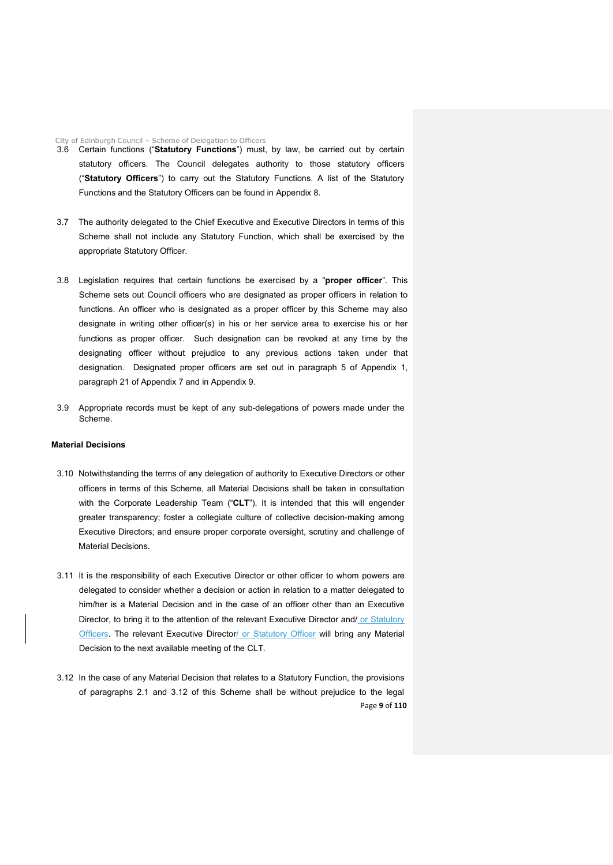City of Edinburgh Council – Scheme of Delegation to Officers

- 3.6 Certain functions ("**Statutory Functions**") must, by law, be carried out by certain statutory officers. The Council delegates authority to those statutory officers ("**Statutory Officers**") to carry out the Statutory Functions. A list of the Statutory Functions and the Statutory Officers can be found in Appendix 8.
- 3.7 The authority delegated to the Chief Executive and Executive Directors in terms of this Scheme shall not include any Statutory Function, which shall be exercised by the appropriate Statutory Officer.
- 3.8 Legislation requires that certain functions be exercised by a "**proper officer**". This Scheme sets out Council officers who are designated as proper officers in relation to functions. An officer who is designated as a proper officer by this Scheme may also designate in writing other officer(s) in his or her service area to exercise his or her functions as proper officer. Such designation can be revoked at any time by the designating officer without prejudice to any previous actions taken under that designation. Designated proper officers are set out in paragraph 5 of Appendix 1, paragraph 21 of Appendix 7 and in Appendix 9.
- 3.9 Appropriate records must be kept of any sub-delegations of powers made under the Scheme.

#### **Material Decisions**

- 3.10 Notwithstanding the terms of any delegation of authority to Executive Directors or other officers in terms of this Scheme, all Material Decisions shall be taken in consultation with the Corporate Leadership Team ("**CLT**"). It is intended that this will engender greater transparency; foster a collegiate culture of collective decision-making among Executive Directors; and ensure proper corporate oversight, scrutiny and challenge of Material Decisions.
- 3.11 It is the responsibility of each Executive Director or other officer to whom powers are delegated to consider whether a decision or action in relation to a matter delegated to him/her is a Material Decision and in the case of an officer other than an Executive Director, to bring it to the attention of the relevant Executive Director and/ or Statutory **Officers.** The relevant Executive Director/ or Statutory Officer will bring any Material Decision to the next available meeting of the CLT.
- Page **9** of **110** 3.12 In the case of any Material Decision that relates to a Statutory Function, the provisions of paragraphs 2.1 and 3.12 of this Scheme shall be without prejudice to the legal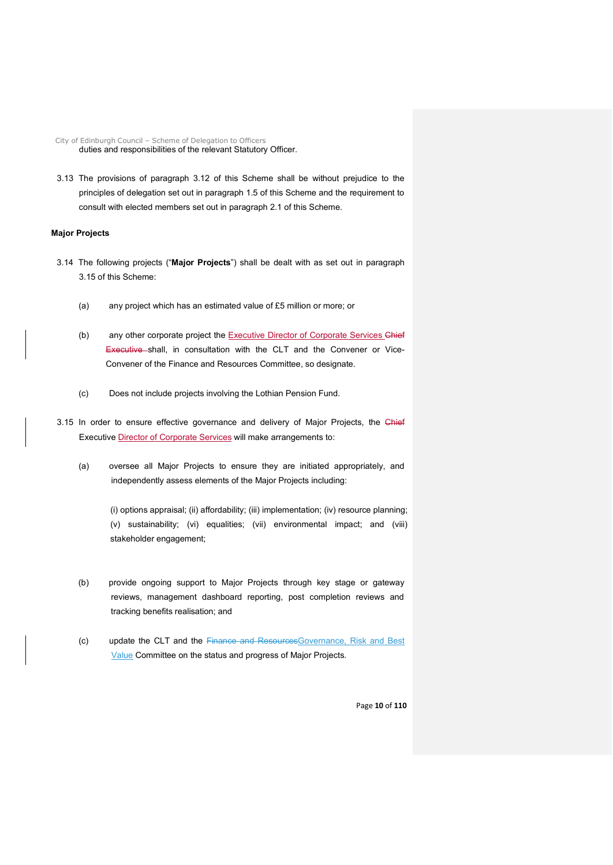City of Edinburgh Council – Scheme of Delegation to Officers duties and responsibilities of the relevant Statutory Officer.

3.13 The provisions of paragraph 3.12 of this Scheme shall be without prejudice to the principles of delegation set out in paragraph 1.5 of this Scheme and the requirement to consult with elected members set out in paragraph 2.1 of this Scheme.

#### **Major Projects**

- 3.14 The following projects ("**Major Projects**") shall be dealt with as set out in paragraph 3.15 of this Scheme:
	- (a) any project which has an estimated value of £5 million or more; or
	- (b) any other corporate project the Executive Director of Corporate Services Chief Executive shall, in consultation with the CLT and the Convener or Vice-Convener of the Finance and Resources Committee, so designate.
	- (c) Does not include projects involving the Lothian Pension Fund.
- 3.15 In order to ensure effective governance and delivery of Major Projects, the Chief Executive Director of Corporate Services will make arrangements to:
	- (a) oversee all Major Projects to ensure they are initiated appropriately, and independently assess elements of the Major Projects including:

(i) options appraisal; (ii) affordability; (iii) implementation; (iv) resource planning; (v) sustainability; (vi) equalities; (vii) environmental impact; and (viii) stakeholder engagement;

- (b) provide ongoing support to Major Projects through key stage or gateway reviews, management dashboard reporting, post completion reviews and tracking benefits realisation; and
- (c) update the CLT and the Finance and ResourcesGovernance, Risk and Best **Value Committee on the status and progress of Major Projects.**

Page **10** of **110**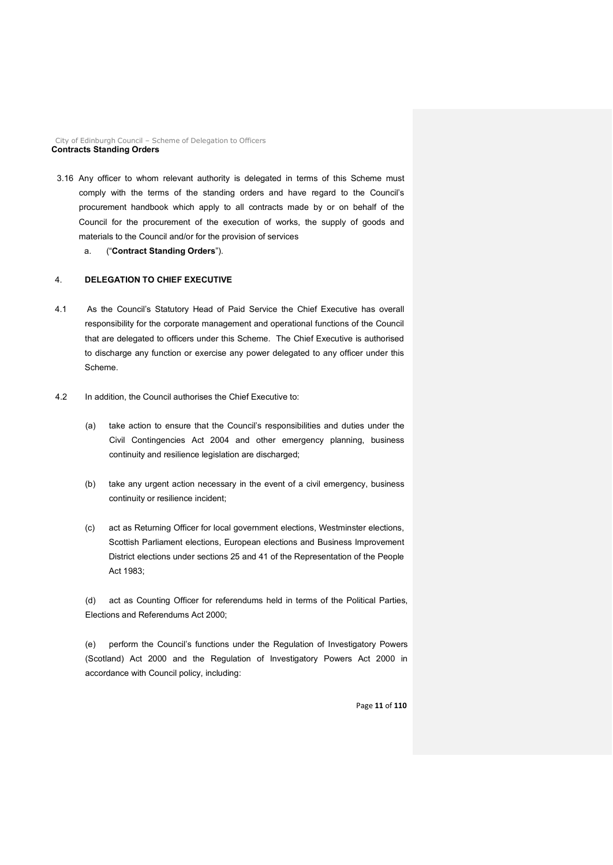City of Edinburgh Council – Scheme of Delegation to Officers **Contracts Standing Orders**

3.16 Any officer to whom relevant authority is delegated in terms of this Scheme must comply with the terms of the standing orders and have regard to the Council's procurement handbook which apply to all contracts made by or on behalf of the Council for the procurement of the execution of works, the supply of goods and materials to the Council and/or for the provision of services

a. ("**Contract Standing Orders**").

#### 4. **DELEGATION TO CHIEF EXECUTIVE**

- 4.1 As the Council's Statutory Head of Paid Service the Chief Executive has overall responsibility for the corporate management and operational functions of the Council that are delegated to officers under this Scheme. The Chief Executive is authorised to discharge any function or exercise any power delegated to any officer under this Scheme.
- 4.2 In addition, the Council authorises the Chief Executive to:
	- (a) take action to ensure that the Council's responsibilities and duties under the Civil Contingencies Act 2004 and other emergency planning, business continuity and resilience legislation are discharged;
	- (b) take any urgent action necessary in the event of a civil emergency, business continuity or resilience incident;
	- (c) act as Returning Officer for local government elections, Westminster elections, Scottish Parliament elections, European elections and Business Improvement District elections under sections 25 and 41 of the Representation of the People Act 1983;

(d) act as Counting Officer for referendums held in terms of the Political Parties, Elections and Referendums Act 2000;

(e) perform the Council's functions under the Regulation of Investigatory Powers (Scotland) Act 2000 and the Regulation of Investigatory Powers Act 2000 in accordance with Council policy, including:

Page **11** of **110**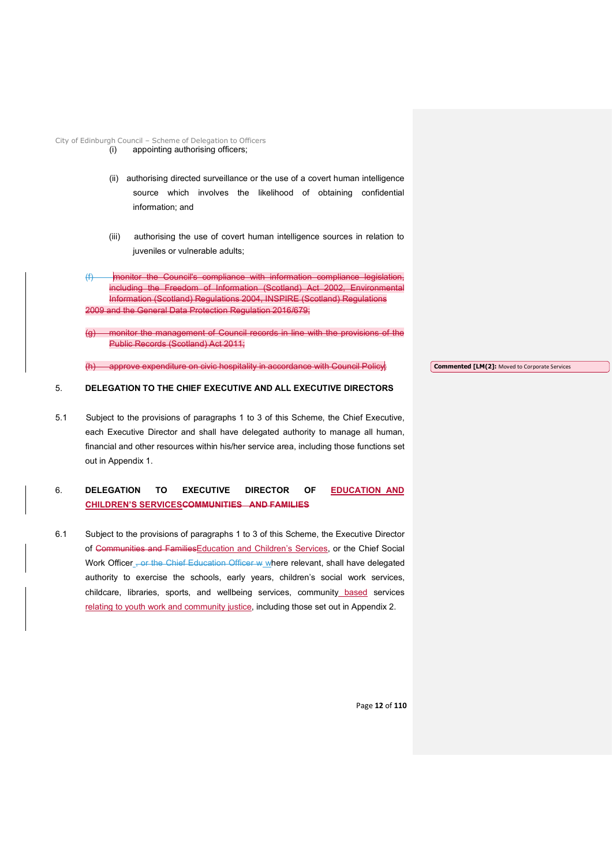City of Edinburgh Council – Scheme of Delegation to Officers

- (i) appointing authorising officers;
- (ii) authorising directed surveillance or the use of a covert human intelligence source which involves the likelihood of obtaining confidential information; and
- (iii) authorising the use of covert human intelligence sources in relation to juveniles or vulnerable adults;
- (f) monitor the Council's compliance with information compliance legislation, including the Freedom of Information (Scotland) Act 2002, Environmental Information (Scotland) Regulations 2004, INSPIRE (Scotland) Regulations 2009 and the General Data Protection Regulation 2016/679;
- monitor the management of Council records in line with the provisions of the Public Records (Scotland) Act 2011;

approve expenditure on civic hospitality in accordance with Council Policy;

**Commented [LM(2]:** Moved to Corporate Services

#### 5. **DELEGATION TO THE CHIEF EXECUTIVE AND ALL EXECUTIVE DIRECTORS**

5.1 Subject to the provisions of paragraphs 1 to 3 of this Scheme, the Chief Executive, each Executive Director and shall have delegated authority to manage all human, financial and other resources within his/her service area, including those functions set out in Appendix 1.

#### 6. **DELEGATION TO EXECUTIVE DIRECTOR OF EDUCATION AND CHILDREN'S SERVICESCOMMUNITIES AND FAMILIES**

6.1 Subject to the provisions of paragraphs 1 to 3 of this Scheme, the Executive Director of Communities and FamiliesEducation and Children's Services, or the Chief Social Work Officer , or the Chief Education Officer w where relevant, shall have delegated authority to exercise the schools, early years, children's social work services, childcare, libraries, sports, and wellbeing services, community based services relating to youth work and community justice, including those set out in Appendix 2.

Page **12** of **110**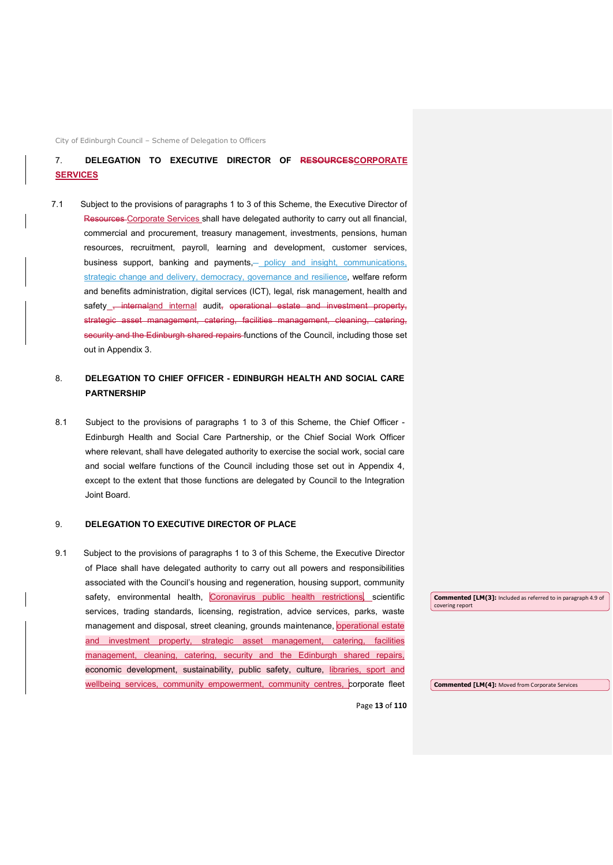City of Edinburgh Council – Scheme of Delegation to Officers

#### 7. **DELEGATION TO EXECUTIVE DIRECTOR OF RESOURCESCORPORATE SERVICES**

7.1 Subject to the provisions of paragraphs 1 to 3 of this Scheme, the Executive Director of Resources Corporate Services shall have delegated authority to carry out all financial, commercial and procurement, treasury management, investments, pensions, human resources, recruitment, payroll, learning and development, customer services, business support, banking and payments,— policy and insight, communications, strategic change and delivery, democracy, governance and resilience, welfare reform and benefits administration, digital services (ICT), legal, risk management, health and safety , internaland internal audit, operational estate and investment property, strategic asset management, catering, facilities management, cleaning, catering, security and the Edinburgh shared repairs functions of the Council, including those set out in Appendix 3.

#### 8. **DELEGATION TO CHIEF OFFICER - EDINBURGH HEALTH AND SOCIAL CARE PARTNERSHIP**

8.1 Subject to the provisions of paragraphs 1 to 3 of this Scheme, the Chief Officer - Edinburgh Health and Social Care Partnership, or the Chief Social Work Officer where relevant, shall have delegated authority to exercise the social work, social care and social welfare functions of the Council including those set out in Appendix 4, except to the extent that those functions are delegated by Council to the Integration Joint Board.

#### 9. **DELEGATION TO EXECUTIVE DIRECTOR OF PLACE**

9.1 Subject to the provisions of paragraphs 1 to 3 of this Scheme, the Executive Director of Place shall have delegated authority to carry out all powers and responsibilities associated with the Council's housing and regeneration, housing support, community safety, environmental health, Coronavirus public health restrictions, scientific services, trading standards, licensing, registration, advice services, parks, waste management and disposal, street cleaning, grounds maintenance, operational estate and investment property, strategic asset management, catering, facilities management, cleaning, catering, security and the Edinburgh shared repairs, economic development, sustainability, public safety, culture, libraries, sport and wellbeing services, community empowerment, community centres, corporate fleet

**Commented [LM(3]:** Included as referred to in paragraph 4.9 of covering report

**Commented [LM(4]:** Moved from Corporate Services

Page **13** of **110**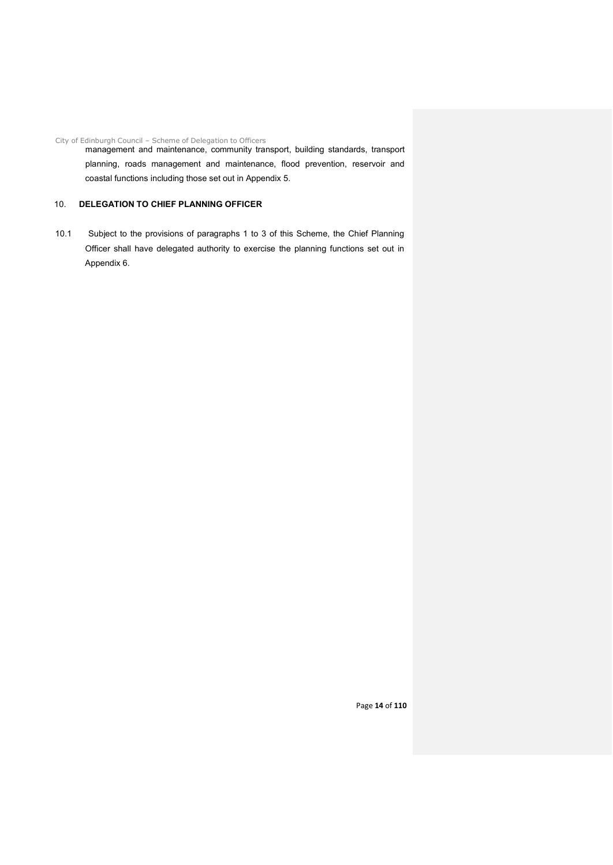City of Edinburgh Council – Scheme of Delegation to Officers management and maintenance, community transport, building standards, transport planning, roads management and maintenance, flood prevention, reservoir and coastal functions including those set out in Appendix 5.

#### 10. **DELEGATION TO CHIEF PLANNING OFFICER**

10.1 Subject to the provisions of paragraphs 1 to 3 of this Scheme, the Chief Planning Officer shall have delegated authority to exercise the planning functions set out in Appendix 6.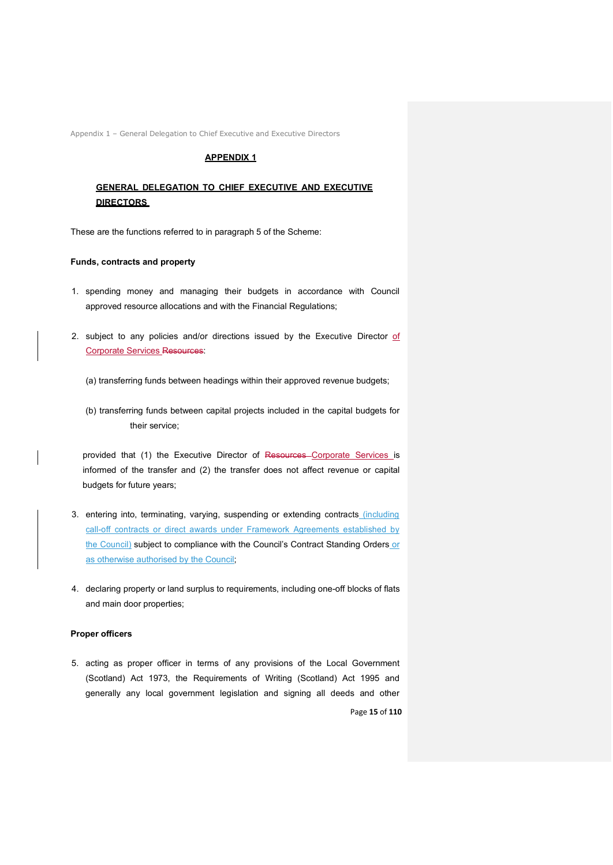Appendix 1 – General Delegation to Chief Executive and Executive Directors

#### **APPENDIX 1**

#### **GENERAL DELEGATION TO CHIEF EXECUTIVE AND EXECUTIVE DIRECTORS**

These are the functions referred to in paragraph 5 of the Scheme:

#### **Funds, contracts and property**

- 1. spending money and managing their budgets in accordance with Council approved resource allocations and with the Financial Regulations;
- 2. subject to any policies and/or directions issued by the Executive Director of Corporate Services Resources:
	- (a) transferring funds between headings within their approved revenue budgets;
	- (b) transferring funds between capital projects included in the capital budgets for their service;

provided that (1) the Executive Director of Resources Corporate Services is informed of the transfer and (2) the transfer does not affect revenue or capital budgets for future years;

- 3. entering into, terminating, varying, suspending or extending contracts (including call-off contracts or direct awards under Framework Agreements established by the Council) subject to compliance with the Council's Contract Standing Orders or as otherwise authorised by the Council;
- 4. declaring property or land surplus to requirements, including one-off blocks of flats and main door properties;

#### **Proper officers**

5. acting as proper officer in terms of any provisions of the Local Government (Scotland) Act 1973, the Requirements of Writing (Scotland) Act 1995 and generally any local government legislation and signing all deeds and other

Page **15** of **110**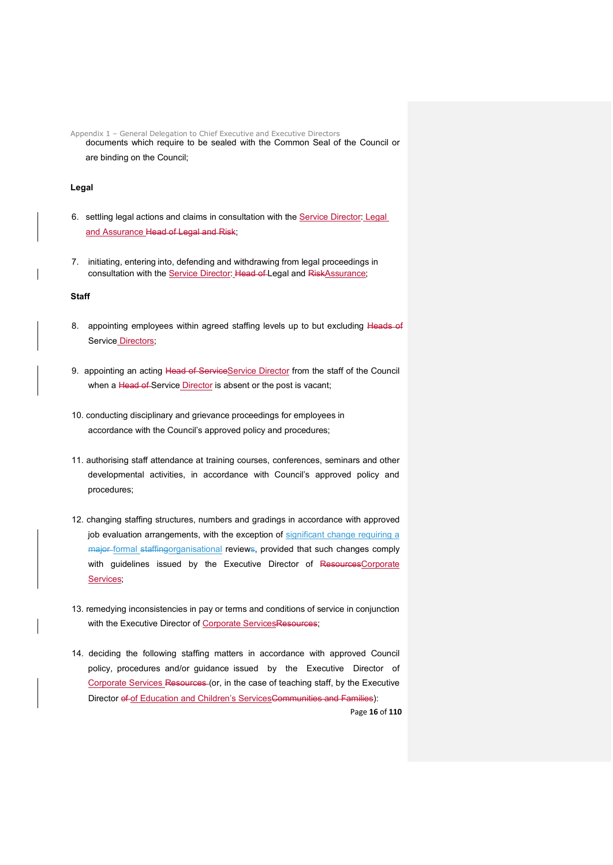Appendix 1 – General Delegation to Chief Executive and Executive Directors documents which require to be sealed with the Common Seal of the Council or are binding on the Council;

#### **Legal**

- 6. settling legal actions and claims in consultation with the Service Director: Legal and Assurance Head of Legal and Risk;
- 7. initiating, entering into, defending and withdrawing from legal proceedings in consultation with the Service Director: Head of Legal and RiskAssurance;

#### **Staff**

- 8. appointing employees within agreed staffing levels up to but excluding Heads of Service Directors;
- 9. appointing an acting Head of ServiceService Director from the staff of the Council when a Head of Service Director is absent or the post is vacant;
- 10. conducting disciplinary and grievance proceedings for employees in accordance with the Council's approved policy and procedures;
- 11. authorising staff attendance at training courses, conferences, seminars and other developmental activities, in accordance with Council's approved policy and procedures;
- 12. changing staffing structures, numbers and gradings in accordance with approved job evaluation arrangements, with the exception of significant change requiring a major formal staffingorganisational reviews, provided that such changes comply with guidelines issued by the Executive Director of ResourcesCorporate Services;
- 13. remedying inconsistencies in pay or terms and conditions of service in conjunction with the Executive Director of Corporate ServicesResources;
- 14. deciding the following staffing matters in accordance with approved Council policy, procedures and/or guidance issued by the Executive Director of Corporate Services Resources (or, in the case of teaching staff, by the Executive Director of of Education and Children's ServicesCommunities and Families):

Page **16** of **110**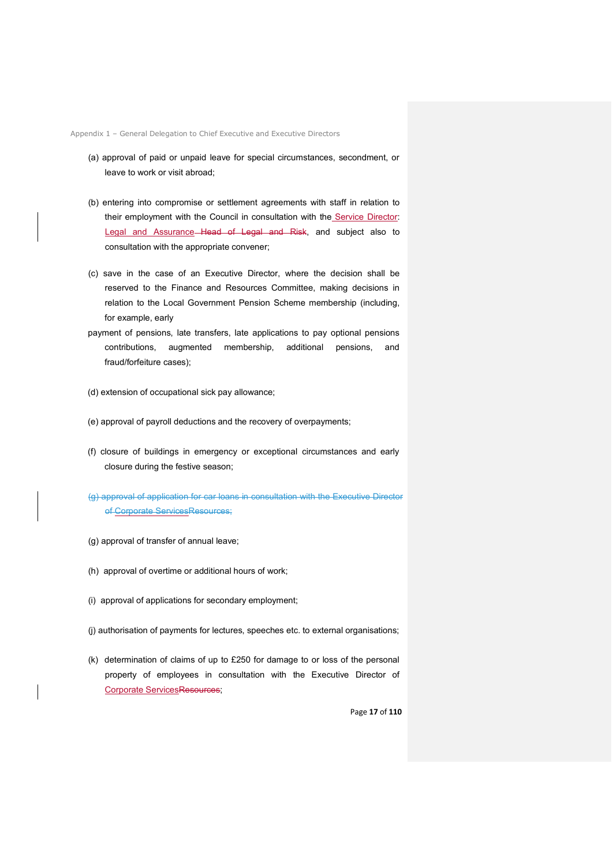Appendix 1 – General Delegation to Chief Executive and Executive Directors

- (a) approval of paid or unpaid leave for special circumstances, secondment, or leave to work or visit abroad;
- (b) entering into compromise or settlement agreements with staff in relation to their employment with the Council in consultation with the Service Director: Legal and Assurance Head of Legal and Risk, and subject also to consultation with the appropriate convener;
- (c) save in the case of an Executive Director, where the decision shall be reserved to the Finance and Resources Committee, making decisions in relation to the Local Government Pension Scheme membership (including, for example, early
- payment of pensions, late transfers, late applications to pay optional pensions contributions, augmented membership, additional pensions, and fraud/forfeiture cases);
- (d) extension of occupational sick pay allowance;
- (e) approval of payroll deductions and the recovery of overpayments;
- (f) closure of buildings in emergency or exceptional circumstances and early closure during the festive season;
- (g) approval of application for car loans in consultation with the Executive Director of Corporate ServicesResources;
- (g) approval of transfer of annual leave;
- (h) approval of overtime or additional hours of work;
- (i) approval of applications for secondary employment;
- (j) authorisation of payments for lectures, speeches etc. to external organisations;
- (k) determination of claims of up to £250 for damage to or loss of the personal property of employees in consultation with the Executive Director of Corporate ServicesResources;

Page **17** of **110**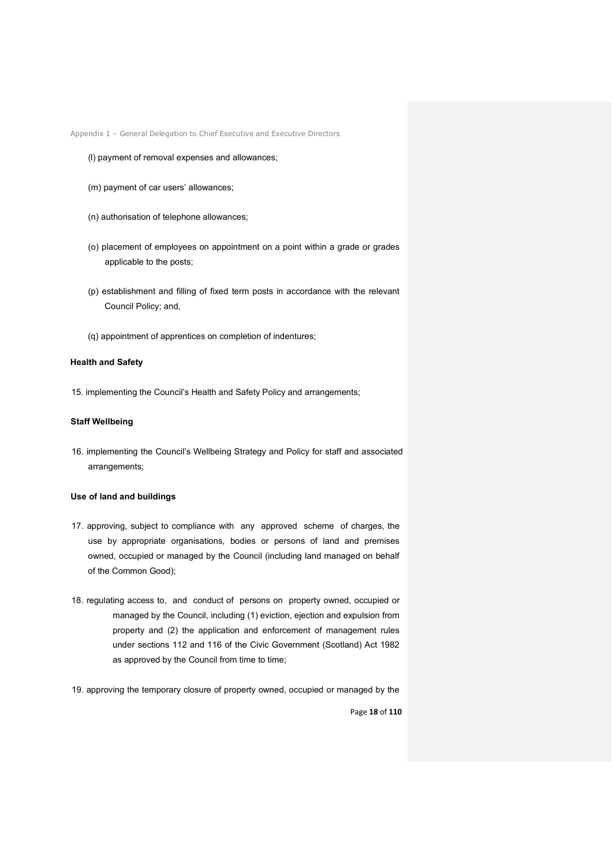Appendix 1 – General Delegation to Chief Executive and Executive Directors

#### (l) payment of removal expenses and allowances;

- (m) payment of car users' allowances;
- (n) authorisation of telephone allowances;
- (o) placement of employees on appointment on a point within a grade or grades applicable to the posts;
- (p) establishment and filling of fixed term posts in accordance with the relevant Council Policy; and,
- (q) appointment of apprentices on completion of indentures;

#### **Health and Safety**

15. implementing the Council's Health and Safety Policy and arrangements;

#### **Staff Wellbeing**

16. implementing the Council's Wellbeing Strategy and Policy for staff and associated arrangements;

#### **Use of land and buildings**

- 17. approving, subject to compliance with any approved scheme of charges, the use by appropriate organisations, bodies or persons of land and premises owned, occupied or managed by the Council (including land managed on behalf of the Common Good);
- 18. regulating access to, and conduct of persons on property owned, occupied or managed by the Council, including (1) eviction, ejection and expulsion from property and (2) the application and enforcement of management rules under sections 112 and 116 of the Civic Government (Scotland) Act 1982 as approved by the Council from time to time;
- 19. approving the temporary closure of property owned, occupied or managed by the

Page **18** of **110**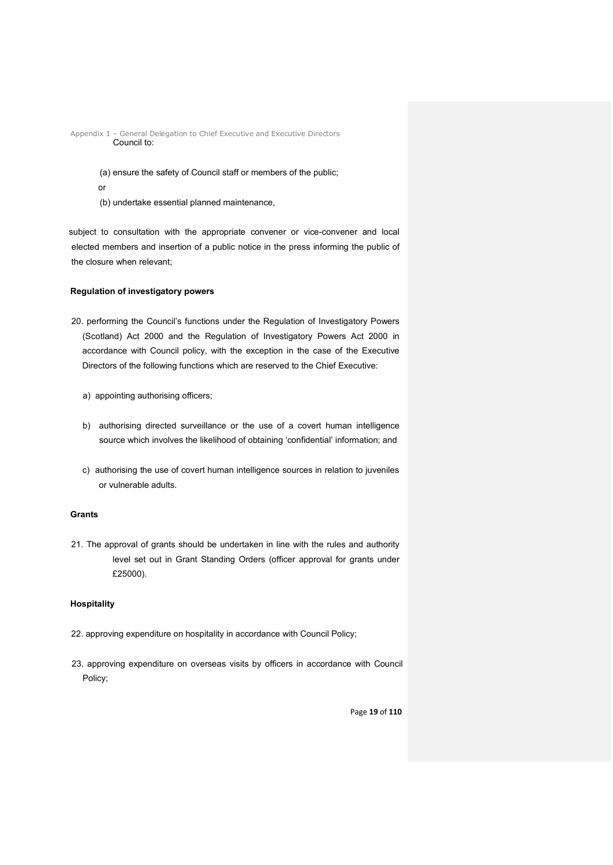Appendix 1 – General Delegation to Chief Executive and Executive Directors Council to:

> (a) ensure the safety of Council staff or members of the public; or

(b) undertake essential planned maintenance,

subject to consultation with the appropriate convener or vice-convener and local elected members and insertion of a public notice in the press informing the public of the closure when relevant;

#### **Regulation of investigatory powers**

- 20. performing the Council's functions under the Regulation of Investigatory Powers (Scotland) Act 2000 and the Regulation of Investigatory Powers Act 2000 in accordance with Council policy, with the exception in the case of the Executive Directors of the following functions which are reserved to the Chief Executive:
	- a) appointing authorising officers;
	- b) authorising directed surveillance or the use of a covert human intelligence source which involves the likelihood of obtaining 'confidential' information; and
	- c) authorising the use of covert human intelligence sources in relation to juveniles or vulnerable adults.

#### **Grants**

21. The approval of grants should be undertaken in line with the rules and authority level set out in Grant Standing Orders (officer approval for grants under £25000).

#### **Hospitality**

- 22. approving expenditure on hospitality in accordance with Council Policy;
- 23. approving expenditure on overseas visits by officers in accordance with Council Policy;

Page **19** of **110**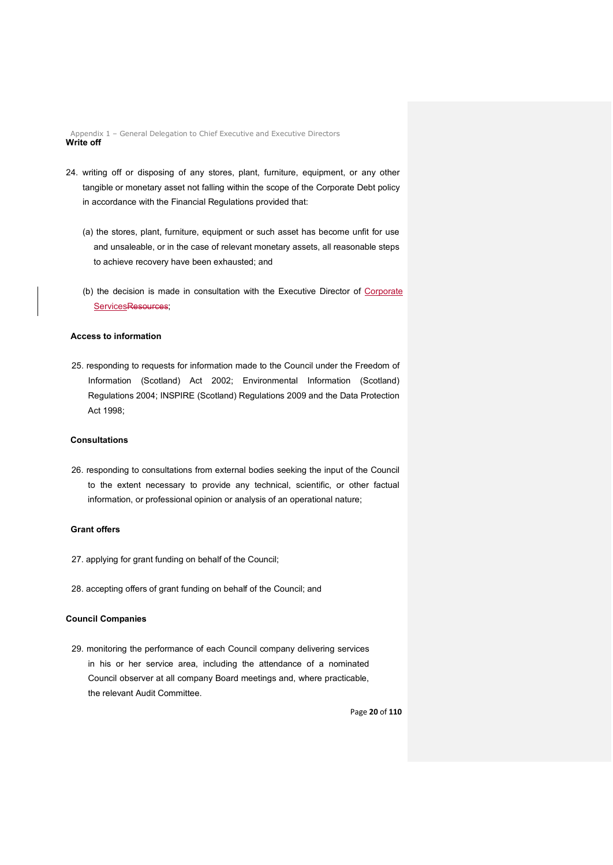Appendix 1 – General Delegation to Chief Executive and Executive Directors **Write off**

- 24. writing off or disposing of any stores, plant, furniture, equipment, or any other tangible or monetary asset not falling within the scope of the Corporate Debt policy in accordance with the Financial Regulations provided that:
	- (a) the stores, plant, furniture, equipment or such asset has become unfit for use and unsaleable, or in the case of relevant monetary assets, all reasonable steps to achieve recovery have been exhausted; and
	- (b) the decision is made in consultation with the Executive Director of Corporate ServicesResources;

#### **Access to information**

25. responding to requests for information made to the Council under the Freedom of Information (Scotland) Act 2002; Environmental Information (Scotland) Regulations 2004; INSPIRE (Scotland) Regulations 2009 and the Data Protection Act 1998;

#### **Consultations**

26. responding to consultations from external bodies seeking the input of the Council to the extent necessary to provide any technical, scientific, or other factual information, or professional opinion or analysis of an operational nature;

#### **Grant offers**

- 27. applying for grant funding on behalf of the Council;
- 28. accepting offers of grant funding on behalf of the Council; and

#### **Council Companies**

29. monitoring the performance of each Council company delivering services in his or her service area, including the attendance of a nominated Council observer at all company Board meetings and, where practicable, the relevant Audit Committee.

Page **20** of **110**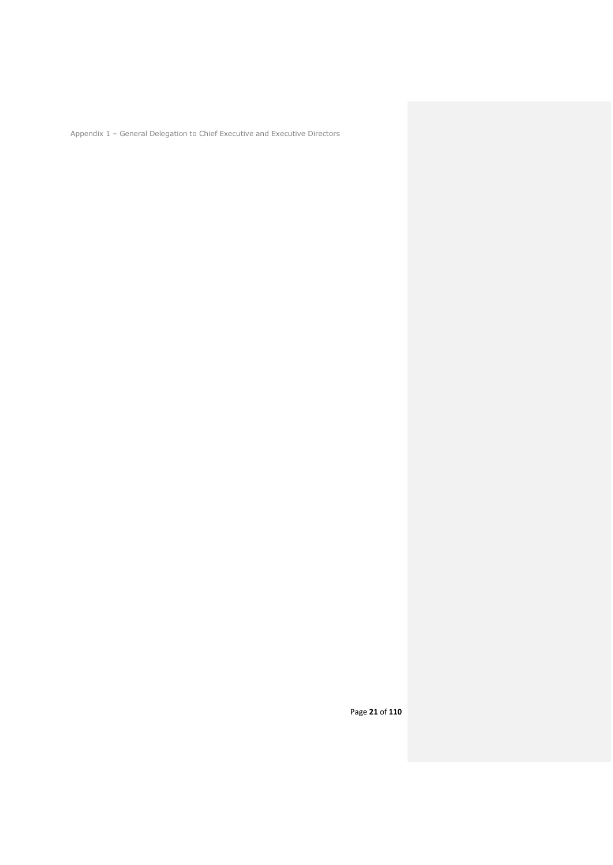Appendix 1 – General Delegation to Chief Executive and Executive Directors

Page **21** of **110**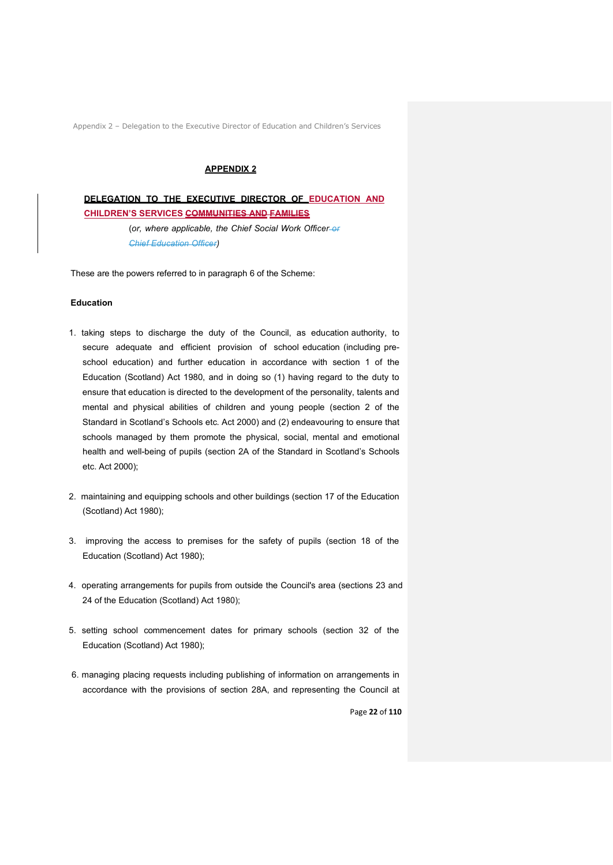#### **APPENDIX 2**

**DELEGATION TO THE EXECUTIVE DIRECTOR OF EDUCATION AND CHILDREN'S SERVICES COMMUNITIES AND FAMILIES**

> (*or, where applicable, the Chief Social Work Officer or Chief Education Officer)*

These are the powers referred to in paragraph 6 of the Scheme:

#### **Education**

- 1. taking steps to discharge the duty of the Council, as education authority, to secure adequate and efficient provision of school education (including preschool education) and further education in accordance with section 1 of the Education (Scotland) Act 1980, and in doing so (1) having regard to the duty to ensure that education is directed to the development of the personality, talents and mental and physical abilities of children and young people (section 2 of the Standard in Scotland's Schools etc. Act 2000) and (2) endeavouring to ensure that schools managed by them promote the physical, social, mental and emotional health and well-being of pupils (section 2A of the Standard in Scotland's Schools etc. Act 2000);
- 2. maintaining and equipping schools and other buildings (section 17 of the Education (Scotland) Act 1980);
- 3. improving the access to premises for the safety of pupils (section 18 of the Education (Scotland) Act 1980);
- 4. operating arrangements for pupils from outside the Council's area (sections 23 and 24 of the Education (Scotland) Act 1980);
- 5. setting school commencement dates for primary schools (section 32 of the Education (Scotland) Act 1980);
- 6. managing placing requests including publishing of information on arrangements in accordance with the provisions of section 28A, and representing the Council at

Page **22** of **110**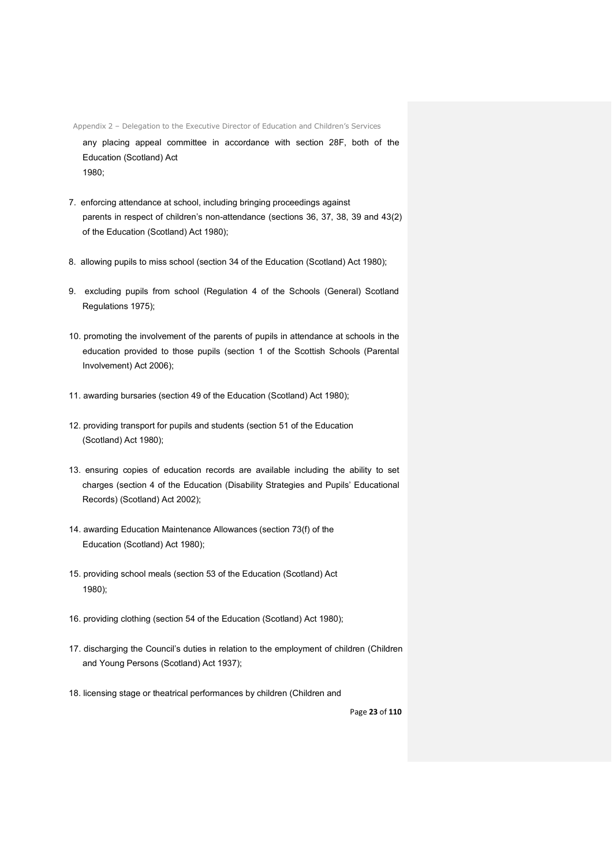any placing appeal committee in accordance with section 28F, both of the Education (Scotland) Act 1980;

- 7. enforcing attendance at school, including bringing proceedings against parents in respect of children's non-attendance (sections 36, 37, 38, 39 and 43(2) of the Education (Scotland) Act 1980);
- 8. allowing pupils to miss school (section 34 of the Education (Scotland) Act 1980);
- 9. excluding pupils from school (Regulation 4 of the Schools (General) Scotland Regulations 1975);
- 10. promoting the involvement of the parents of pupils in attendance at schools in the education provided to those pupils (section 1 of the Scottish Schools (Parental Involvement) Act 2006);
- 11. awarding bursaries (section 49 of the Education (Scotland) Act 1980);
- 12. providing transport for pupils and students (section 51 of the Education (Scotland) Act 1980);
- 13. ensuring copies of education records are available including the ability to set charges (section 4 of the Education (Disability Strategies and Pupils' Educational Records) (Scotland) Act 2002);
- 14. awarding Education Maintenance Allowances (section 73(f) of the Education (Scotland) Act 1980);
- 15. providing school meals (section 53 of the Education (Scotland) Act 1980);
- 16. providing clothing (section 54 of the Education (Scotland) Act 1980);
- 17. discharging the Council's duties in relation to the employment of children (Children and Young Persons (Scotland) Act 1937);
- 18. licensing stage or theatrical performances by children (Children and

Page **23** of **110**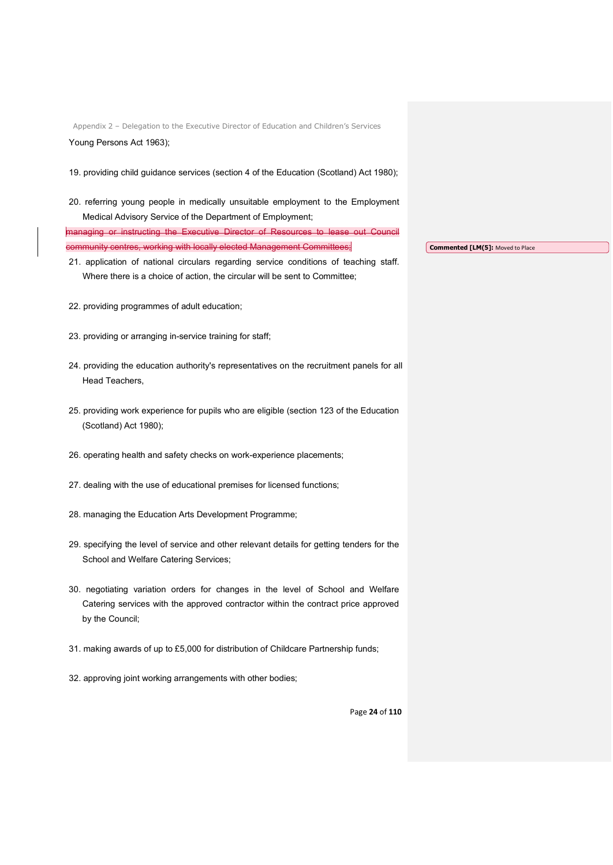Appendix 2 – Delegation to the Executive Director of Education and Children's Services Young Persons Act 1963);

- 19. providing child guidance services (section 4 of the Education (Scotland) Act 1980);
- 20. referring young people in medically unsuitable employment to the Employment Medical Advisory Service of the Department of Employment;

managing or instructing the Executive Director of Resources to community centres, working with locally elected Management Committees;

- 21. application of national circulars regarding service conditions of teaching staff. Where there is a choice of action, the circular will be sent to Committee;
- 22. providing programmes of adult education;
- 23. providing or arranging in-service training for staff;
- 24. providing the education authority's representatives on the recruitment panels for all Head Teachers,
- 25. providing work experience for pupils who are eligible (section 123 of the Education (Scotland) Act 1980);
- 26. operating health and safety checks on work-experience placements;
- 27. dealing with the use of educational premises for licensed functions;
- 28. managing the Education Arts Development Programme;
- 29. specifying the level of service and other relevant details for getting tenders for the School and Welfare Catering Services;
- 30. negotiating variation orders for changes in the level of School and Welfare Catering services with the approved contractor within the contract price approved by the Council;
- 31. making awards of up to £5,000 for distribution of Childcare Partnership funds;
- 32. approving joint working arrangements with other bodies;

**Commented [LM(5]:** Moved to Place

Page **24** of **110**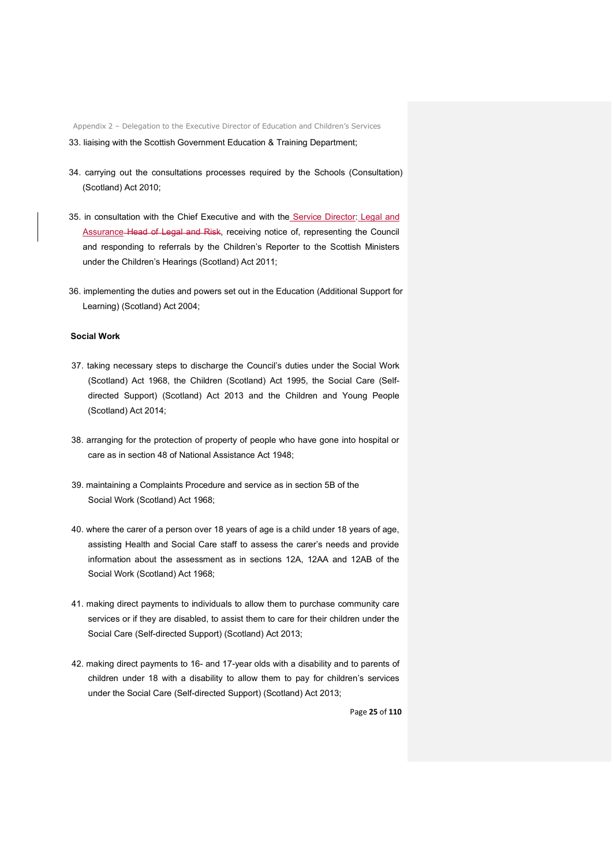- 33. liaising with the Scottish Government Education & Training Department;
- 34. carrying out the consultations processes required by the Schools (Consultation) (Scotland) Act 2010;
- 35. in consultation with the Chief Executive and with the Service Director: Legal and Assurance Head of Legal and Risk, receiving notice of, representing the Council and responding to referrals by the Children's Reporter to the Scottish Ministers under the Children's Hearings (Scotland) Act 2011;
- 36. implementing the duties and powers set out in the Education (Additional Support for Learning) (Scotland) Act 2004;

#### **Social Work**

- 37. taking necessary steps to discharge the Council's duties under the Social Work (Scotland) Act 1968, the Children (Scotland) Act 1995, the Social Care (Selfdirected Support) (Scotland) Act 2013 and the Children and Young People (Scotland) Act 2014;
- 38. arranging for the protection of property of people who have gone into hospital or care as in section 48 of National Assistance Act 1948;
- 39. maintaining a Complaints Procedure and service as in section 5B of the Social Work (Scotland) Act 1968;
- 40. where the carer of a person over 18 years of age is a child under 18 years of age, assisting Health and Social Care staff to assess the carer's needs and provide information about the assessment as in sections 12A, 12AA and 12AB of the Social Work (Scotland) Act 1968;
- 41. making direct payments to individuals to allow them to purchase community care services or if they are disabled, to assist them to care for their children under the Social Care (Self-directed Support) (Scotland) Act 2013;
- 42. making direct payments to 16- and 17-year olds with a disability and to parents of children under 18 with a disability to allow them to pay for children's services under the Social Care (Self-directed Support) (Scotland) Act 2013;

Page **25** of **110**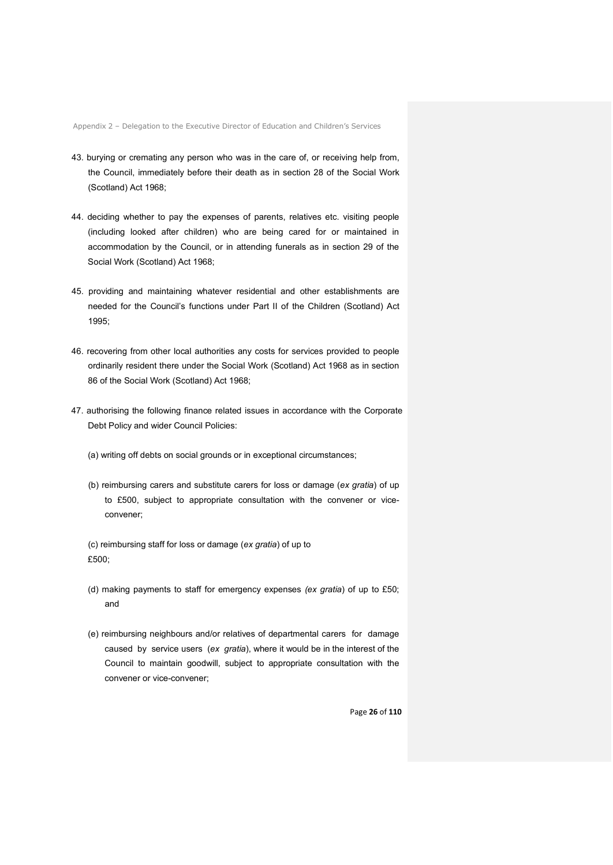- 43. burying or cremating any person who was in the care of, or receiving help from, the Council, immediately before their death as in section 28 of the Social Work (Scotland) Act 1968;
- 44. deciding whether to pay the expenses of parents, relatives etc. visiting people (including looked after children) who are being cared for or maintained in accommodation by the Council, or in attending funerals as in section 29 of the Social Work (Scotland) Act 1968;
- 45. providing and maintaining whatever residential and other establishments are needed for the Council's functions under Part II of the Children (Scotland) Act 1995;
- 46. recovering from other local authorities any costs for services provided to people ordinarily resident there under the Social Work (Scotland) Act 1968 as in section 86 of the Social Work (Scotland) Act 1968;
- 47. authorising the following finance related issues in accordance with the Corporate Debt Policy and wider Council Policies:
	- (a) writing off debts on social grounds or in exceptional circumstances;
	- (b) reimbursing carers and substitute carers for loss or damage (*ex gratia*) of up to £500, subject to appropriate consultation with the convener or viceconvener;
	- (c) reimbursing staff for loss or damage (*ex gratia*) of up to £500;
	- (d) making payments to staff for emergency expenses *(ex gratia*) of up to £50; and
	- (e) reimbursing neighbours and/or relatives of departmental carers for damage caused by service users (*ex gratia*), where it would be in the interest of the Council to maintain goodwill, subject to appropriate consultation with the convener or vice-convener;

Page **26** of **110**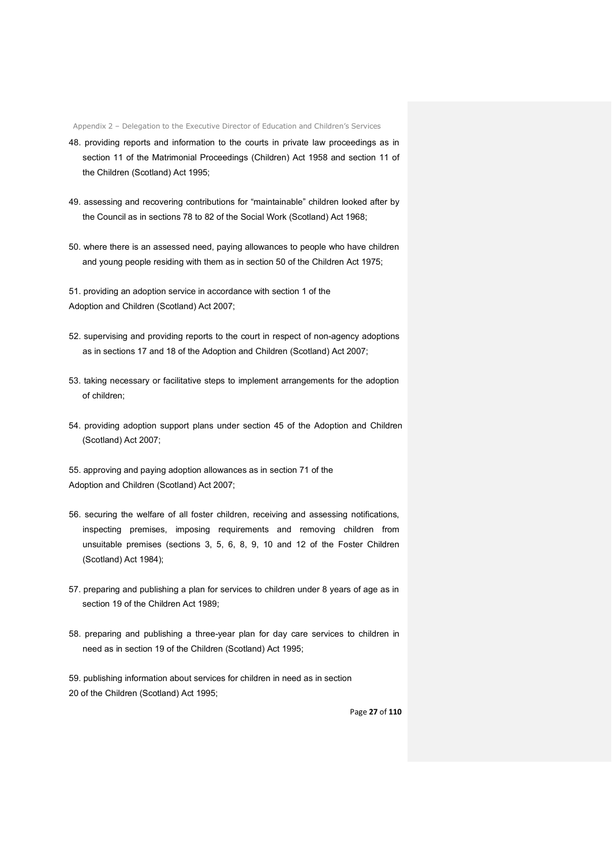- 48. providing reports and information to the courts in private law proceedings as in section 11 of the Matrimonial Proceedings (Children) Act 1958 and section 11 of the Children (Scotland) Act 1995;
- 49. assessing and recovering contributions for "maintainable" children looked after by the Council as in sections 78 to 82 of the Social Work (Scotland) Act 1968;
- 50. where there is an assessed need, paying allowances to people who have children and young people residing with them as in section 50 of the Children Act 1975;

51. providing an adoption service in accordance with section 1 of the Adoption and Children (Scotland) Act 2007;

- 52. supervising and providing reports to the court in respect of non-agency adoptions as in sections 17 and 18 of the Adoption and Children (Scotland) Act 2007;
- 53. taking necessary or facilitative steps to implement arrangements for the adoption of children;
- 54. providing adoption support plans under section 45 of the Adoption and Children (Scotland) Act 2007;

55. approving and paying adoption allowances as in section 71 of the Adoption and Children (Scotland) Act 2007;

- 56. securing the welfare of all foster children, receiving and assessing notifications, inspecting premises, imposing requirements and removing children from unsuitable premises (sections 3, 5, 6, 8, 9, 10 and 12 of the Foster Children (Scotland) Act 1984);
- 57. preparing and publishing a plan for services to children under 8 years of age as in section 19 of the Children Act 1989;
- 58. preparing and publishing a three-year plan for day care services to children in need as in section 19 of the Children (Scotland) Act 1995;
- 59. publishing information about services for children in need as in section 20 of the Children (Scotland) Act 1995;

Page **27** of **110**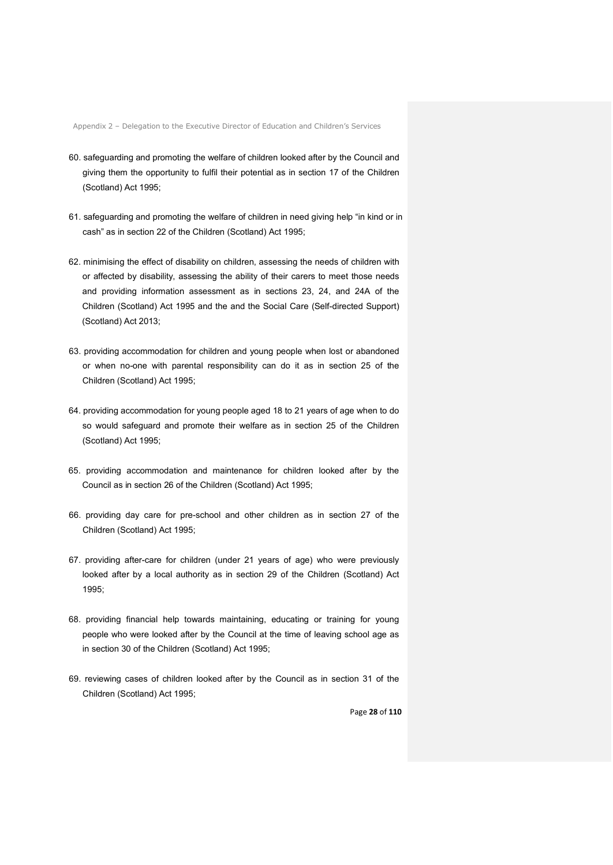- 60. safeguarding and promoting the welfare of children looked after by the Council and giving them the opportunity to fulfil their potential as in section 17 of the Children (Scotland) Act 1995;
- 61. safeguarding and promoting the welfare of children in need giving help "in kind or in cash" as in section 22 of the Children (Scotland) Act 1995;
- 62. minimising the effect of disability on children, assessing the needs of children with or affected by disability, assessing the ability of their carers to meet those needs and providing information assessment as in sections 23, 24, and 24A of the Children (Scotland) Act 1995 and the and the Social Care (Self-directed Support) (Scotland) Act 2013;
- 63. providing accommodation for children and young people when lost or abandoned or when no-one with parental responsibility can do it as in section 25 of the Children (Scotland) Act 1995;
- 64. providing accommodation for young people aged 18 to 21 years of age when to do so would safeguard and promote their welfare as in section 25 of the Children (Scotland) Act 1995;
- 65. providing accommodation and maintenance for children looked after by the Council as in section 26 of the Children (Scotland) Act 1995;
- 66. providing day care for pre-school and other children as in section 27 of the Children (Scotland) Act 1995;
- 67. providing after-care for children (under 21 years of age) who were previously looked after by a local authority as in section 29 of the Children (Scotland) Act 1995;
- 68. providing financial help towards maintaining, educating or training for young people who were looked after by the Council at the time of leaving school age as in section 30 of the Children (Scotland) Act 1995;
- 69. reviewing cases of children looked after by the Council as in section 31 of the Children (Scotland) Act 1995;

Page **28** of **110**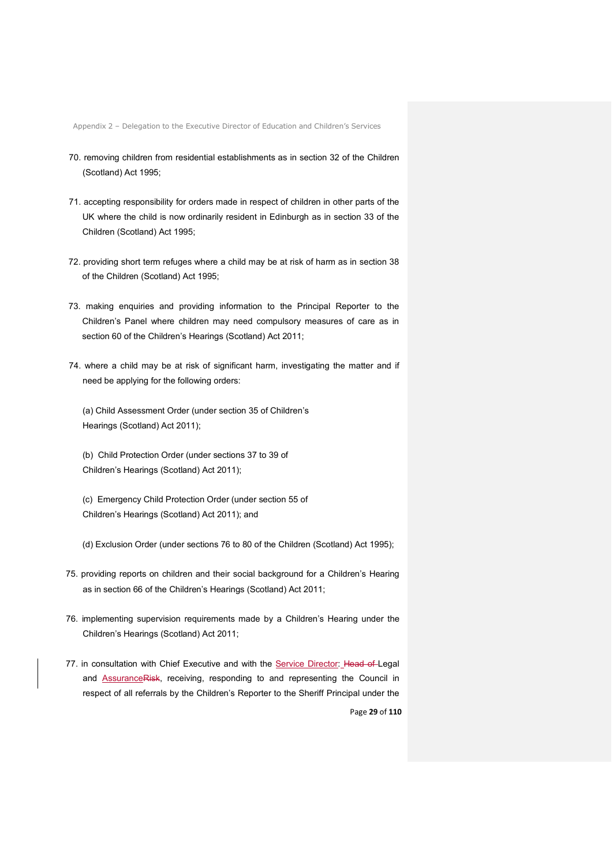- 70. removing children from residential establishments as in section 32 of the Children (Scotland) Act 1995;
- 71. accepting responsibility for orders made in respect of children in other parts of the UK where the child is now ordinarily resident in Edinburgh as in section 33 of the Children (Scotland) Act 1995;
- 72. providing short term refuges where a child may be at risk of harm as in section 38 of the Children (Scotland) Act 1995;
- 73. making enquiries and providing information to the Principal Reporter to the Children's Panel where children may need compulsory measures of care as in section 60 of the Children's Hearings (Scotland) Act 2011;
- 74. where a child may be at risk of significant harm, investigating the matter and if need be applying for the following orders:
	- (a) Child Assessment Order (under section 35 of Children's Hearings (Scotland) Act 2011);
	- (b) Child Protection Order (under sections 37 to 39 of Children's Hearings (Scotland) Act 2011);
	- (c) Emergency Child Protection Order (under section 55 of Children's Hearings (Scotland) Act 2011); and
	- (d) Exclusion Order (under sections 76 to 80 of the Children (Scotland) Act 1995);
- 75. providing reports on children and their social background for a Children's Hearing as in section 66 of the Children's Hearings (Scotland) Act 2011;
- 76. implementing supervision requirements made by a Children's Hearing under the Children's Hearings (Scotland) Act 2011;
- 77. in consultation with Chief Executive and with the Service Director: Head of Legal and **AssuranceRisk**, receiving, responding to and representing the Council in respect of all referrals by the Children's Reporter to the Sheriff Principal under the

Page **29** of **110**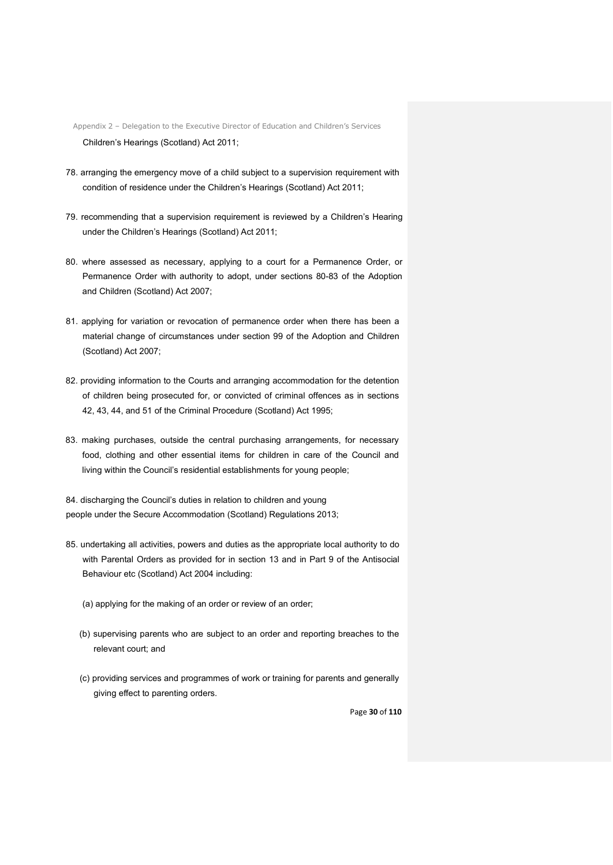Appendix 2 – Delegation to the Executive Director of Education and Children's Services Children's Hearings (Scotland) Act 2011;

- 78. arranging the emergency move of a child subject to a supervision requirement with condition of residence under the Children's Hearings (Scotland) Act 2011;
- 79. recommending that a supervision requirement is reviewed by a Children's Hearing under the Children's Hearings (Scotland) Act 2011;
- 80. where assessed as necessary, applying to a court for a Permanence Order, or Permanence Order with authority to adopt, under sections 80-83 of the Adoption and Children (Scotland) Act 2007;
- 81. applying for variation or revocation of permanence order when there has been a material change of circumstances under section 99 of the Adoption and Children (Scotland) Act 2007;
- 82. providing information to the Courts and arranging accommodation for the detention of children being prosecuted for, or convicted of criminal offences as in sections 42, 43, 44, and 51 of the Criminal Procedure (Scotland) Act 1995;
- 83. making purchases, outside the central purchasing arrangements, for necessary food, clothing and other essential items for children in care of the Council and living within the Council's residential establishments for young people;
- 84. discharging the Council's duties in relation to children and young people under the Secure Accommodation (Scotland) Regulations 2013;
- 85. undertaking all activities, powers and duties as the appropriate local authority to do with Parental Orders as provided for in section 13 and in Part 9 of the Antisocial Behaviour etc (Scotland) Act 2004 including:
	- (a) applying for the making of an order or review of an order;
	- (b) supervising parents who are subject to an order and reporting breaches to the relevant court; and
	- (c) providing services and programmes of work or training for parents and generally giving effect to parenting orders.

Page **30** of **110**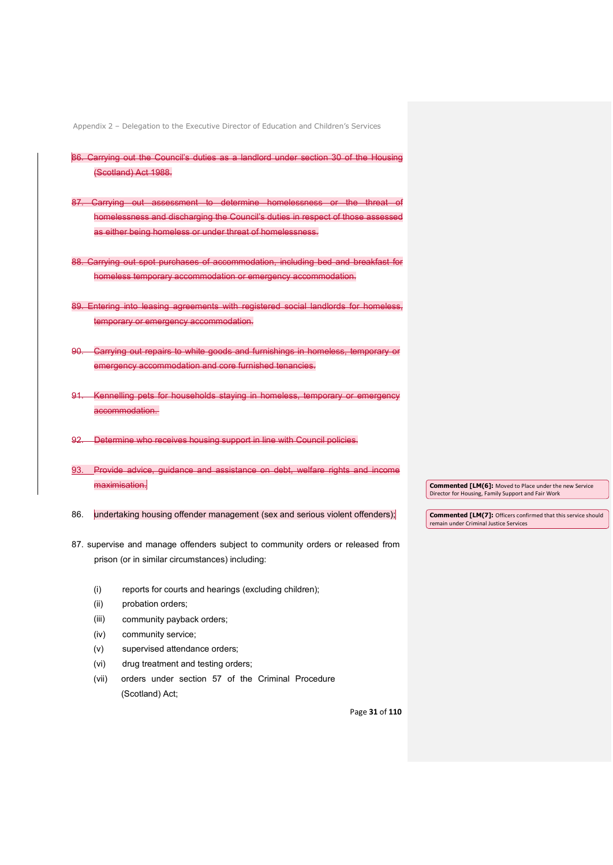- 86. Carrying out the Council's duties as a landlord under section 30 of the Hous (Scotland) Act 1988.
- 87. Carrying out assessment to determine homelessness or the threat of homelessness and discharging the Council's duties in respect of those assessed as either being homeless or under threat of homelessness.
- 88. Carrying out spot purchases of accommodation, including bed and breakfast for homeless temporary accommodation or emergency accommodation.
- 89. Entering into leasing agreements with registered social landlords for homeless, temporary or emergency accommodation.
- 90. Carrying out repairs to white goods and furnishings in homeless, temporary or emergency accommodation and core furnished tenancies.
- 91. Kennelling pets for households staying in homeless, temporary or emergency accommodation.
- 92. Determine who receives housing support in line with Council policies.
- 93. Provide advice, guidance and assistance on debt, welfare rights and income maximisation.
- 86. undertaking housing offender management (sex and serious violent offenders);
- 87. supervise and manage offenders subject to community orders or released from prison (or in similar circumstances) including:
	- (i) reports for courts and hearings (excluding children);
	- (ii) probation orders;
	- (iii) community payback orders;
	- (iv) community service;
	- (v) supervised attendance orders;
	- (vi) drug treatment and testing orders;
	- (vii) orders under section 57 of the Criminal Procedure (Scotland) Act;

**Commented [LM(6]:** Moved to Place under the new Service Director for Housing, Family Support and Fair Work

**Commented [LM(7]:** Officers confirmed that this service should remain under Criminal Justice Services

Page **31** of **110**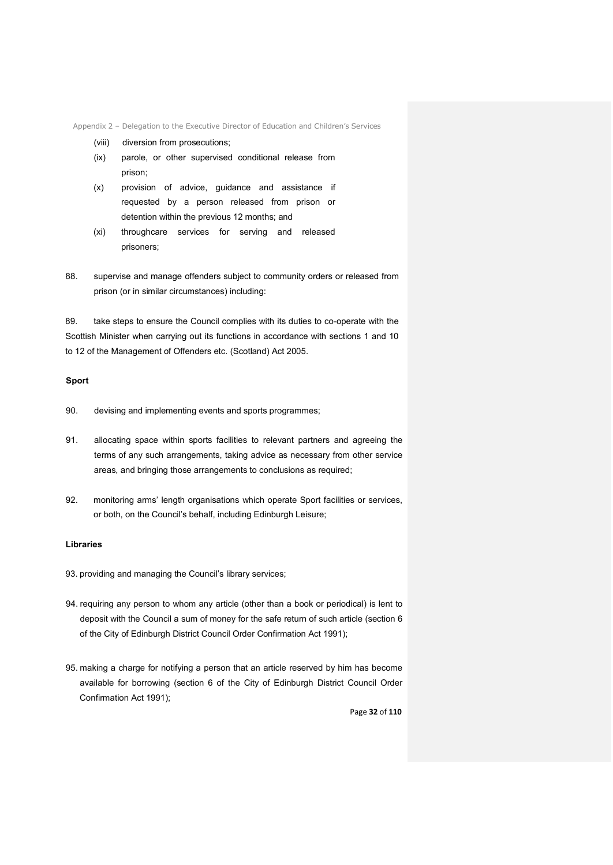Appendix 2 – Delegation to the Executive Director of Education and Children's Services

- (viii) diversion from prosecutions;
- (ix) parole, or other supervised conditional release from prison;
- (x) provision of advice, guidance and assistance if requested by a person released from prison or detention within the previous 12 months; and
- (xi) throughcare services for serving and released prisoners;
- 88. supervise and manage offenders subject to community orders or released from prison (or in similar circumstances) including:

89. take steps to ensure the Council complies with its duties to co-operate with the Scottish Minister when carrying out its functions in accordance with sections 1 and 10 to 12 of the Management of Offenders etc. (Scotland) Act 2005.

# **Sport**

- 90. devising and implementing events and sports programmes;
- 91. allocating space within sports facilities to relevant partners and agreeing the terms of any such arrangements, taking advice as necessary from other service areas, and bringing those arrangements to conclusions as required;
- 92. monitoring arms' length organisations which operate Sport facilities or services, or both, on the Council's behalf, including Edinburgh Leisure;

## **Libraries**

- 93. providing and managing the Council's library services;
- 94. requiring any person to whom any article (other than a book or periodical) is lent to deposit with the Council a sum of money for the safe return of such article (section 6 of the City of Edinburgh District Council Order Confirmation Act 1991);
- 95. making a charge for notifying a person that an article reserved by him has become available for borrowing (section 6 of the City of Edinburgh District Council Order Confirmation Act 1991);

Page **32** of **110**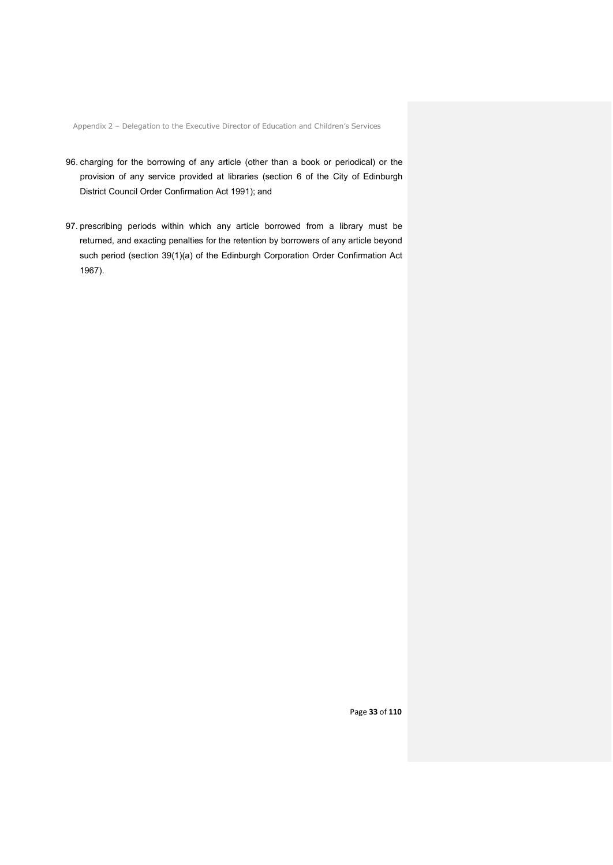Appendix 2 – Delegation to the Executive Director of Education and Children's Services

- 96. charging for the borrowing of any article (other than a book or periodical) or the provision of any service provided at libraries (section 6 of the City of Edinburgh District Council Order Confirmation Act 1991); and
- 97. prescribing periods within which any article borrowed from a library must be returned, and exacting penalties for the retention by borrowers of any article beyond such period (section 39(1)(a) of the Edinburgh Corporation Order Confirmation Act 1967).

Page **33** of **110**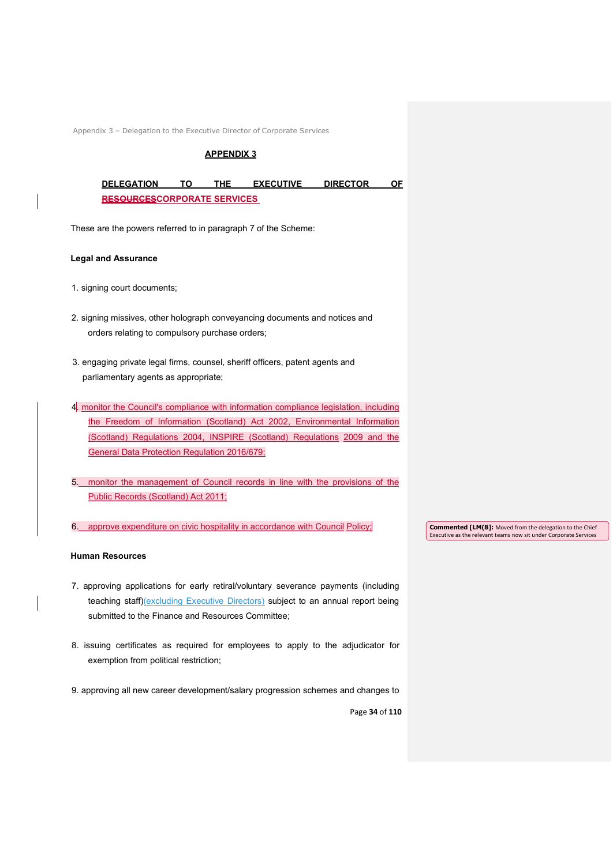## **APPENDIX 3**

| <b>DELEGATION</b>                  |  | THE | <b>EXECUTIVE</b> | <b>DIRECTOR</b> |  |  |
|------------------------------------|--|-----|------------------|-----------------|--|--|
| <b>RESOURCESCORPORATE SERVICES</b> |  |     |                  |                 |  |  |

These are the powers referred to in paragraph 7 of the Scheme:

#### **Legal and Assurance**

- 1. signing court documents;
- 2. signing missives, other holograph conveyancing documents and notices and orders relating to compulsory purchase orders;
- 3. engaging private legal firms, counsel, sheriff officers, patent agents and parliamentary agents as appropriate;
- 4. monitor the Council's compliance with information compliance legislation, including the Freedom of Information (Scotland) Act 2002, Environmental Information (Scotland) Regulations 2004, INSPIRE (Scotland) Regulations 2009 and the General Data Protection Regulation 2016/679;
- 5. monitor the management of Council records in line with the provisions of the Public Records (Scotland) Act 2011;
- 6. approve expenditure on civic hospitality in accordance with Council Policy;

#### **Human Resources**

- 7. approving applications for early retiral/voluntary severance payments (including teaching staff)(excluding Executive Directors) subject to an annual report being submitted to the Finance and Resources Committee;
- 8. issuing certificates as required for employees to apply to the adjudicator for exemption from political restriction;
- 9. approving all new career development/salary progression schemes and changes to

Page **34** of **110**

**Commented [LM(8]:** Moved from the delegation to the Chief Executive as the relevant teams now sit under Corporate Services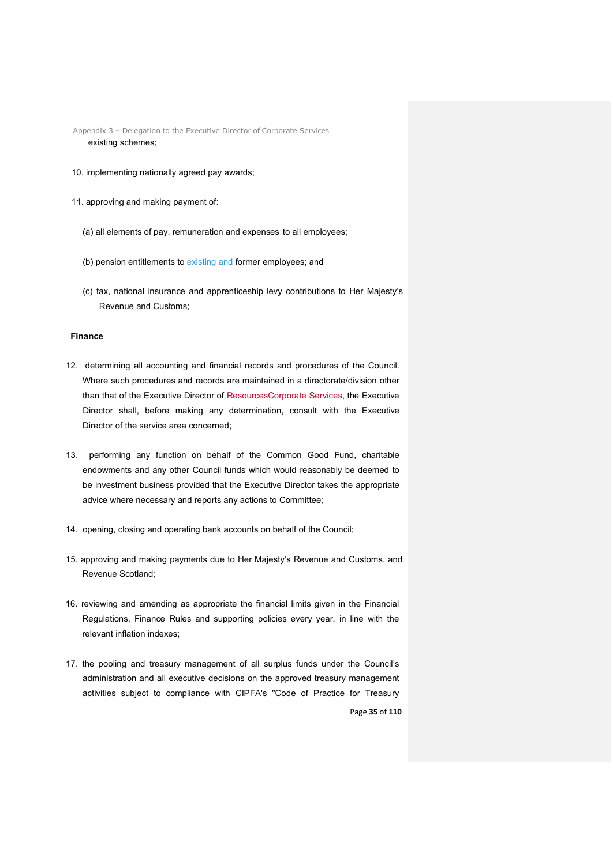Appendix 3 – Delegation to the Executive Director of Corporate Services existing schemes;

- 10. implementing nationally agreed pay awards;
- 11. approving and making payment of:
	- (a) all elements of pay, remuneration and expenses to all employees;
	- (b) pension entitlements to existing and former employees; and
	- (c) tax, national insurance and apprenticeship levy contributions to Her Majesty's Revenue and Customs;

### **Finance**

- 12. determining all accounting and financial records and procedures of the Council. Where such procedures and records are maintained in a directorate/division other than that of the Executive Director of ResourcesCorporate Services, the Executive Director shall, before making any determination, consult with the Executive Director of the service area concerned;
- 13. performing any function on behalf of the Common Good Fund, charitable endowments and any other Council funds which would reasonably be deemed to be investment business provided that the Executive Director takes the appropriate advice where necessary and reports any actions to Committee;
- 14. opening, closing and operating bank accounts on behalf of the Council;
- 15. approving and making payments due to Her Majesty's Revenue and Customs, and Revenue Scotland;
- 16. reviewing and amending as appropriate the financial limits given in the Financial Regulations, Finance Rules and supporting policies every year, in line with the relevant inflation indexes;
- Page **35** of **110** 17. the pooling and treasury management of all surplus funds under the Council's administration and all executive decisions on the approved treasury management activities subject to compliance with CIPFA's "Code of Practice for Treasury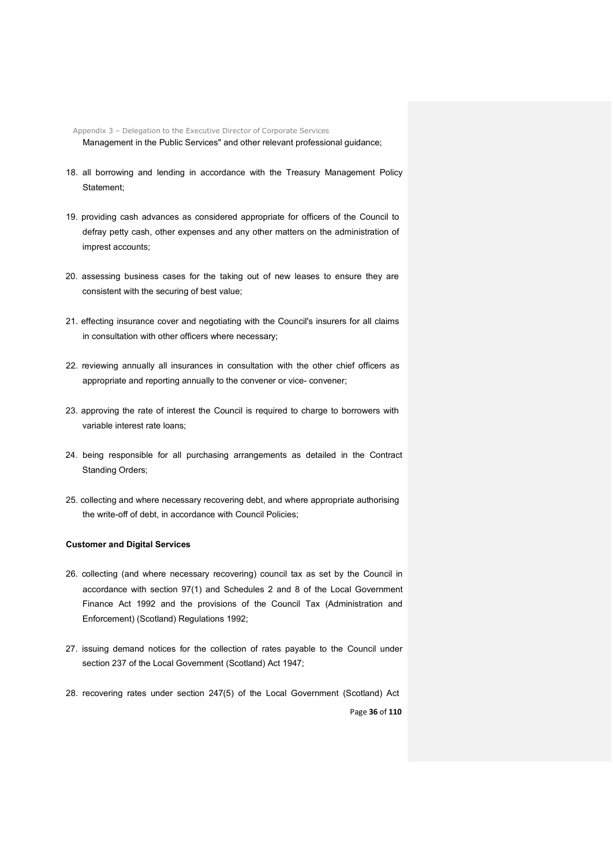Appendix 3 – Delegation to the Executive Director of Corporate Services Management in the Public Services" and other relevant professional guidance;

- 18. all borrowing and lending in accordance with the Treasury Management Policy Statement;
- 19. providing cash advances as considered appropriate for officers of the Council to defray petty cash, other expenses and any other matters on the administration of imprest accounts;
- 20. assessing business cases for the taking out of new leases to ensure they are consistent with the securing of best value;
- 21. effecting insurance cover and negotiating with the Council's insurers for all claims in consultation with other officers where necessary;
- 22. reviewing annually all insurances in consultation with the other chief officers as appropriate and reporting annually to the convener or vice- convener:
- 23. approving the rate of interest the Council is required to charge to borrowers with variable interest rate loans;
- 24. being responsible for all purchasing arrangements as detailed in the Contract Standing Orders;
- 25. collecting and where necessary recovering debt, and where appropriate authorising the write-off of debt, in accordance with Council Policies;

## **Customer and Digital Services**

- 26. collecting (and where necessary recovering) council tax as set by the Council in accordance with section 97(1) and Schedules 2 and 8 of the Local Government Finance Act 1992 and the provisions of the Council Tax (Administration and Enforcement) (Scotland) Regulations 1992;
- 27. issuing demand notices for the collection of rates payable to the Council under section 237 of the Local Government (Scotland) Act 1947;
- Page **36** of **110** 28. recovering rates under section 247(5) of the Local Government (Scotland) Act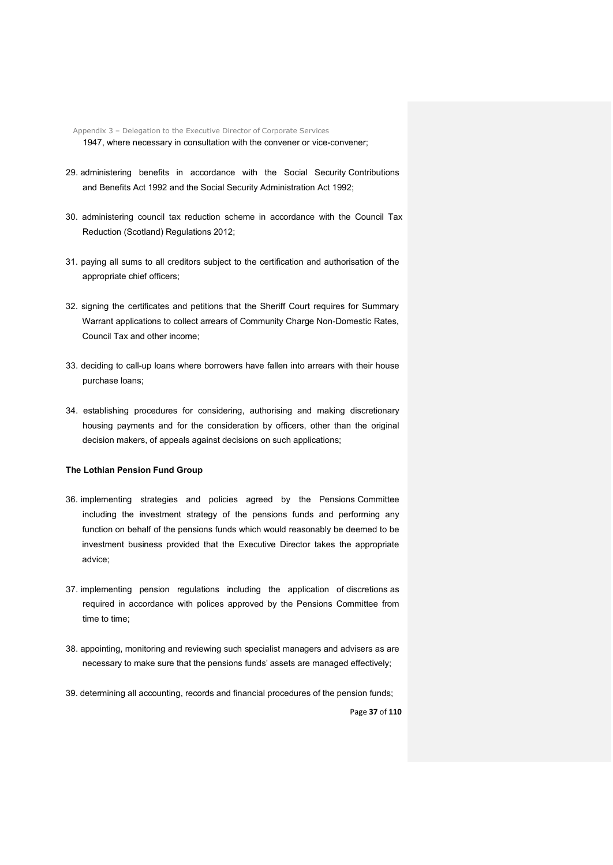Appendix 3 – Delegation to the Executive Director of Corporate Services 1947, where necessary in consultation with the convener or vice-convener;

- 29. administering benefits in accordance with the Social Security Contributions and Benefits Act 1992 and the Social Security Administration Act 1992;
- 30. administering council tax reduction scheme in accordance with the Council Tax Reduction (Scotland) Regulations 2012;
- 31. paying all sums to all creditors subject to the certification and authorisation of the appropriate chief officers;
- 32. signing the certificates and petitions that the Sheriff Court requires for Summary Warrant applications to collect arrears of Community Charge Non-Domestic Rates, Council Tax and other income;
- 33. deciding to call-up loans where borrowers have fallen into arrears with their house purchase loans;
- 34. establishing procedures for considering, authorising and making discretionary housing payments and for the consideration by officers, other than the original decision makers, of appeals against decisions on such applications;

# **The Lothian Pension Fund Group**

- 36. implementing strategies and policies agreed by the Pensions Committee including the investment strategy of the pensions funds and performing any function on behalf of the pensions funds which would reasonably be deemed to be investment business provided that the Executive Director takes the appropriate advice;
- 37. implementing pension regulations including the application of discretions as required in accordance with polices approved by the Pensions Committee from time to time;
- 38. appointing, monitoring and reviewing such specialist managers and advisers as are necessary to make sure that the pensions funds' assets are managed effectively;
- 39. determining all accounting, records and financial procedures of the pension funds;

Page **37** of **110**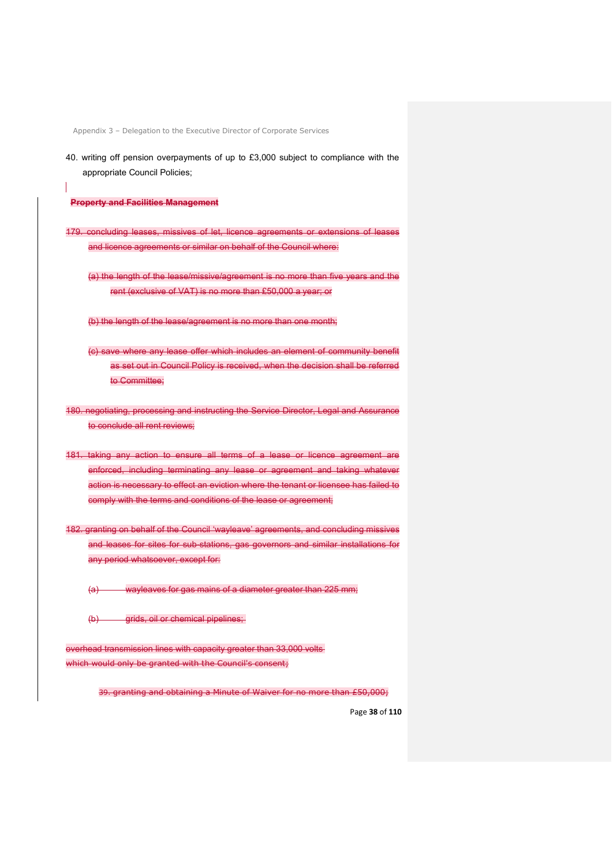40. writing off pension overpayments of up to £3,000 subject to compliance with the appropriate Council Policies;

**Property and Facilities Management**

- 179. concluding leases, missives of let, licence agreements or extensions of leases and licence agreements or similar on behalf of the Council where:
	- (a) the length of the lease/missive/agreement is no more than five years and the rent (exclusive of VAT) is no more than £50,000 a year; or

(b) the length of the lease/agreement is no more than one month;

- (c) save where any lease offer which includes an element of community benefit as set out in Council Policy is received, when the decision shall be referred to Committee;
- 180. negotiating, processing and instructing the Service Director, Legal and Assurance to conclude all rent reviews:
- 181. taking any action to ensure all terms of a lease or licence agreement are enforced, including terminating any lease or agreement and taking whatever action is necessary to effect an eviction where the tenant or licensee has failed to comply with the terms and conditions of the lease or agreement;
- 182. granting on behalf of the Council 'wayleave' agreements, and concluding missives and leases for sites for sub-stations, gas governors and similar installations for any period whatsoever, except for:
	- (a) wayleaves for gas mains of a diameter greater than 225 mm;
	- (b) grids, oil or chemical pipelines;

overhead transmission lines with capacity greater than 33,000 volts which would only be granted with the Council's consent;

39. granting and obtaining a Minute of Waiver for no more than £50,000;

Page **38** of **110**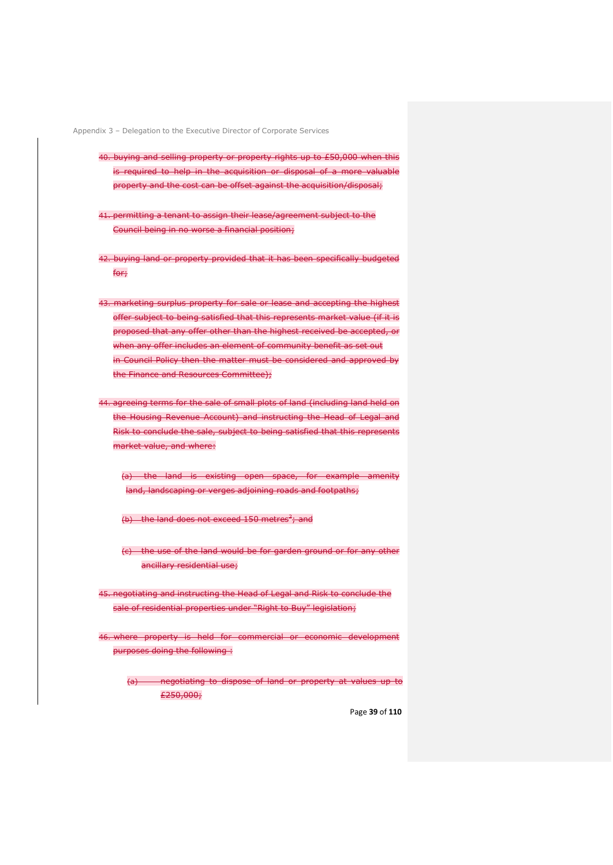- 40. buying and selling property or property rights up to £50,000 when this is required to help in the acquisition or disposal of a more valuable property and the cost can be offset against the acquisition/disposal;
- 41. permitting a tenant to assign their lease/agreement subject to the Council being in no worse a financial position;
- 42. buying land or property provided that it has been specifically budgeted for;
- 43. marketing surplus property for sale or lease and accepting the highest offer subject to being satisfied that this represents market value (if it is proposed that any offer other than the highest received be accepted, or when any offer includes an element of community benefit as set out in Council Policy then the matter must be considered and approved by the Finance and Resources Committee);
- 44. agreeing terms for the sale of small plots of land (including land held on the Housing Revenue Account) and instructing the Head of Legal and Risk to conclude the sale, subject to being satisfied that this represents market value, and where:
	- (a) the land is existing open space, for example amenity land, landscaping or verges adjoining roads and footpaths;
	- (b) the land does not exceed 150 metres<sup>2</sup>; and
	- (c) the use of the land would be for garden ground or for any other ancillary residential use;
- 45. negotiating and instructing the Head of Legal and Risk to conclude the sale of residential properties under "Right to Buy" legislation;
- 46. where property is held for commercial or economic development purposes doing the following :
	- (a) negotiating to dispose of land or property at values up to £250,000;

Page **39** of **110**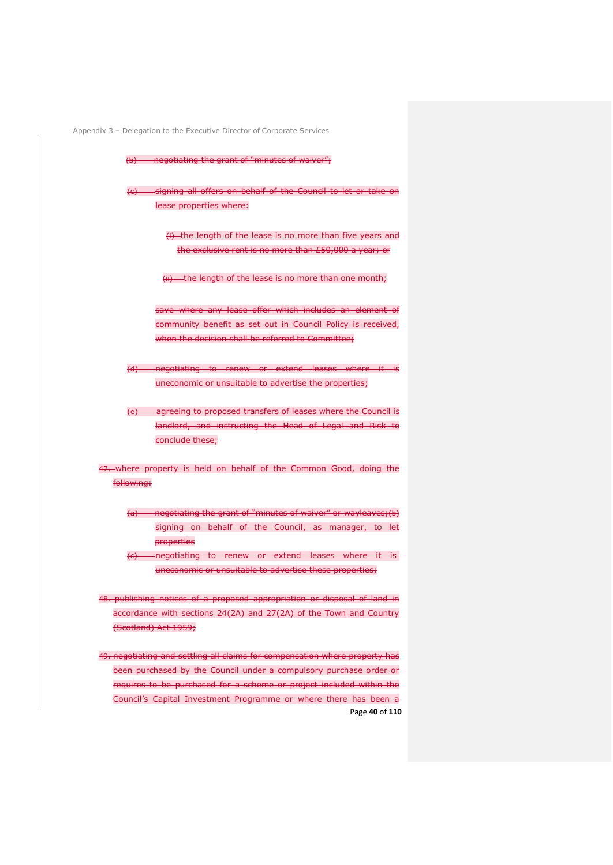(b) negotiating the grant of "minutes of waiver";

(c) signing all offers on behalf of the Council to let or take on lease properties where:

> (i) the length of the lease is no more than five years and the exclusive rent is no more than £50,000 a year; or

(ii) the length of the lease is no more than one month:

save where any lease offer which includes an element of community benefit as set out in Council Policy is received, when the decision shall be referred to Committee;

(d) negotiating to renew or extend leases where it is uneconomic or unsuitable to advertise the properties;

(e) agreeing to proposed transfers of leases where the Council is landlord, and instructing the Head of Legal and Risk to conclude these;

47. where property is held on behalf of the Common Good, doing the following:

- (a) negotiating the grant of "minutes of waiver" or wayleaves;(b) signing on behalf of the Council, as manager, to let properties
- (c) negotiating to renew or extend leases where it is uneconomic or unsuitable to advertise these properties;

48. publishing notices of a proposed appropriation or disposal of land in accordance with sections 24(2A) and 27(2A) of the Town and Country (Scotland) Act 1959;

Page **40** of **110** 49. negotiating and settling all claims for compensation where property has been purchased by the Council under a compulsory purchase order or requires to be purchased for a scheme or project included within the Council's Capital Investment Programme or where there has been a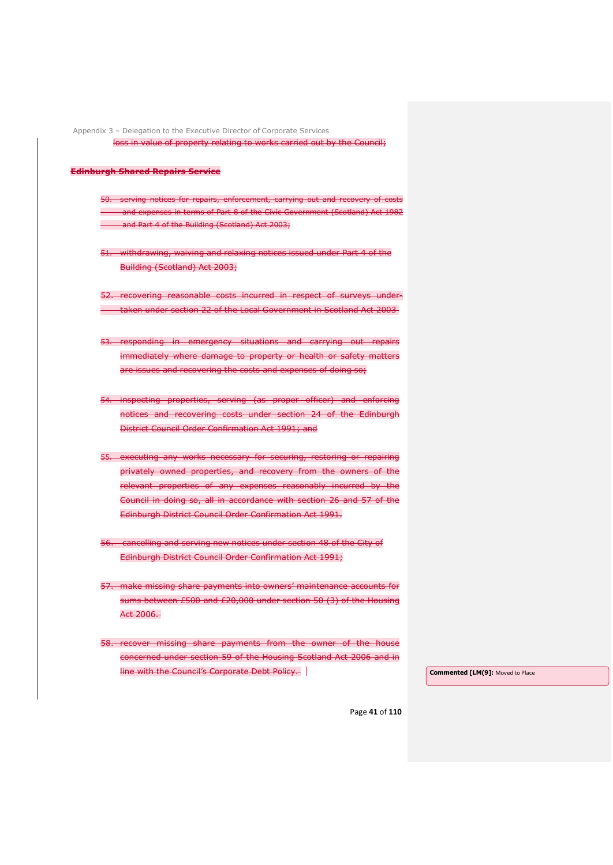Appendix 3 – Delegation to the Executive Director of Corporate Services loss in value of property relating to works carried out by the Council;

#### **Edinburgh Shared Repairs Service**

50. serving notices for repairs, enforcement, carrying out and recovery of costs and expenses in terms of Part 8 of the Civic Government (Scotland) Act 1982 and Part 4 of the Building (Scotland) Act 2003;

51. withdrawing, waiving and relaxing notices issued under Part 4 of the Building (Scotland) Act 2003;

52. recovering reasonable costs incurred in respect of surveys undertaken under section 22 of the Local Government in Scotland Act 2003

- 53. responding in emergency situations and carrying out repairs immediately where damage to property or health or safety matters are issues and recovering the costs and expenses of doing so;
- 54. inspecting properties, serving (as proper officer) and enforcing notices and recovering costs under section 24 of the Edinburgh District Council Order Confirmation Act 1991; and
- 55. executing any works necessary for securing, restoring or repairing privately owned properties, and recovery from the owners of the relevant properties of any expenses reasonably incurred by the Council in doing so, all in accordance with section 26 and 57 of the Edinburgh District Council Order Confirmation Act 1991.
- 56. cancelling and serving new notices under section 48 of the City of Edinburgh District Council Order Confirmation Act 1991;
- 57. make missing share payments into owners' maintenance accounts for sums between £500 and £20,000 under section 50 (3) of the Housing Act 2006.
- 58. recover missing share payments from the owner of the house concerned under section 59 of the Housing Scotland Act 2006 and in line with the Council's Corporate Debt Policy. **Commented [LM(9]:** Moved to Place

Page **41** of **110**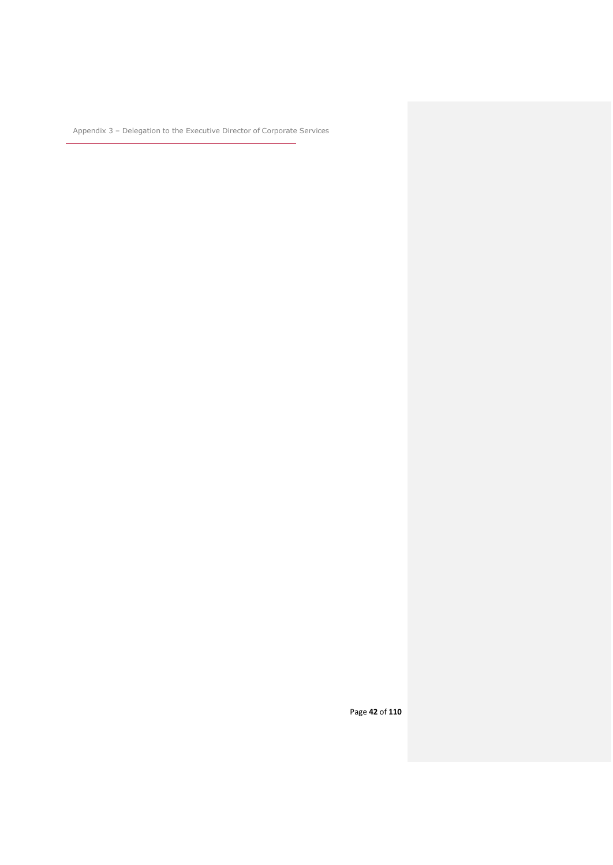Page **42** of **110**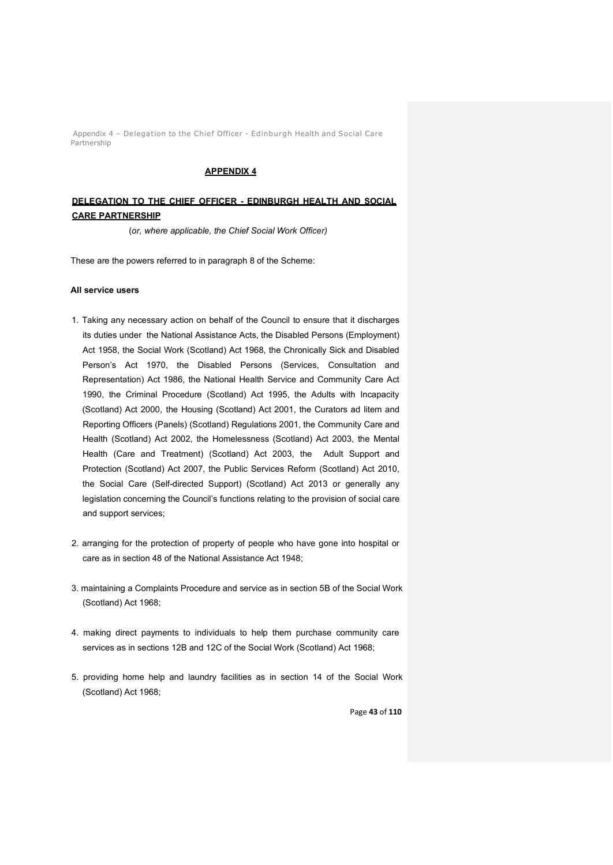Appendix 4 – Delegation to the Chief Officer - Edinburgh Health and Social Care Partnership

### **APPENDIX 4**

# **DELEGATION TO THE CHIEF OFFICER - EDINBURGH HEALTH AND SOCIAL CARE PARTNERSHIP**

(*or, where applicable, the Chief Social Work Officer)*

These are the powers referred to in paragraph 8 of the Scheme:

## **All service users**

- 1. Taking any necessary action on behalf of the Council to ensure that it discharges its duties under the National Assistance Acts, the Disabled Persons (Employment) Act 1958, the Social Work (Scotland) Act 1968, the Chronically Sick and Disabled Person's Act 1970, the Disabled Persons (Services, Consultation and Representation) Act 1986, the National Health Service and Community Care Act 1990, the Criminal Procedure (Scotland) Act 1995, the Adults with Incapacity (Scotland) Act 2000, the Housing (Scotland) Act 2001, the Curators ad litem and Reporting Officers (Panels) (Scotland) Regulations 2001, the Community Care and Health (Scotland) Act 2002, the Homelessness (Scotland) Act 2003, the Mental Health (Care and Treatment) (Scotland) Act 2003, the Adult Support and Protection (Scotland) Act 2007, the Public Services Reform (Scotland) Act 2010, the Social Care (Self-directed Support) (Scotland) Act 2013 or generally any legislation concerning the Council's functions relating to the provision of social care and support services;
- 2. arranging for the protection of property of people who have gone into hospital or care as in section 48 of the National Assistance Act 1948;
- 3. maintaining a Complaints Procedure and service as in section 5B of the Social Work (Scotland) Act 1968;
- 4. making direct payments to individuals to help them purchase community care services as in sections 12B and 12C of the Social Work (Scotland) Act 1968;
- 5. providing home help and laundry facilities as in section 14 of the Social Work (Scotland) Act 1968;

Page **43** of **110**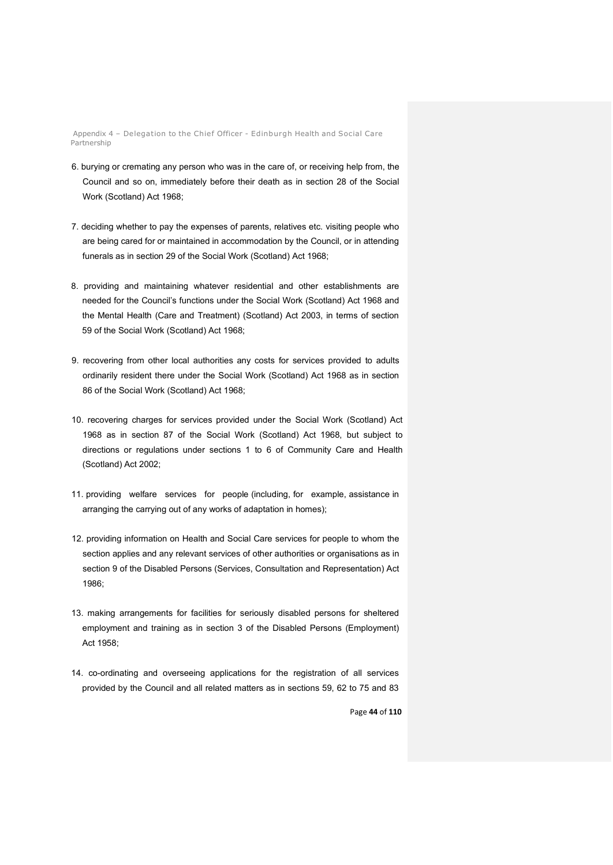Appendix 4 – Delegation to the Chief Officer - Edinburgh Health and Social Care Partnership

- 6. burying or cremating any person who was in the care of, or receiving help from, the Council and so on, immediately before their death as in section 28 of the Social Work (Scotland) Act 1968;
- 7. deciding whether to pay the expenses of parents, relatives etc. visiting people who are being cared for or maintained in accommodation by the Council, or in attending funerals as in section 29 of the Social Work (Scotland) Act 1968;
- 8. providing and maintaining whatever residential and other establishments are needed for the Council's functions under the Social Work (Scotland) Act 1968 and the Mental Health (Care and Treatment) (Scotland) Act 2003, in terms of section 59 of the Social Work (Scotland) Act 1968;
- 9. recovering from other local authorities any costs for services provided to adults ordinarily resident there under the Social Work (Scotland) Act 1968 as in section 86 of the Social Work (Scotland) Act 1968;
- 10. recovering charges for services provided under the Social Work (Scotland) Act 1968 as in section 87 of the Social Work (Scotland) Act 1968, but subject to directions or regulations under sections 1 to 6 of Community Care and Health (Scotland) Act 2002;
- 11. providing welfare services for people (including, for example, assistance in arranging the carrying out of any works of adaptation in homes);
- 12. providing information on Health and Social Care services for people to whom the section applies and any relevant services of other authorities or organisations as in section 9 of the Disabled Persons (Services, Consultation and Representation) Act 1986;
- 13. making arrangements for facilities for seriously disabled persons for sheltered employment and training as in section 3 of the Disabled Persons (Employment) Act 1958;
- 14. co-ordinating and overseeing applications for the registration of all services provided by the Council and all related matters as in sections 59, 62 to 75 and 83

Page **44** of **110**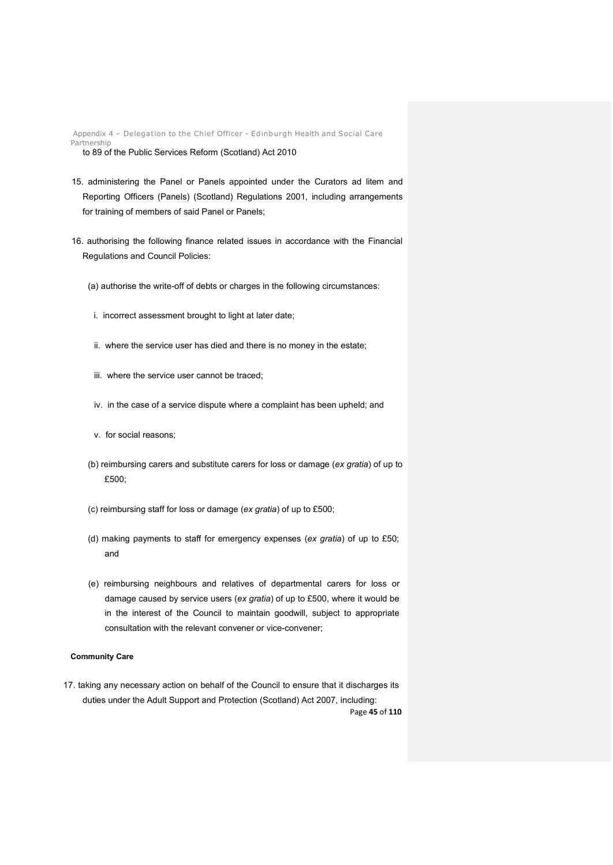Appendix 4 – Delegation to the Chief Officer - Edinburgh Health and Social Care Partnership to 89 of the Public Services Reform (Scotland) Act 2010

- 15. administering the Panel or Panels appointed under the Curators ad litem and Reporting Officers (Panels) (Scotland) Regulations 2001, including arrangements for training of members of said Panel or Panels;
- 16. authorising the following finance related issues in accordance with the Financial Regulations and Council Policies:
	- (a) authorise the write-off of debts or charges in the following circumstances:
	- i. incorrect assessment brought to light at later date;
	- ii. where the service user has died and there is no money in the estate;
	- iii. where the service user cannot be traced;
	- iv. in the case of a service dispute where a complaint has been upheld; and
	- v. for social reasons;
	- (b) reimbursing carers and substitute carers for loss or damage (*ex gratia*) of up to £500;
	- (c) reimbursing staff for loss or damage (*ex gratia*) of up to £500;
	- (d) making payments to staff for emergency expenses (*ex gratia*) of up to £50; and
	- (e) reimbursing neighbours and relatives of departmental carers for loss or damage caused by service users (*ex gratia*) of up to £500, where it would be in the interest of the Council to maintain goodwill, subject to appropriate consultation with the relevant convener or vice-convener;

## **Community Care**

Page **45** of **110** 17. taking any necessary action on behalf of the Council to ensure that it discharges its duties under the Adult Support and Protection (Scotland) Act 2007, including: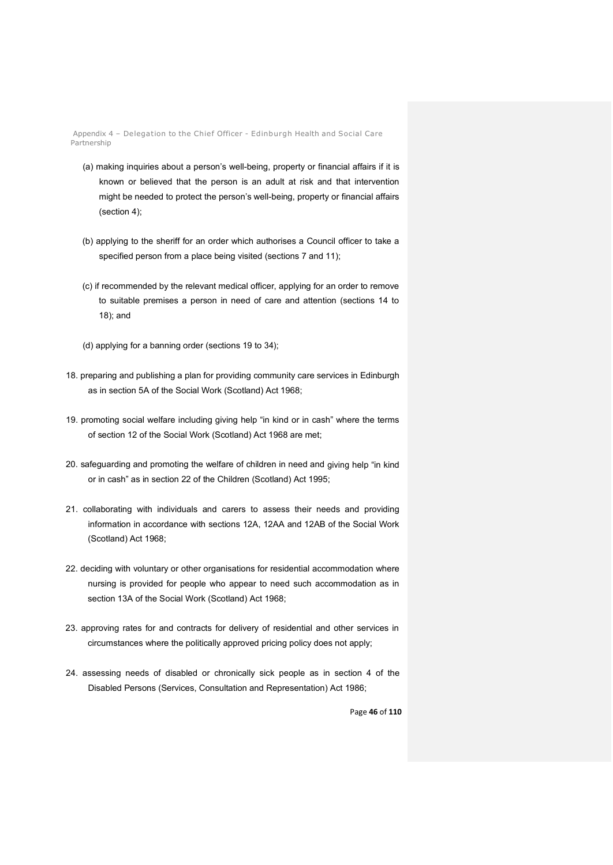Appendix 4 – Delegation to the Chief Officer - Edinburgh Health and Social Care Partnership

- (a) making inquiries about a person's well-being, property or financial affairs if it is known or believed that the person is an adult at risk and that intervention might be needed to protect the person's well-being, property or financial affairs (section 4);
- (b) applying to the sheriff for an order which authorises a Council officer to take a specified person from a place being visited (sections 7 and 11);
- (c) if recommended by the relevant medical officer, applying for an order to remove to suitable premises a person in need of care and attention (sections 14 to 18); and
- (d) applying for a banning order (sections 19 to 34);
- 18. preparing and publishing a plan for providing community care services in Edinburgh as in section 5A of the Social Work (Scotland) Act 1968;
- 19. promoting social welfare including giving help "in kind or in cash" where the terms of section 12 of the Social Work (Scotland) Act 1968 are met;
- 20. safeguarding and promoting the welfare of children in need and giving help "in kind or in cash" as in section 22 of the Children (Scotland) Act 1995;
- 21. collaborating with individuals and carers to assess their needs and providing information in accordance with sections 12A, 12AA and 12AB of the Social Work (Scotland) Act 1968;
- 22. deciding with voluntary or other organisations for residential accommodation where nursing is provided for people who appear to need such accommodation as in section 13A of the Social Work (Scotland) Act 1968;
- 23. approving rates for and contracts for delivery of residential and other services in circumstances where the politically approved pricing policy does not apply;
- 24. assessing needs of disabled or chronically sick people as in section 4 of the Disabled Persons (Services, Consultation and Representation) Act 1986;

Page **46** of **110**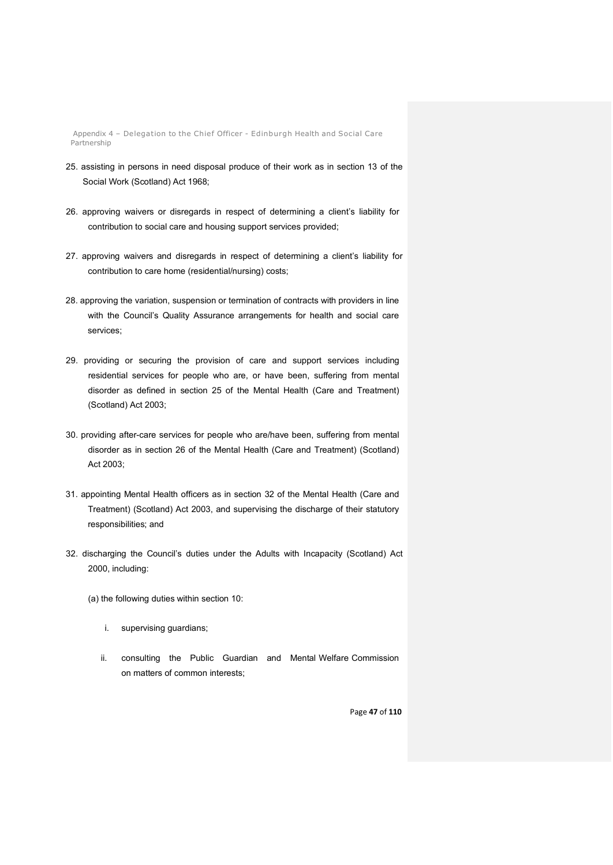Appendix 4 – Delegation to the Chief Officer - Edinburgh Health and Social Care Partnership

- 25. assisting in persons in need disposal produce of their work as in section 13 of the Social Work (Scotland) Act 1968;
- 26. approving waivers or disregards in respect of determining a client's liability for contribution to social care and housing support services provided;
- 27. approving waivers and disregards in respect of determining a client's liability for contribution to care home (residential/nursing) costs;
- 28. approving the variation, suspension or termination of contracts with providers in line with the Council's Quality Assurance arrangements for health and social care services;
- 29. providing or securing the provision of care and support services including residential services for people who are, or have been, suffering from mental disorder as defined in section 25 of the Mental Health (Care and Treatment) (Scotland) Act 2003;
- 30. providing after-care services for people who are/have been, suffering from mental disorder as in section 26 of the Mental Health (Care and Treatment) (Scotland) Act 2003;
- 31. appointing Mental Health officers as in section 32 of the Mental Health (Care and Treatment) (Scotland) Act 2003, and supervising the discharge of their statutory responsibilities; and
- 32. discharging the Council's duties under the Adults with Incapacity (Scotland) Act 2000, including:
	- (a) the following duties within section 10:
		- i. supervising guardians;
		- ii. consulting the Public Guardian and Mental Welfare Commission on matters of common interests;

Page **47** of **110**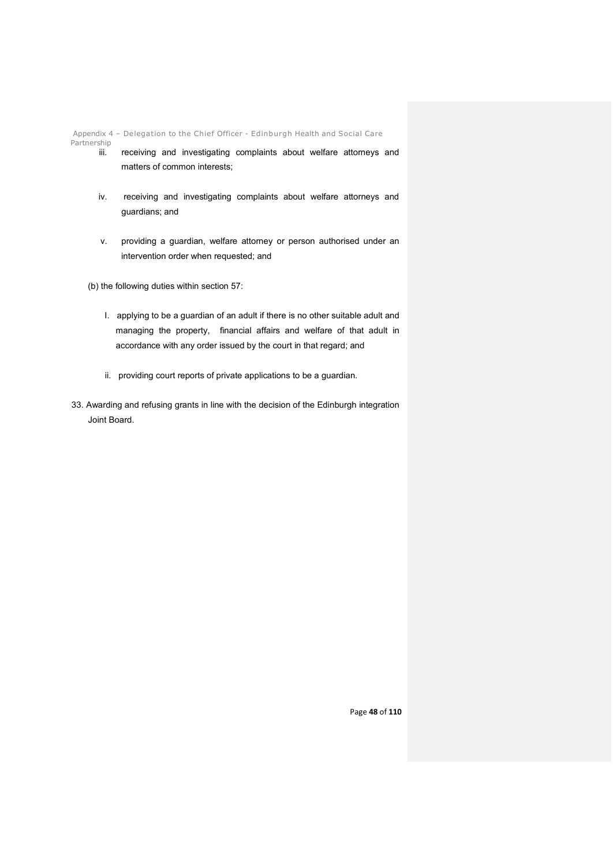Appendix 4 – Delegation to the Chief Officer - Edinburgh Health and Social Care

Partnership

- receiving and investigating complaints about welfare attorneys and matters of common interests;
- iv. receiving and investigating complaints about welfare attorneys and guardians; and
- v. providing a guardian, welfare attorney or person authorised under an intervention order when requested; and

(b) the following duties within section 57:

- I. applying to be a guardian of an adult if there is no other suitable adult and managing the property, financial affairs and welfare of that adult in accordance with any order issued by the court in that regard; and
- ii. providing court reports of private applications to be a guardian.
- 33. Awarding and refusing grants in line with the decision of the Edinburgh integration Joint Board.

Page **48** of **110**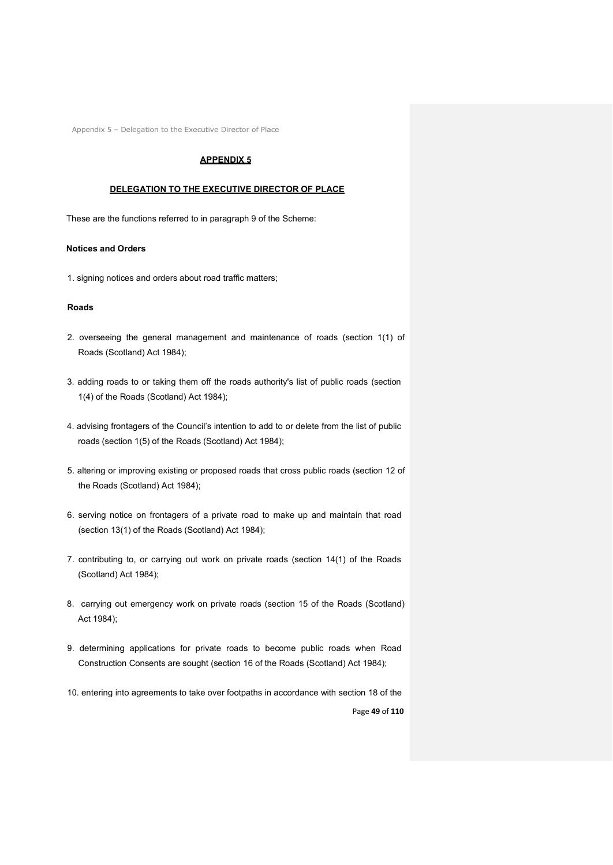## **APPENDIX 5**

#### **DELEGATION TO THE EXECUTIVE DIRECTOR OF PLACE**

These are the functions referred to in paragraph 9 of the Scheme:

#### **Notices and Orders**

1. signing notices and orders about road traffic matters;

#### **Roads**

- 2. overseeing the general management and maintenance of roads (section 1(1) of Roads (Scotland) Act 1984);
- 3. adding roads to or taking them off the roads authority's list of public roads (section 1(4) of the Roads (Scotland) Act 1984);
- 4. advising frontagers of the Council's intention to add to or delete from the list of public roads (section 1(5) of the Roads (Scotland) Act 1984);
- 5. altering or improving existing or proposed roads that cross public roads (section 12 of the Roads (Scotland) Act 1984);
- 6. serving notice on frontagers of a private road to make up and maintain that road (section 13(1) of the Roads (Scotland) Act 1984);
- 7. contributing to, or carrying out work on private roads (section 14(1) of the Roads (Scotland) Act 1984);
- 8. carrying out emergency work on private roads (section 15 of the Roads (Scotland) Act 1984);
- 9. determining applications for private roads to become public roads when Road Construction Consents are sought (section 16 of the Roads (Scotland) Act 1984);
- Page **49** of **110** 10. entering into agreements to take over footpaths in accordance with section 18 of the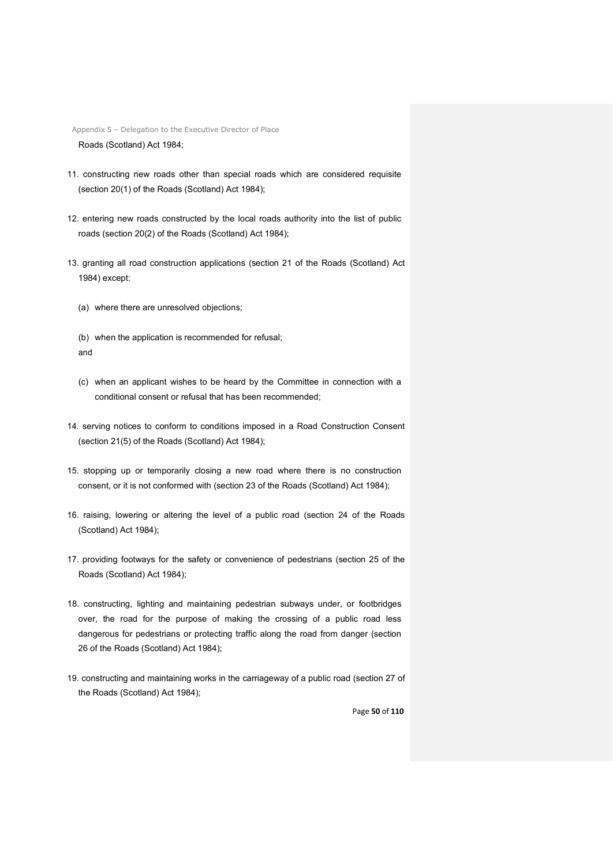Appendix 5 – Delegation to the Executive Director of Place Roads (Scotland) Act 1984;

- 11. constructing new roads other than special roads which are considered requisite (section 20(1) of the Roads (Scotland) Act 1984);
- 12. entering new roads constructed by the local roads authority into the list of public roads (section 20(2) of the Roads (Scotland) Act 1984);
- 13. granting all road construction applications (section 21 of the Roads (Scotland) Act 1984) except:
	- (a) where there are unresolved objections;
	- (b) when the application is recommended for refusal; and
	- (c) when an applicant wishes to be heard by the Committee in connection with a conditional consent or refusal that has been recommended;
- 14. serving notices to conform to conditions imposed in a Road Construction Consent (section 21(5) of the Roads (Scotland) Act 1984);
- 15. stopping up or temporarily closing a new road where there is no construction consent, or it is not conformed with (section 23 of the Roads (Scotland) Act 1984);
- 16. raising, lowering or altering the level of a public road (section 24 of the Roads (Scotland) Act 1984);
- 17. providing footways for the safety or convenience of pedestrians (section 25 of the Roads (Scotland) Act 1984);
- 18. constructing, lighting and maintaining pedestrian subways under, or footbridges over, the road for the purpose of making the crossing of a public road less dangerous for pedestrians or protecting traffic along the road from danger (section 26 of the Roads (Scotland) Act 1984);
- 19. constructing and maintaining works in the carriageway of a public road (section 27 of the Roads (Scotland) Act 1984);

Page **50** of **110**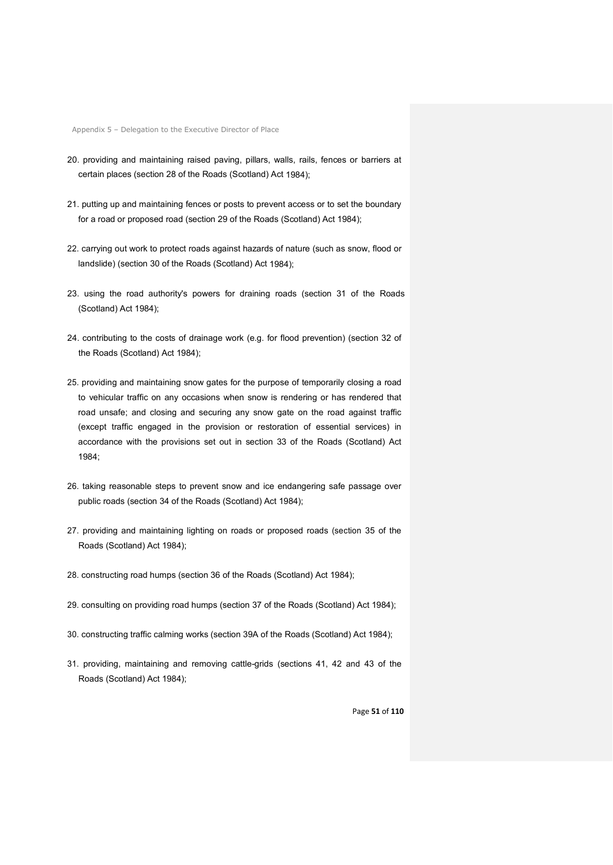- 20. providing and maintaining raised paving, pillars, walls, rails, fences or barriers at certain places (section 28 of the Roads (Scotland) Act 1984);
- 21. putting up and maintaining fences or posts to prevent access or to set the boundary for a road or proposed road (section 29 of the Roads (Scotland) Act 1984);
- 22. carrying out work to protect roads against hazards of nature (such as snow, flood or landslide) (section 30 of the Roads (Scotland) Act 1984);
- 23. using the road authority's powers for draining roads (section 31 of the Roads (Scotland) Act 1984);
- 24. contributing to the costs of drainage work (e.g. for flood prevention) (section 32 of the Roads (Scotland) Act 1984);
- 25. providing and maintaining snow gates for the purpose of temporarily closing a road to vehicular traffic on any occasions when snow is rendering or has rendered that road unsafe; and closing and securing any snow gate on the road against traffic (except traffic engaged in the provision or restoration of essential services) in accordance with the provisions set out in section 33 of the Roads (Scotland) Act 1984;
- 26. taking reasonable steps to prevent snow and ice endangering safe passage over public roads (section 34 of the Roads (Scotland) Act 1984);
- 27. providing and maintaining lighting on roads or proposed roads (section 35 of the Roads (Scotland) Act 1984);
- 28. constructing road humps (section 36 of the Roads (Scotland) Act 1984);
- 29. consulting on providing road humps (section 37 of the Roads (Scotland) Act 1984);
- 30. constructing traffic calming works (section 39A of the Roads (Scotland) Act 1984);
- 31. providing, maintaining and removing cattle-grids (sections 41, 42 and 43 of the Roads (Scotland) Act 1984);

Page **51** of **110**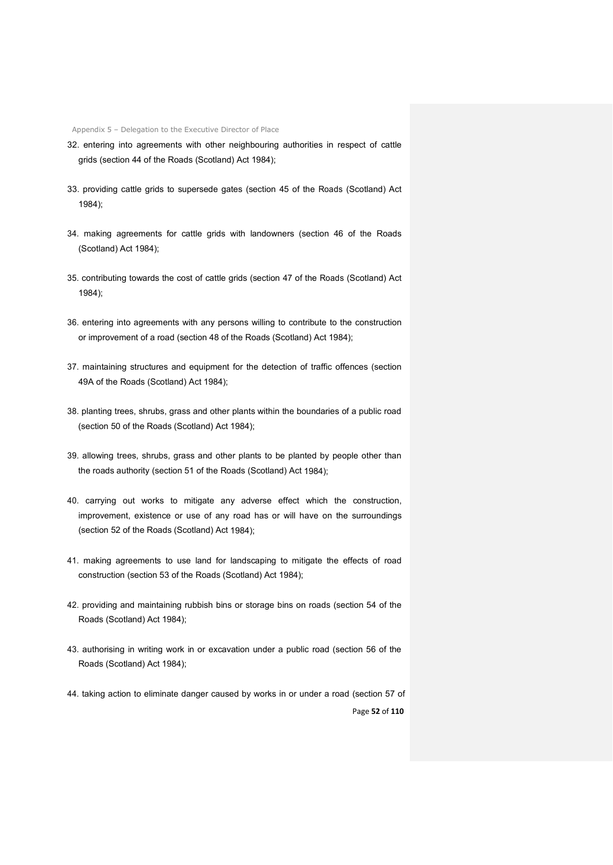- 32. entering into agreements with other neighbouring authorities in respect of cattle grids (section 44 of the Roads (Scotland) Act 1984);
- 33. providing cattle grids to supersede gates (section 45 of the Roads (Scotland) Act 1984);
- 34. making agreements for cattle grids with landowners (section 46 of the Roads (Scotland) Act 1984);
- 35. contributing towards the cost of cattle grids (section 47 of the Roads (Scotland) Act 1984);
- 36. entering into agreements with any persons willing to contribute to the construction or improvement of a road (section 48 of the Roads (Scotland) Act 1984);
- 37. maintaining structures and equipment for the detection of traffic offences (section 49A of the Roads (Scotland) Act 1984);
- 38. planting trees, shrubs, grass and other plants within the boundaries of a public road (section 50 of the Roads (Scotland) Act 1984);
- 39. allowing trees, shrubs, grass and other plants to be planted by people other than the roads authority (section 51 of the Roads (Scotland) Act 1984);
- 40. carrying out works to mitigate any adverse effect which the construction, improvement, existence or use of any road has or will have on the surroundings (section 52 of the Roads (Scotland) Act 1984);
- 41. making agreements to use land for landscaping to mitigate the effects of road construction (section 53 of the Roads (Scotland) Act 1984);
- 42. providing and maintaining rubbish bins or storage bins on roads (section 54 of the Roads (Scotland) Act 1984);
- 43. authorising in writing work in or excavation under a public road (section 56 of the Roads (Scotland) Act 1984);
- Page **52** of **110** 44. taking action to eliminate danger caused by works in or under a road (section 57 of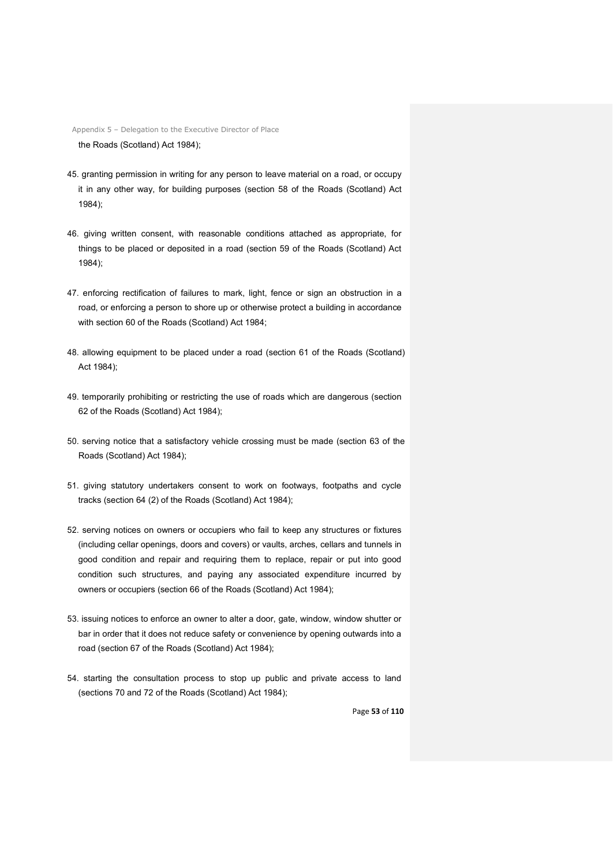Appendix 5 – Delegation to the Executive Director of Place the Roads (Scotland) Act 1984);

- 45. granting permission in writing for any person to leave material on a road, or occupy it in any other way, for building purposes (section 58 of the Roads (Scotland) Act 1984);
- 46. giving written consent, with reasonable conditions attached as appropriate, for things to be placed or deposited in a road (section 59 of the Roads (Scotland) Act 1984);
- 47. enforcing rectification of failures to mark, light, fence or sign an obstruction in a road, or enforcing a person to shore up or otherwise protect a building in accordance with section 60 of the Roads (Scotland) Act 1984;
- 48. allowing equipment to be placed under a road (section 61 of the Roads (Scotland) Act 1984);
- 49. temporarily prohibiting or restricting the use of roads which are dangerous (section 62 of the Roads (Scotland) Act 1984);
- 50. serving notice that a satisfactory vehicle crossing must be made (section 63 of the Roads (Scotland) Act 1984);
- 51. giving statutory undertakers consent to work on footways, footpaths and cycle tracks (section 64 (2) of the Roads (Scotland) Act 1984);
- 52. serving notices on owners or occupiers who fail to keep any structures or fixtures (including cellar openings, doors and covers) or vaults, arches, cellars and tunnels in good condition and repair and requiring them to replace, repair or put into good condition such structures, and paying any associated expenditure incurred by owners or occupiers (section 66 of the Roads (Scotland) Act 1984);
- 53. issuing notices to enforce an owner to alter a door, gate, window, window shutter or bar in order that it does not reduce safety or convenience by opening outwards into a road (section 67 of the Roads (Scotland) Act 1984);
- 54. starting the consultation process to stop up public and private access to land (sections 70 and 72 of the Roads (Scotland) Act 1984);

Page **53** of **110**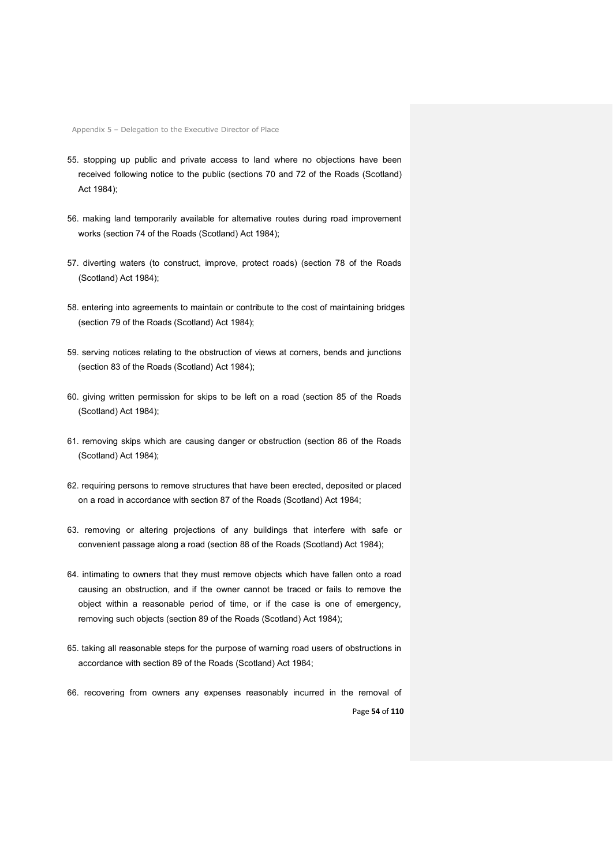- 55. stopping up public and private access to land where no objections have been received following notice to the public (sections 70 and 72 of the Roads (Scotland) Act 1984);
- 56. making land temporarily available for alternative routes during road improvement works (section 74 of the Roads (Scotland) Act 1984);
- 57. diverting waters (to construct, improve, protect roads) (section 78 of the Roads (Scotland) Act 1984);
- 58. entering into agreements to maintain or contribute to the cost of maintaining bridges (section 79 of the Roads (Scotland) Act 1984);
- 59. serving notices relating to the obstruction of views at corners, bends and junctions (section 83 of the Roads (Scotland) Act 1984);
- 60. giving written permission for skips to be left on a road (section 85 of the Roads (Scotland) Act 1984);
- 61. removing skips which are causing danger or obstruction (section 86 of the Roads (Scotland) Act 1984);
- 62. requiring persons to remove structures that have been erected, deposited or placed on a road in accordance with section 87 of the Roads (Scotland) Act 1984;
- 63. removing or altering projections of any buildings that interfere with safe or convenient passage along a road (section 88 of the Roads (Scotland) Act 1984);
- 64. intimating to owners that they must remove objects which have fallen onto a road causing an obstruction, and if the owner cannot be traced or fails to remove the object within a reasonable period of time, or if the case is one of emergency, removing such objects (section 89 of the Roads (Scotland) Act 1984);
- 65. taking all reasonable steps for the purpose of warning road users of obstructions in accordance with section 89 of the Roads (Scotland) Act 1984;
- Page **54** of **110** 66. recovering from owners any expenses reasonably incurred in the removal of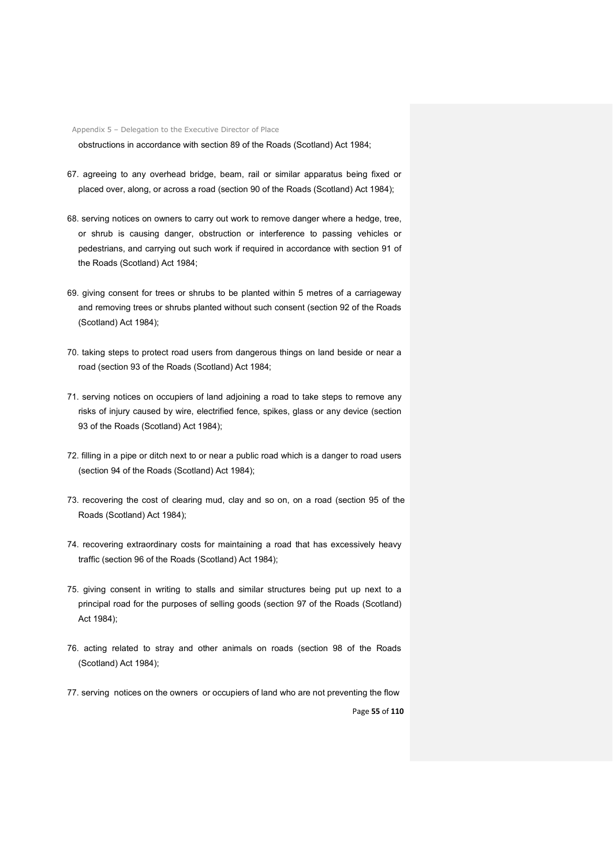obstructions in accordance with section 89 of the Roads (Scotland) Act 1984;

- 67. agreeing to any overhead bridge, beam, rail or similar apparatus being fixed or placed over, along, or across a road (section 90 of the Roads (Scotland) Act 1984);
- 68. serving notices on owners to carry out work to remove danger where a hedge, tree, or shrub is causing danger, obstruction or interference to passing vehicles or pedestrians, and carrying out such work if required in accordance with section 91 of the Roads (Scotland) Act 1984;
- 69. giving consent for trees or shrubs to be planted within 5 metres of a carriageway and removing trees or shrubs planted without such consent (section 92 of the Roads (Scotland) Act 1984);
- 70. taking steps to protect road users from dangerous things on land beside or near a road (section 93 of the Roads (Scotland) Act 1984;
- 71. serving notices on occupiers of land adjoining a road to take steps to remove any risks of injury caused by wire, electrified fence, spikes, glass or any device (section 93 of the Roads (Scotland) Act 1984);
- 72. filling in a pipe or ditch next to or near a public road which is a danger to road users (section 94 of the Roads (Scotland) Act 1984);
- 73. recovering the cost of clearing mud, clay and so on, on a road (section 95 of the Roads (Scotland) Act 1984);
- 74. recovering extraordinary costs for maintaining a road that has excessively heavy traffic (section 96 of the Roads (Scotland) Act 1984);
- 75. giving consent in writing to stalls and similar structures being put up next to a principal road for the purposes of selling goods (section 97 of the Roads (Scotland) Act 1984);
- 76. acting related to stray and other animals on roads (section 98 of the Roads (Scotland) Act 1984);
- 77. serving notices on the owners or occupiers of land who are not preventing the flow

Page **55** of **110**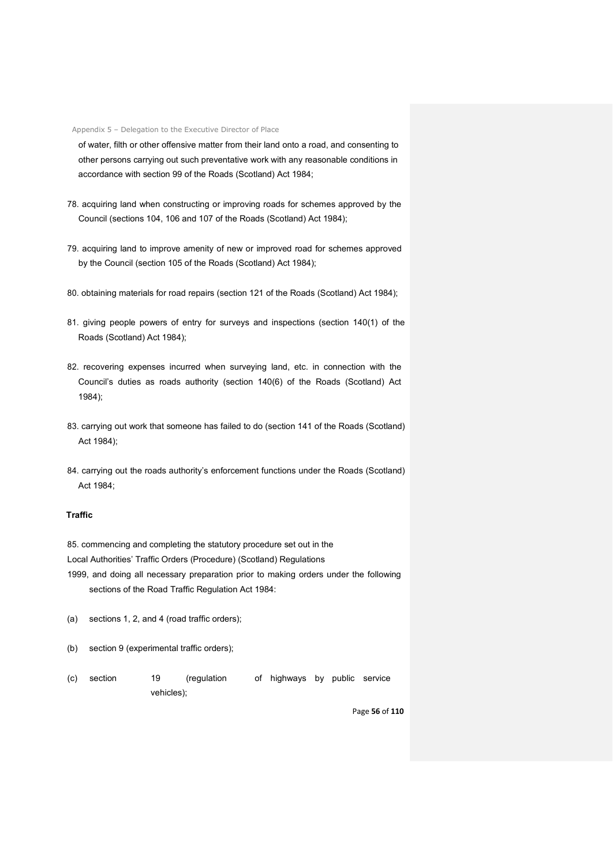of water, filth or other offensive matter from their land onto a road, and consenting to other persons carrying out such preventative work with any reasonable conditions in accordance with section 99 of the Roads (Scotland) Act 1984;

- 78. acquiring land when constructing or improving roads for schemes approved by the Council (sections 104, 106 and 107 of the Roads (Scotland) Act 1984);
- 79. acquiring land to improve amenity of new or improved road for schemes approved by the Council (section 105 of the Roads (Scotland) Act 1984);
- 80. obtaining materials for road repairs (section 121 of the Roads (Scotland) Act 1984);
- 81. giving people powers of entry for surveys and inspections (section 140(1) of the Roads (Scotland) Act 1984);
- 82. recovering expenses incurred when surveying land, etc. in connection with the Council's duties as roads authority (section 140(6) of the Roads (Scotland) Act 1984);
- 83. carrying out work that someone has failed to do (section 141 of the Roads (Scotland) Act 1984);
- 84. carrying out the roads authority's enforcement functions under the Roads (Scotland) Act 1984;

# **Traffic**

85. commencing and completing the statutory procedure set out in the

Local Authorities' Traffic Orders (Procedure) (Scotland) Regulations

- 1999, and doing all necessary preparation prior to making orders under the following sections of the Road Traffic Regulation Act 1984:
- (a) sections 1, 2, and 4 (road traffic orders);
- (b) section 9 (experimental traffic orders);
- (c) section 19 (regulation of highways by public service vehicles);

Page **56** of **110**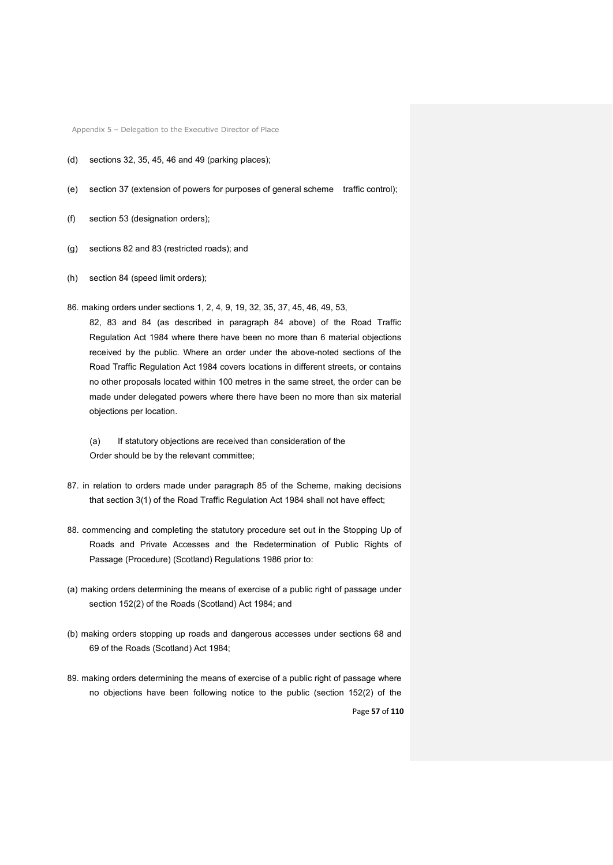- (d) sections 32, 35, 45, 46 and 49 (parking places);
- (e) section 37 (extension of powers for purposes of general scheme traffic control);
- (f) section 53 (designation orders);
- (g) sections 82 and 83 (restricted roads); and
- (h) section 84 (speed limit orders);

86. making orders under sections 1, 2, 4, 9, 19, 32, 35, 37, 45, 46, 49, 53,

82, 83 and 84 (as described in paragraph 84 above) of the Road Traffic Regulation Act 1984 where there have been no more than 6 material objections received by the public. Where an order under the above-noted sections of the Road Traffic Regulation Act 1984 covers locations in different streets, or contains no other proposals located within 100 metres in the same street, the order can be made under delegated powers where there have been no more than six material objections per location.

(a) If statutory objections are received than consideration of the Order should be by the relevant committee;

- 87. in relation to orders made under paragraph 85 of the Scheme, making decisions that section 3(1) of the Road Traffic Regulation Act 1984 shall not have effect;
- 88. commencing and completing the statutory procedure set out in the Stopping Up of Roads and Private Accesses and the Redetermination of Public Rights of Passage (Procedure) (Scotland) Regulations 1986 prior to:
- (a) making orders determining the means of exercise of a public right of passage under section 152(2) of the Roads (Scotland) Act 1984; and
- (b) making orders stopping up roads and dangerous accesses under sections 68 and 69 of the Roads (Scotland) Act 1984;
- Page **57** of **110** 89. making orders determining the means of exercise of a public right of passage where no objections have been following notice to the public (section 152(2) of the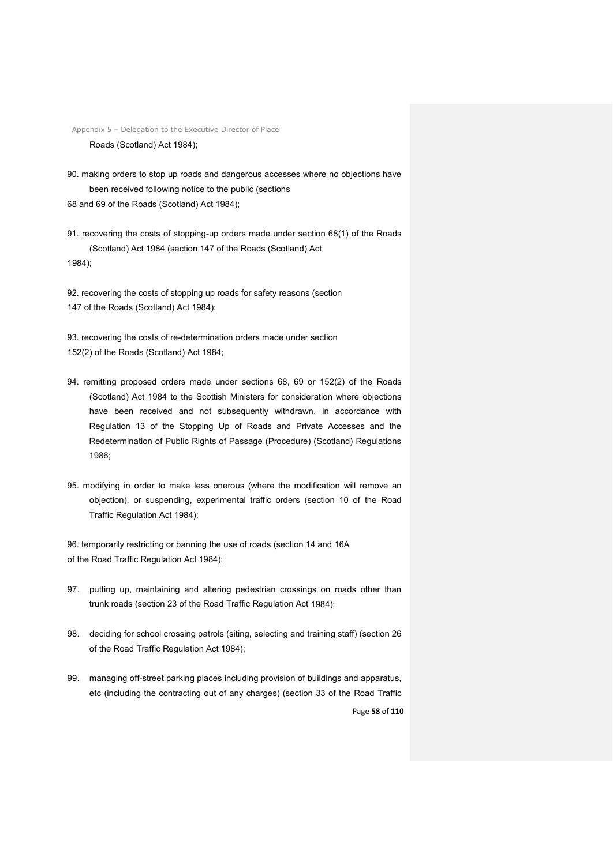Appendix 5 – Delegation to the Executive Director of Place Roads (Scotland) Act 1984);

90. making orders to stop up roads and dangerous accesses where no objections have been received following notice to the public (sections 68 and 69 of the Roads (Scotland) Act 1984);

91. recovering the costs of stopping-up orders made under section 68(1) of the Roads (Scotland) Act 1984 (section 147 of the Roads (Scotland) Act 1984);

92. recovering the costs of stopping up roads for safety reasons (section 147 of the Roads (Scotland) Act 1984);

93. recovering the costs of re-determination orders made under section 152(2) of the Roads (Scotland) Act 1984;

- 94. remitting proposed orders made under sections 68, 69 or 152(2) of the Roads (Scotland) Act 1984 to the Scottish Ministers for consideration where objections have been received and not subsequently withdrawn, in accordance with Regulation 13 of the Stopping Up of Roads and Private Accesses and the Redetermination of Public Rights of Passage (Procedure) (Scotland) Regulations 1986;
- 95. modifying in order to make less onerous (where the modification will remove an objection), or suspending, experimental traffic orders (section 10 of the Road Traffic Regulation Act 1984);

96. temporarily restricting or banning the use of roads (section 14 and 16A of the Road Traffic Regulation Act 1984);

- 97. putting up, maintaining and altering pedestrian crossings on roads other than trunk roads (section 23 of the Road Traffic Regulation Act 1984);
- 98. deciding for school crossing patrols (siting, selecting and training staff) (section 26 of the Road Traffic Regulation Act 1984);
- 99. managing off-street parking places including provision of buildings and apparatus, etc (including the contracting out of any charges) (section 33 of the Road Traffic

Page **58** of **110**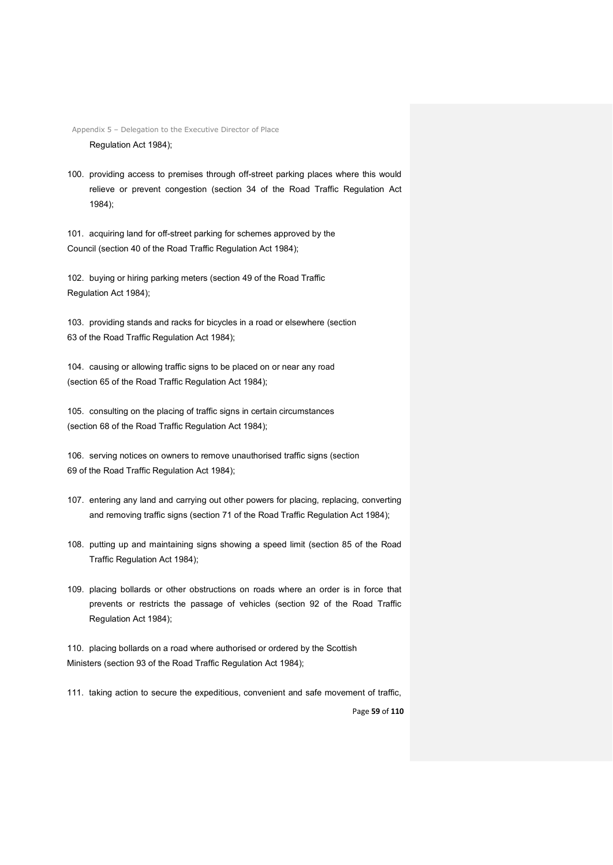Appendix 5 – Delegation to the Executive Director of Place Regulation Act 1984);

100. providing access to premises through off-street parking places where this would relieve or prevent congestion (section 34 of the Road Traffic Regulation Act 1984);

101. acquiring land for off-street parking for schemes approved by the Council (section 40 of the Road Traffic Regulation Act 1984);

102. buying or hiring parking meters (section 49 of the Road Traffic Regulation Act 1984);

103. providing stands and racks for bicycles in a road or elsewhere (section 63 of the Road Traffic Regulation Act 1984);

104. causing or allowing traffic signs to be placed on or near any road (section 65 of the Road Traffic Regulation Act 1984);

105. consulting on the placing of traffic signs in certain circumstances (section 68 of the Road Traffic Regulation Act 1984);

106. serving notices on owners to remove unauthorised traffic signs (section 69 of the Road Traffic Regulation Act 1984);

- 107. entering any land and carrying out other powers for placing, replacing, converting and removing traffic signs (section 71 of the Road Traffic Regulation Act 1984);
- 108. putting up and maintaining signs showing a speed limit (section 85 of the Road Traffic Regulation Act 1984);
- 109. placing bollards or other obstructions on roads where an order is in force that prevents or restricts the passage of vehicles (section 92 of the Road Traffic Regulation Act 1984);

110. placing bollards on a road where authorised or ordered by the Scottish Ministers (section 93 of the Road Traffic Regulation Act 1984);

111. taking action to secure the expeditious, convenient and safe movement of traffic,

Page **59** of **110**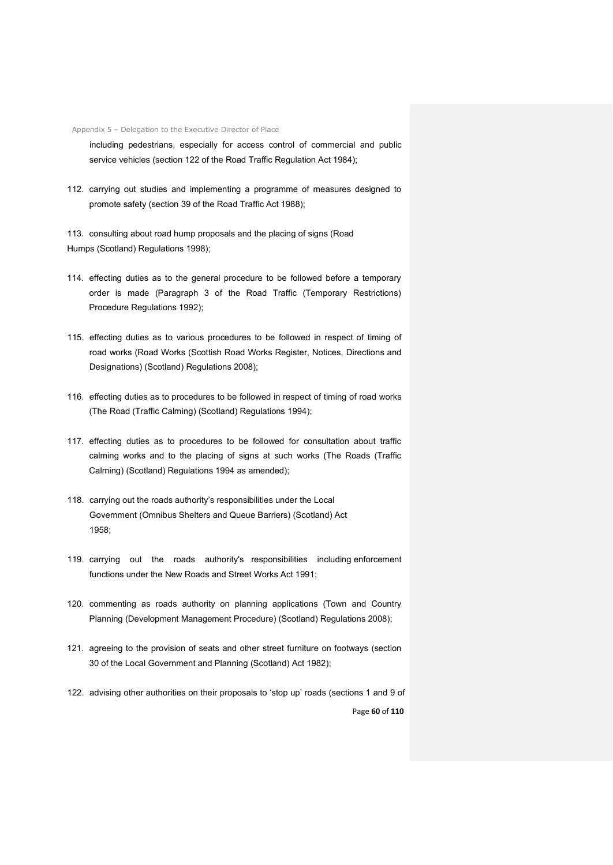including pedestrians, especially for access control of commercial and public service vehicles (section 122 of the Road Traffic Regulation Act 1984);

112. carrying out studies and implementing a programme of measures designed to promote safety (section 39 of the Road Traffic Act 1988);

113. consulting about road hump proposals and the placing of signs (Road Humps (Scotland) Regulations 1998);

- 114. effecting duties as to the general procedure to be followed before a temporary order is made (Paragraph 3 of the Road Traffic (Temporary Restrictions) Procedure Regulations 1992);
- 115. effecting duties as to various procedures to be followed in respect of timing of road works (Road Works (Scottish Road Works Register, Notices, Directions and Designations) (Scotland) Regulations 2008);
- 116. effecting duties as to procedures to be followed in respect of timing of road works (The Road (Traffic Calming) (Scotland) Regulations 1994);
- 117. effecting duties as to procedures to be followed for consultation about traffic calming works and to the placing of signs at such works (The Roads (Traffic Calming) (Scotland) Regulations 1994 as amended);
- 118. carrying out the roads authority's responsibilities under the Local Government (Omnibus Shelters and Queue Barriers) (Scotland) Act 1958;
- 119. carrying out the roads authority's responsibilities including enforcement functions under the New Roads and Street Works Act 1991;
- 120. commenting as roads authority on planning applications (Town and Country Planning (Development Management Procedure) (Scotland) Regulations 2008);
- 121. agreeing to the provision of seats and other street furniture on footways (section 30 of the Local Government and Planning (Scotland) Act 1982);
- Page **60** of **110** 122. advising other authorities on their proposals to 'stop up' roads (sections 1 and 9 of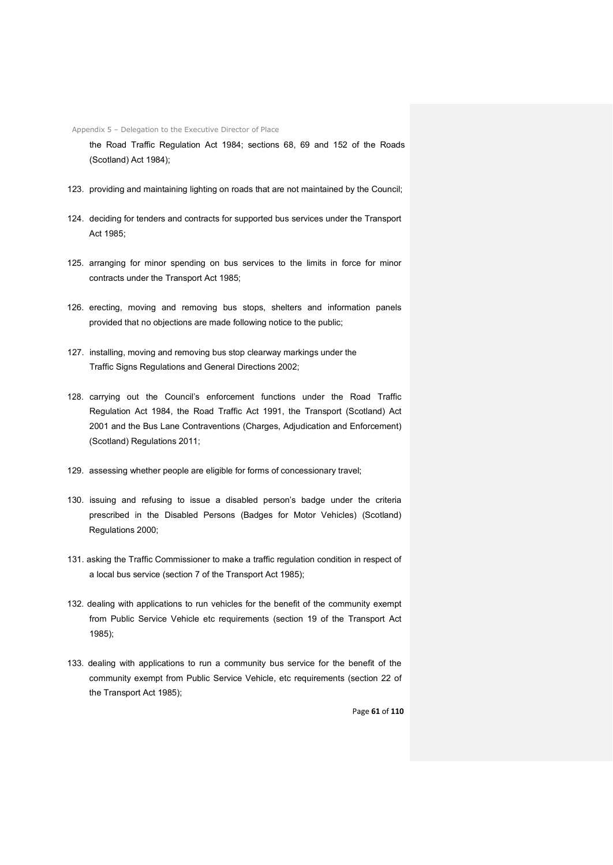the Road Traffic Regulation Act 1984; sections 68, 69 and 152 of the Roads (Scotland) Act 1984);

- 123. providing and maintaining lighting on roads that are not maintained by the Council;
- 124. deciding for tenders and contracts for supported bus services under the Transport Act 1985;
- 125. arranging for minor spending on bus services to the limits in force for minor contracts under the Transport Act 1985;
- 126. erecting, moving and removing bus stops, shelters and information panels provided that no objections are made following notice to the public;
- 127. installing, moving and removing bus stop clearway markings under the Traffic Signs Regulations and General Directions 2002;
- 128. carrying out the Council's enforcement functions under the Road Traffic Regulation Act 1984, the Road Traffic Act 1991, the Transport (Scotland) Act 2001 and the Bus Lane Contraventions (Charges, Adjudication and Enforcement) (Scotland) Regulations 2011;
- 129. assessing whether people are eligible for forms of concessionary travel;
- 130. issuing and refusing to issue a disabled person's badge under the criteria prescribed in the Disabled Persons (Badges for Motor Vehicles) (Scotland) Regulations 2000;
- 131. asking the Traffic Commissioner to make a traffic regulation condition in respect of a local bus service (section 7 of the Transport Act 1985);
- 132. dealing with applications to run vehicles for the benefit of the community exempt from Public Service Vehicle etc requirements (section 19 of the Transport Act 1985);
- 133. dealing with applications to run a community bus service for the benefit of the community exempt from Public Service Vehicle, etc requirements (section 22 of the Transport Act 1985);

Page **61** of **110**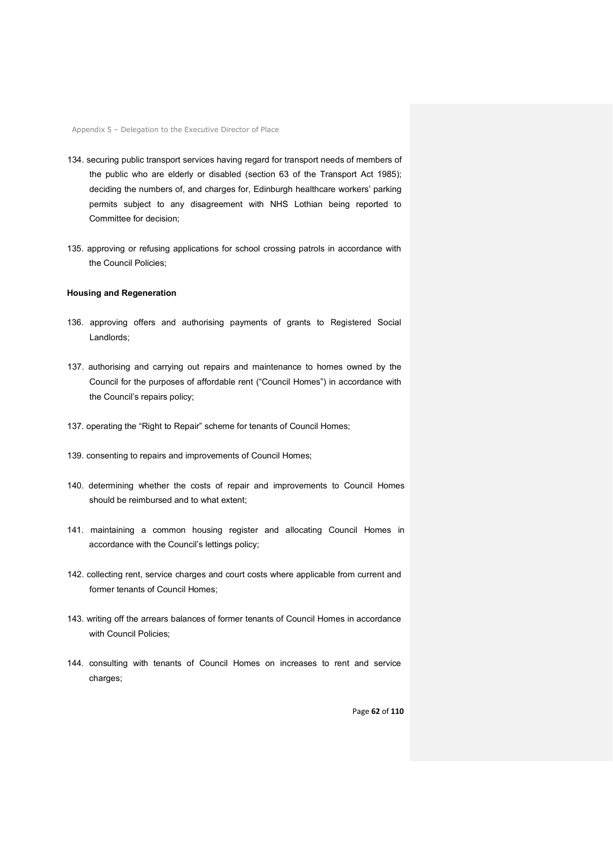- 134. securing public transport services having regard for transport needs of members of the public who are elderly or disabled (section 63 of the Transport Act 1985); deciding the numbers of, and charges for, Edinburgh healthcare workers' parking permits subject to any disagreement with NHS Lothian being reported to Committee for decision;
- 135. approving or refusing applications for school crossing patrols in accordance with the Council Policies;

## **Housing and Regeneration**

- 136. approving offers and authorising payments of grants to Registered Social Landlords;
- 137. authorising and carrying out repairs and maintenance to homes owned by the Council for the purposes of affordable rent ("Council Homes") in accordance with the Council's repairs policy;
- 137. operating the "Right to Repair" scheme for tenants of Council Homes;
- 139. consenting to repairs and improvements of Council Homes;
- 140. determining whether the costs of repair and improvements to Council Homes should be reimbursed and to what extent;
- 141. maintaining a common housing register and allocating Council Homes in accordance with the Council's lettings policy;
- 142. collecting rent, service charges and court costs where applicable from current and former tenants of Council Homes;
- 143. writing off the arrears balances of former tenants of Council Homes in accordance with Council Policies;
- 144. consulting with tenants of Council Homes on increases to rent and service charges:

Page **62** of **110**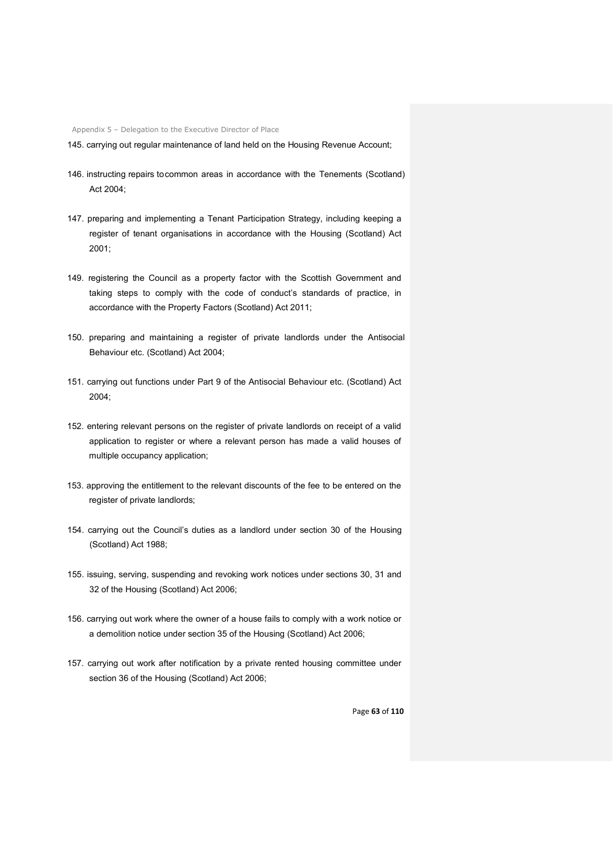145. carrying out regular maintenance of land held on the Housing Revenue Account;

- 146. instructing repairs tocommon areas in accordance with the Tenements (Scotland) Act 2004;
- 147. preparing and implementing a Tenant Participation Strategy, including keeping a register of tenant organisations in accordance with the Housing (Scotland) Act 2001;
- 149. registering the Council as a property factor with the Scottish Government and taking steps to comply with the code of conduct's standards of practice, in accordance with the Property Factors (Scotland) Act 2011;
- 150. preparing and maintaining a register of private landlords under the Antisocial Behaviour etc. (Scotland) Act 2004;
- 151. carrying out functions under Part 9 of the Antisocial Behaviour etc. (Scotland) Act 2004;
- 152. entering relevant persons on the register of private landlords on receipt of a valid application to register or where a relevant person has made a valid houses of multiple occupancy application;
- 153. approving the entitlement to the relevant discounts of the fee to be entered on the register of private landlords;
- 154. carrying out the Council's duties as a landlord under section 30 of the Housing (Scotland) Act 1988;
- 155. issuing, serving, suspending and revoking work notices under sections 30, 31 and 32 of the Housing (Scotland) Act 2006;
- 156. carrying out work where the owner of a house fails to comply with a work notice or a demolition notice under section 35 of the Housing (Scotland) Act 2006;
- 157. carrying out work after notification by a private rented housing committee under section 36 of the Housing (Scotland) Act 2006;

Page **63** of **110**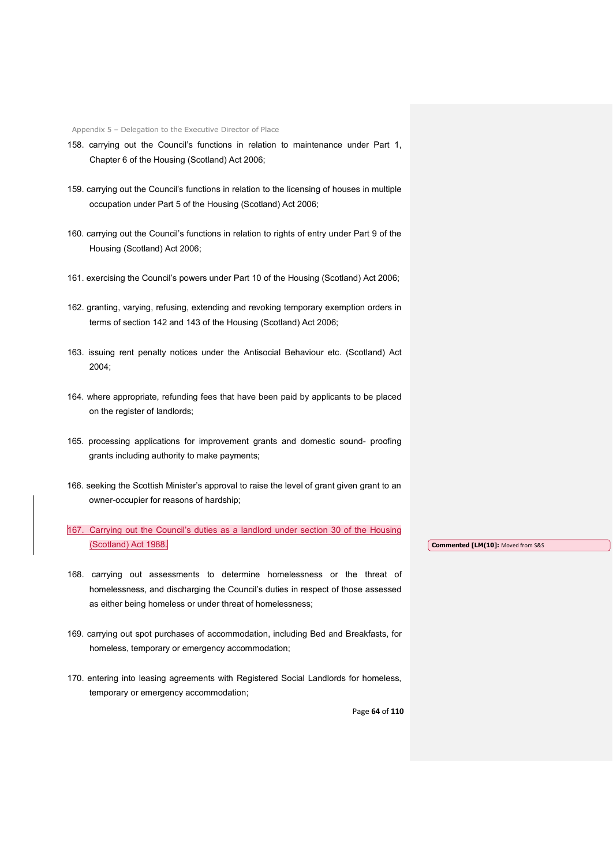- 158. carrying out the Council's functions in relation to maintenance under Part 1, Chapter 6 of the Housing (Scotland) Act 2006;
- 159. carrying out the Council's functions in relation to the licensing of houses in multiple occupation under Part 5 of the Housing (Scotland) Act 2006;
- 160. carrying out the Council's functions in relation to rights of entry under Part 9 of the Housing (Scotland) Act 2006;
- 161. exercising the Council's powers under Part 10 of the Housing (Scotland) Act 2006;
- 162. granting, varying, refusing, extending and revoking temporary exemption orders in terms of section 142 and 143 of the Housing (Scotland) Act 2006;
- 163. issuing rent penalty notices under the Antisocial Behaviour etc. (Scotland) Act 2004;
- 164. where appropriate, refunding fees that have been paid by applicants to be placed on the register of landlords;
- 165. processing applications for improvement grants and domestic sound- proofing grants including authority to make payments;
- 166. seeking the Scottish Minister's approval to raise the level of grant given grant to an owner-occupier for reasons of hardship;
- 167. Carrying out the Council's duties as a landlord under section 30 of the Housing (Scotland) Act 1988. **Commented [LM(10]:** Moved from S&S
- 168. carrying out assessments to determine homelessness or the threat of homelessness, and discharging the Council's duties in respect of those assessed as either being homeless or under threat of homelessness;
- 169. carrying out spot purchases of accommodation, including Bed and Breakfasts, for homeless, temporary or emergency accommodation;
- 170. entering into leasing agreements with Registered Social Landlords for homeless, temporary or emergency accommodation;

Page **64** of **110**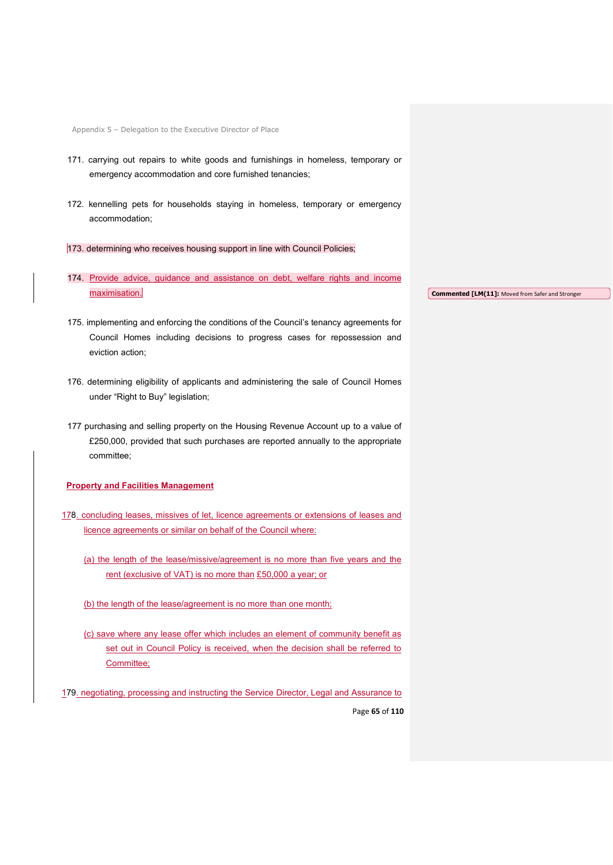- 171. carrying out repairs to white goods and furnishings in homeless, temporary or emergency accommodation and core furnished tenancies;
- 172. kennelling pets for households staying in homeless, temporary or emergency accommodation;
- 173. determining who receives housing support in line with Council Policies;
- 174. Provide advice, guidance and assistance on debt, welfare rights and income maximisation.
- **Commented [LM(11]:** Moved from Safer and Stronger
- 175. implementing and enforcing the conditions of the Council's tenancy agreements for Council Homes including decisions to progress cases for repossession and eviction action;
- 176. determining eligibility of applicants and administering the sale of Council Homes under "Right to Buy" legislation;
- 177 purchasing and selling property on the Housing Revenue Account up to a value of £250,000, provided that such purchases are reported annually to the appropriate committee;

# **Property and Facilities Management**

- 178. concluding leases, missives of let, licence agreements or extensions of leases and licence agreements or similar on behalf of the Council where:
	- (a) the length of the lease/missive/agreement is no more than five years and the rent (exclusive of VAT) is no more than £50,000 a year; or
	- (b) the length of the lease/agreement is no more than one month;
	- (c) save where any lease offer which includes an element of community benefit as set out in Council Policy is received, when the decision shall be referred to Committee;

Page **65** of **110** 179. negotiating, processing and instructing the Service Director, Legal and Assurance to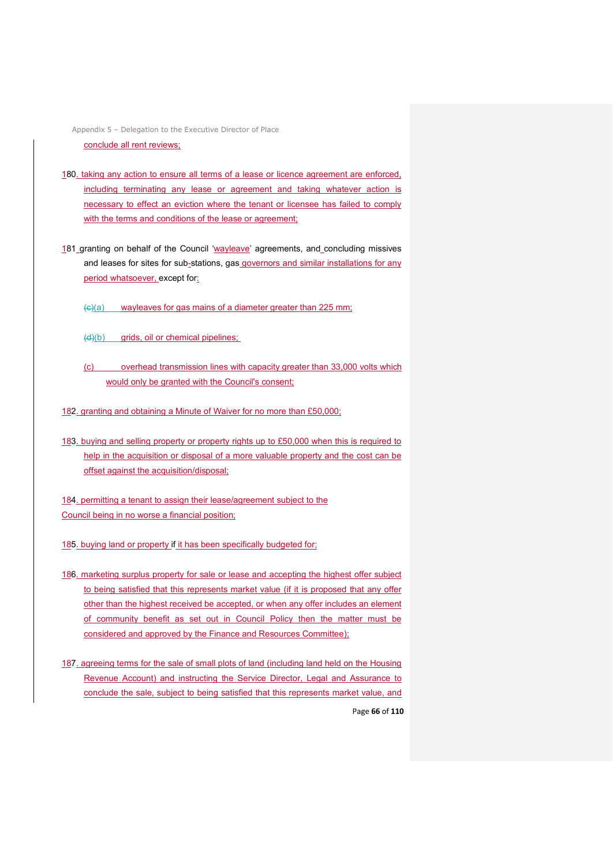Appendix 5 – Delegation to the Executive Director of Place conclude all rent reviews;

- 180. taking any action to ensure all terms of a lease or licence agreement are enforced, including terminating any lease or agreement and taking whatever action is necessary to effect an eviction where the tenant or licensee has failed to comply with the terms and conditions of the lease or agreement;
- 181 granting on behalf of the Council 'wayleave' agreements, and concluding missives and leases for sites for sub-stations, gas governors and similar installations for any period whatsoever, except for:
	- $\left(\frac{c}{c}\right)$  wayleaves for gas mains of a diameter greater than 225 mm;
	- $(d)(b)$  grids, oil or chemical pipelines;
	- (c) overhead transmission lines with capacity greater than 33,000 volts which would only be granted with the Council's consent;
- 182. granting and obtaining a Minute of Waiver for no more than £50,000;
- 183. buying and selling property or property rights up to £50,000 when this is required to help in the acquisition or disposal of a more valuable property and the cost can be offset against the acquisition/disposal;

184. permitting a tenant to assign their lease/agreement subject to the Council being in no worse a financial position;

- 185. buying land or property if it has been specifically budgeted for;
- 186. marketing surplus property for sale or lease and accepting the highest offer subject to being satisfied that this represents market value (if it is proposed that any offer other than the highest received be accepted, or when any offer includes an element of community benefit as set out in Council Policy then the matter must be considered and approved by the Finance and Resources Committee);
- Page **66** of **110** 187. agreeing terms for the sale of small plots of land (including land held on the Housing Revenue Account) and instructing the Service Director, Legal and Assurance to conclude the sale, subject to being satisfied that this represents market value, and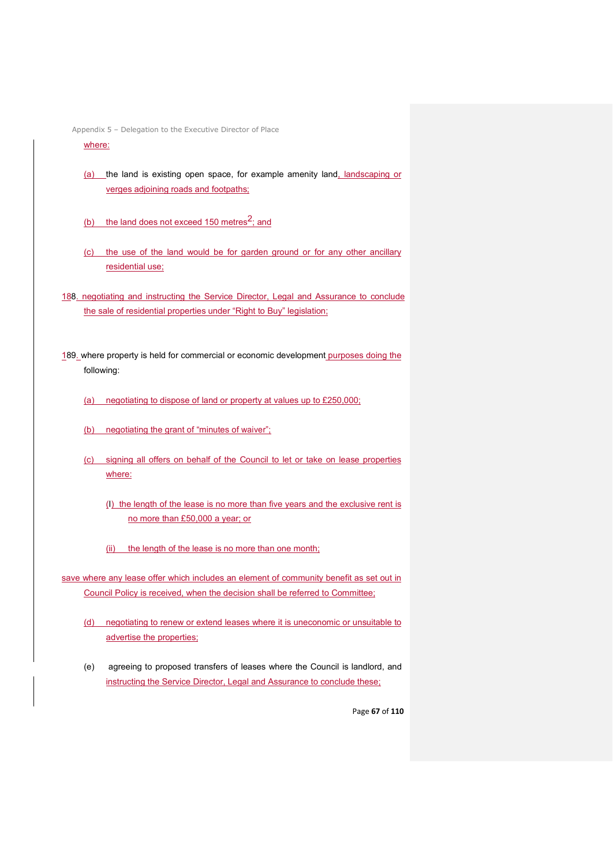### where:

- (a) the land is existing open space, for example amenity land, landscaping or verges adjoining roads and footpaths;
- (b) the land does not exceed 150 metres<sup>2</sup>; and
- (c) the use of the land would be for garden ground or for any other ancillary residential use;
- 188. negotiating and instructing the Service Director, Legal and Assurance to conclude the sale of residential properties under "Right to Buy" legislation;
- 189. where property is held for commercial or economic development purposes doing the following:
	- (a) negotiating to dispose of land or property at values up to £250,000;
	- (b) negotiating the grant of "minutes of waiver";
	- (c) signing all offers on behalf of the Council to let or take on lease properties where:
		- (I) the length of the lease is no more than five years and the exclusive rent is no more than £50,000 a year; or
		- (ii) the length of the lease is no more than one month;
- save where any lease offer which includes an element of community benefit as set out in Council Policy is received, when the decision shall be referred to Committee;
	- (d) negotiating to renew or extend leases where it is uneconomic or unsuitable to advertise the properties;
	- (e) agreeing to proposed transfers of leases where the Council is landlord, and instructing the Service Director, Legal and Assurance to conclude these;

Page **67** of **110**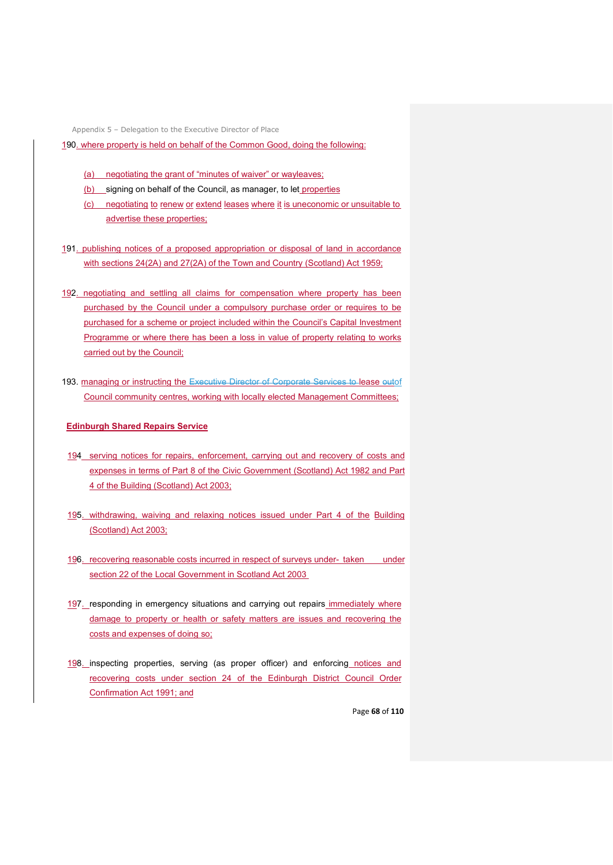190. where property is held on behalf of the Common Good, doing the following:

- (a) negotiating the grant of "minutes of waiver" or wayleaves;
- (b) signing on behalf of the Council, as manager, to let properties
- (c) negotiating to renew or extend leases where it is uneconomic or unsuitable to advertise these properties;
- 191. publishing notices of a proposed appropriation or disposal of land in accordance with sections 24(2A) and 27(2A) of the Town and Country (Scotland) Act 1959;
- 192. negotiating and settling all claims for compensation where property has been purchased by the Council under a compulsory purchase order or requires to be purchased for a scheme or project included within the Council's Capital Investment Programme or where there has been a loss in value of property relating to works carried out by the Council;
- 193. managing or instructing the Executive Director of Corporate Services to lease outof Council community centres, working with locally elected Management Committees;

#### **Edinburgh Shared Repairs Service**

- 194 serving notices for repairs, enforcement, carrying out and recovery of costs and expenses in terms of Part 8 of the Civic Government (Scotland) Act 1982 and Part 4 of the Building (Scotland) Act 2003;
- 195. withdrawing, waiving and relaxing notices issued under Part 4 of the Building (Scotland) Act 2003;
- 196. recovering reasonable costs incurred in respect of surveys under- taken under section 22 of the Local Government in Scotland Act 2003
- 197. responding in emergency situations and carrying out repairs immediately where damage to property or health or safety matters are issues and recovering the costs and expenses of doing so;
- 198. inspecting properties, serving (as proper officer) and enforcing notices and recovering costs under section 24 of the Edinburgh District Council Order Confirmation Act 1991; and

Page **68** of **110**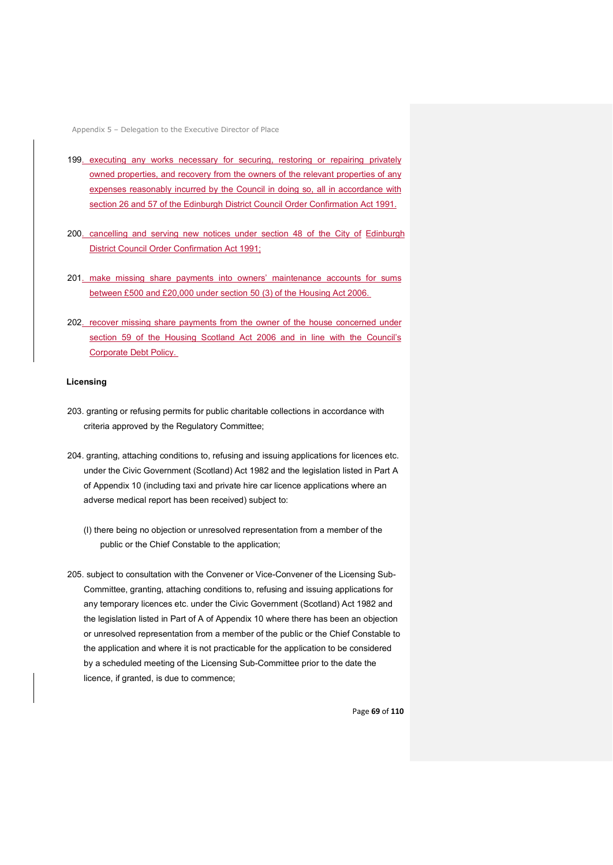- 199. executing any works necessary for securing, restoring or repairing privately owned properties, and recovery from the owners of the relevant properties of any expenses reasonably incurred by the Council in doing so, all in accordance with section 26 and 57 of the Edinburgh District Council Order Confirmation Act 1991.
- 200. cancelling and serving new notices under section 48 of the City of Edinburgh District Council Order Confirmation Act 1991;
- 201. make missing share payments into owners' maintenance accounts for sums between £500 and £20,000 under section 50 (3) of the Housing Act 2006.
- 202. recover missing share payments from the owner of the house concerned under section 59 of the Housing Scotland Act 2006 and in line with the Council's Corporate Debt Policy.

#### **Licensing**

- 203. granting or refusing permits for public charitable collections in accordance with criteria approved by the Regulatory Committee;
- 204. granting, attaching conditions to, refusing and issuing applications for licences etc. under the Civic Government (Scotland) Act 1982 and the legislation listed in Part A of Appendix 10 (including taxi and private hire car licence applications where an adverse medical report has been received) subject to:
	- (I) there being no objection or unresolved representation from a member of the public or the Chief Constable to the application;
- 205. subject to consultation with the Convener or Vice-Convener of the Licensing Sub-Committee, granting, attaching conditions to, refusing and issuing applications for any temporary licences etc. under the Civic Government (Scotland) Act 1982 and the legislation listed in Part of A of Appendix 10 where there has been an objection or unresolved representation from a member of the public or the Chief Constable to the application and where it is not practicable for the application to be considered by a scheduled meeting of the Licensing Sub-Committee prior to the date the licence, if granted, is due to commence;

Page **69** of **110**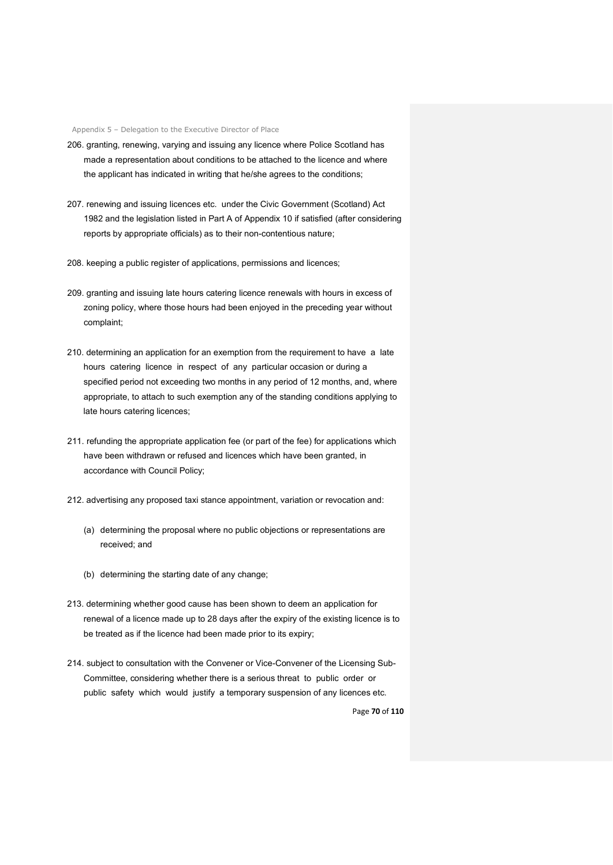- 206. granting, renewing, varying and issuing any licence where Police Scotland has made a representation about conditions to be attached to the licence and where the applicant has indicated in writing that he/she agrees to the conditions;
- 207. renewing and issuing licences etc. under the Civic Government (Scotland) Act 1982 and the legislation listed in Part A of Appendix 10 if satisfied (after considering reports by appropriate officials) as to their non-contentious nature;
- 208. keeping a public register of applications, permissions and licences;
- 209. granting and issuing late hours catering licence renewals with hours in excess of zoning policy, where those hours had been enjoyed in the preceding year without complaint;
- 210. determining an application for an exemption from the requirement to have a late hours catering licence in respect of any particular occasion or during a specified period not exceeding two months in any period of 12 months, and, where appropriate, to attach to such exemption any of the standing conditions applying to late hours catering licences;
- 211. refunding the appropriate application fee (or part of the fee) for applications which have been withdrawn or refused and licences which have been granted, in accordance with Council Policy;
- 212. advertising any proposed taxi stance appointment, variation or revocation and:
	- (a) determining the proposal where no public objections or representations are received; and
	- (b) determining the starting date of any change;
- 213. determining whether good cause has been shown to deem an application for renewal of a licence made up to 28 days after the expiry of the existing licence is to be treated as if the licence had been made prior to its expiry;
- 214. subject to consultation with the Convener or Vice-Convener of the Licensing Sub-Committee, considering whether there is a serious threat to public order or public safety which would justify a temporary suspension of any licences etc.

Page **70** of **110**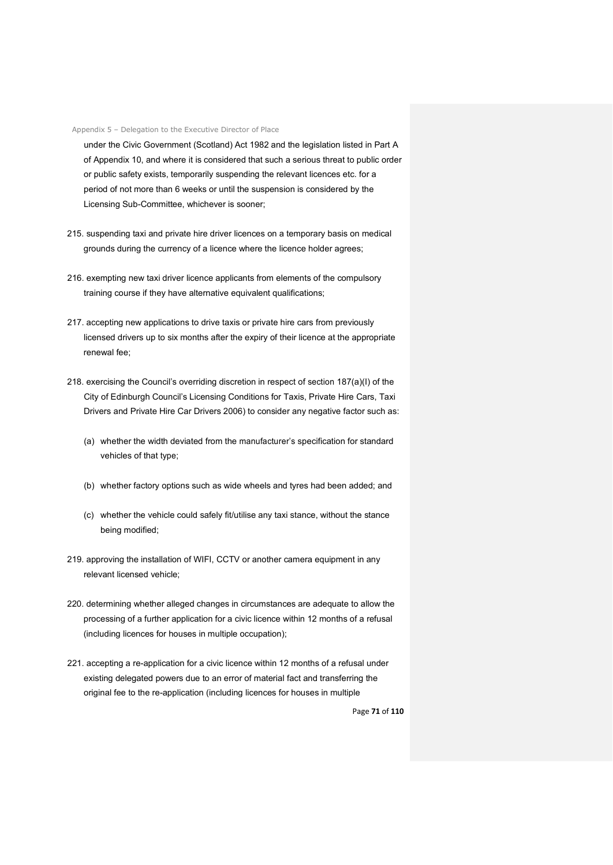under the Civic Government (Scotland) Act 1982 and the legislation listed in Part A of Appendix 10, and where it is considered that such a serious threat to public order or public safety exists, temporarily suspending the relevant licences etc. for a period of not more than 6 weeks or until the suspension is considered by the Licensing Sub-Committee, whichever is sooner;

- 215. suspending taxi and private hire driver licences on a temporary basis on medical grounds during the currency of a licence where the licence holder agrees;
- 216. exempting new taxi driver licence applicants from elements of the compulsory training course if they have alternative equivalent qualifications;
- 217. accepting new applications to drive taxis or private hire cars from previously licensed drivers up to six months after the expiry of their licence at the appropriate renewal fee;
- 218. exercising the Council's overriding discretion in respect of section 187(a)(I) of the City of Edinburgh Council's Licensing Conditions for Taxis, Private Hire Cars, Taxi Drivers and Private Hire Car Drivers 2006) to consider any negative factor such as:
	- (a) whether the width deviated from the manufacturer's specification for standard vehicles of that type;
	- (b) whether factory options such as wide wheels and tyres had been added; and
	- (c) whether the vehicle could safely fit/utilise any taxi stance, without the stance being modified;
- 219. approving the installation of WIFI, CCTV or another camera equipment in any relevant licensed vehicle;
- 220. determining whether alleged changes in circumstances are adequate to allow the processing of a further application for a civic licence within 12 months of a refusal (including licences for houses in multiple occupation);
- 221. accepting a re-application for a civic licence within 12 months of a refusal under existing delegated powers due to an error of material fact and transferring the original fee to the re-application (including licences for houses in multiple

Page **71** of **110**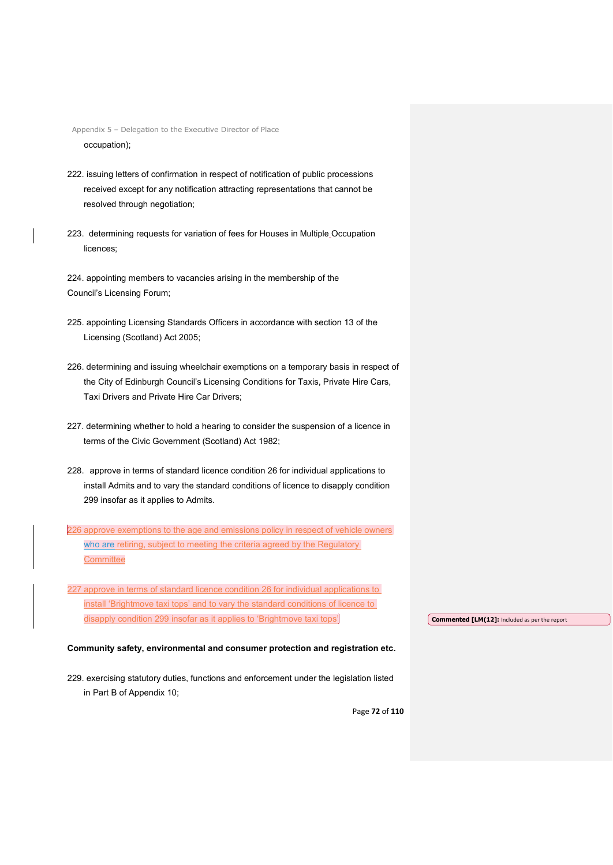- 222. issuing letters of confirmation in respect of notification of public processions received except for any notification attracting representations that cannot be resolved through negotiation;
- 223. determining requests for variation of fees for Houses in Multiple Occupation licences;

224. appointing members to vacancies arising in the membership of the Council's Licensing Forum;

- 225. appointing Licensing Standards Officers in accordance with section 13 of the Licensing (Scotland) Act 2005;
- 226. determining and issuing wheelchair exemptions on a temporary basis in respect of the City of Edinburgh Council's Licensing Conditions for Taxis, Private Hire Cars, Taxi Drivers and Private Hire Car Drivers;
- 227. determining whether to hold a hearing to consider the suspension of a licence in terms of the Civic Government (Scotland) Act 1982;
- 228. approve in terms of standard licence condition 26 for individual applications to install Admits and to vary the standard conditions of licence to disapply condition 299 insofar as it applies to Admits.

226 approve exemptions to the age and emissions policy in respect of vehicle owners who are retiring, subject to meeting the criteria agreed by the Regulatory **Committee** 

227 approve in terms of standard licence condition 26 for individual applications to install 'Brightmove taxi tops' and to vary the standard conditions of licence to disapply condition 299 insofar as it applies to 'Brightmove taxi tops'

#### **Commented [LM(12]:** Included as per the report

#### **Community safety, environmental and consumer protection and registration etc.**

229. exercising statutory duties, functions and enforcement under the legislation listed in Part B of Appendix 10;

Page **72** of **110**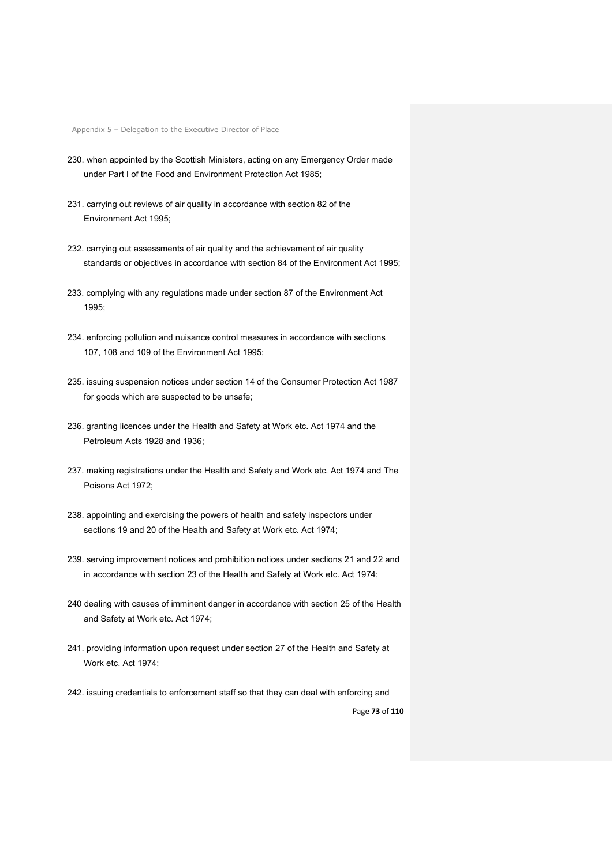- 230. when appointed by the Scottish Ministers, acting on any Emergency Order made under Part I of the Food and Environment Protection Act 1985;
- 231. carrying out reviews of air quality in accordance with section 82 of the Environment Act 1995;
- 232. carrying out assessments of air quality and the achievement of air quality standards or objectives in accordance with section 84 of the Environment Act 1995;
- 233. complying with any regulations made under section 87 of the Environment Act 1995;
- 234. enforcing pollution and nuisance control measures in accordance with sections 107, 108 and 109 of the Environment Act 1995;
- 235. issuing suspension notices under section 14 of the Consumer Protection Act 1987 for goods which are suspected to be unsafe;
- 236. granting licences under the Health and Safety at Work etc. Act 1974 and the Petroleum Acts 1928 and 1936;
- 237. making registrations under the Health and Safety and Work etc. Act 1974 and The Poisons Act 1972;
- 238. appointing and exercising the powers of health and safety inspectors under sections 19 and 20 of the Health and Safety at Work etc. Act 1974;
- 239. serving improvement notices and prohibition notices under sections 21 and 22 and in accordance with section 23 of the Health and Safety at Work etc. Act 1974;
- 240 dealing with causes of imminent danger in accordance with section 25 of the Health and Safety at Work etc. Act 1974;
- 241. providing information upon request under section 27 of the Health and Safety at Work etc. Act 1974;
- Page **73** of **110** 242. issuing credentials to enforcement staff so that they can deal with enforcing and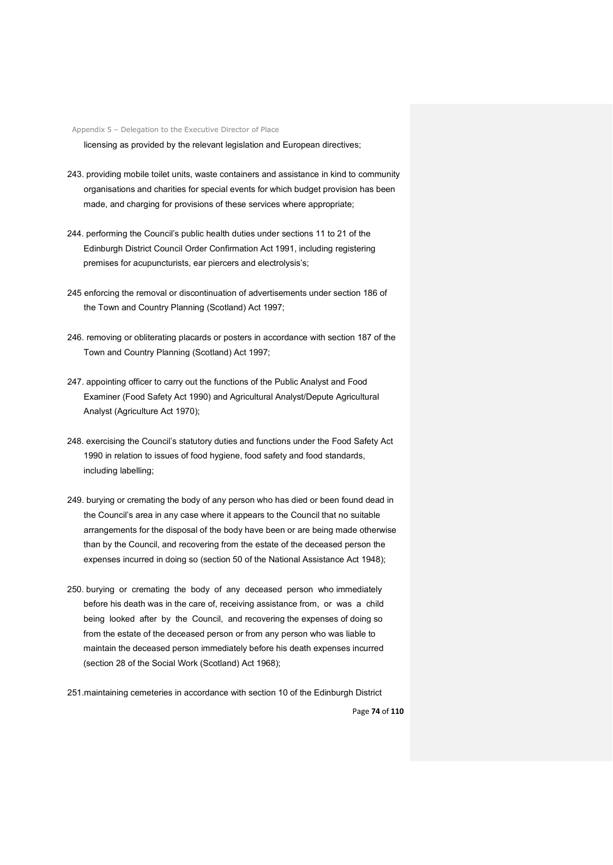licensing as provided by the relevant legislation and European directives;

- 243. providing mobile toilet units, waste containers and assistance in kind to community organisations and charities for special events for which budget provision has been made, and charging for provisions of these services where appropriate;
- 244. performing the Council's public health duties under sections 11 to 21 of the Edinburgh District Council Order Confirmation Act 1991, including registering premises for acupuncturists, ear piercers and electrolysis's;
- 245 enforcing the removal or discontinuation of advertisements under section 186 of the Town and Country Planning (Scotland) Act 1997;
- 246. removing or obliterating placards or posters in accordance with section 187 of the Town and Country Planning (Scotland) Act 1997;
- 247. appointing officer to carry out the functions of the Public Analyst and Food Examiner (Food Safety Act 1990) and Agricultural Analyst/Depute Agricultural Analyst (Agriculture Act 1970);
- 248. exercising the Council's statutory duties and functions under the Food Safety Act 1990 in relation to issues of food hygiene, food safety and food standards, including labelling;
- 249. burying or cremating the body of any person who has died or been found dead in the Council's area in any case where it appears to the Council that no suitable arrangements for the disposal of the body have been or are being made otherwise than by the Council, and recovering from the estate of the deceased person the expenses incurred in doing so (section 50 of the National Assistance Act 1948);
- 250. burying or cremating the body of any deceased person who immediately before his death was in the care of, receiving assistance from, or was a child being looked after by the Council, and recovering the expenses of doing so from the estate of the deceased person or from any person who was liable to maintain the deceased person immediately before his death expenses incurred (section 28 of the Social Work (Scotland) Act 1968);
- 251.maintaining cemeteries in accordance with section 10 of the Edinburgh District

Page **74** of **110**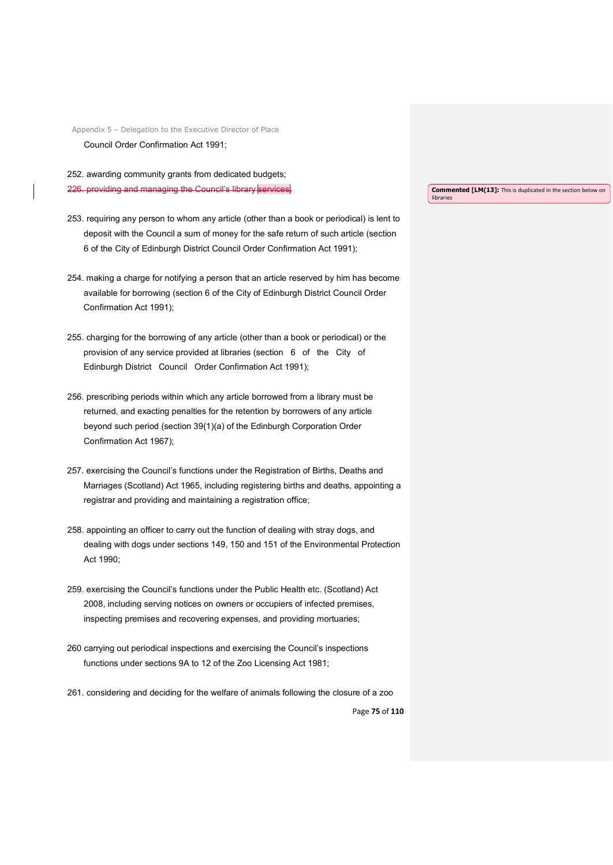Appendix 5 – Delegation to the Executive Director of Place Council Order Confirmation Act 1991;

252. awarding community grants from dedicated budgets; 226. providing and managing the Council's library services

- 253. requiring any person to whom any article (other than a book or periodical) is lent to deposit with the Council a sum of money for the safe return of such article (section 6 of the City of Edinburgh District Council Order Confirmation Act 1991);
- 254. making a charge for notifying a person that an article reserved by him has become available for borrowing (section 6 of the City of Edinburgh District Council Order Confirmation Act 1991);
- 255. charging for the borrowing of any article (other than a book or periodical) or the provision of any service provided at libraries (section 6 of the City of Edinburgh District Council Order Confirmation Act 1991);
- 256. prescribing periods within which any article borrowed from a library must be returned, and exacting penalties for the retention by borrowers of any article beyond such period (section 39(1)(a) of the Edinburgh Corporation Order Confirmation Act 1967);
- 257. exercising the Council's functions under the Registration of Births, Deaths and Marriages (Scotland) Act 1965, including registering births and deaths, appointing a registrar and providing and maintaining a registration office;
- 258. appointing an officer to carry out the function of dealing with stray dogs, and dealing with dogs under sections 149, 150 and 151 of the Environmental Protection Act 1990;
- 259. exercising the Council's functions under the Public Health etc. (Scotland) Act 2008, including serving notices on owners or occupiers of infected premises, inspecting premises and recovering expenses, and providing mortuaries;
- 260 carrying out periodical inspections and exercising the Council's inspections functions under sections 9A to 12 of the Zoo Licensing Act 1981;
- Page **75** of **110** 261. considering and deciding for the welfare of animals following the closure of a zoo

**Commented [LM(13]:** This is duplicated in the section below on libraries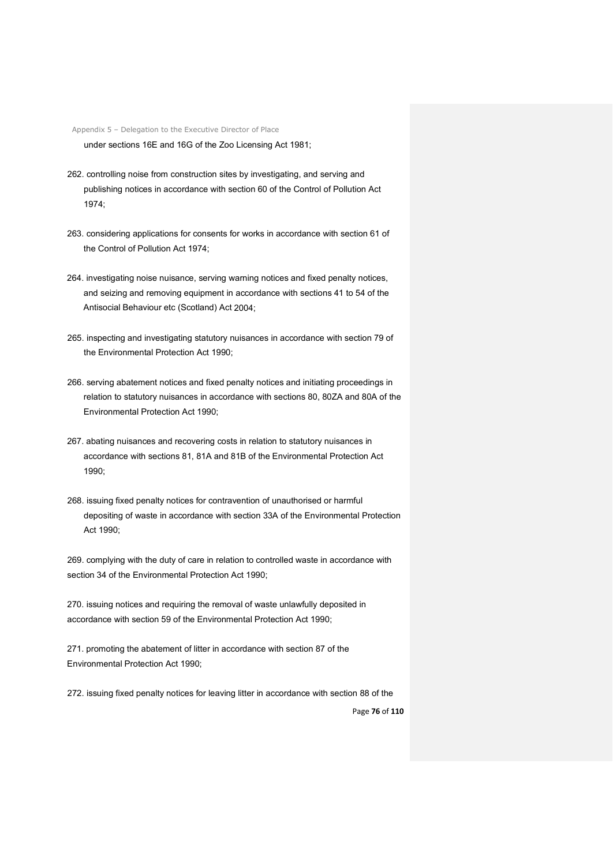under sections 16E and 16G of the Zoo Licensing Act 1981;

- 262. controlling noise from construction sites by investigating, and serving and publishing notices in accordance with section 60 of the Control of Pollution Act 1974;
- 263. considering applications for consents for works in accordance with section 61 of the Control of Pollution Act 1974;
- 264. investigating noise nuisance, serving warning notices and fixed penalty notices, and seizing and removing equipment in accordance with sections 41 to 54 of the Antisocial Behaviour etc (Scotland) Act 2004;
- 265. inspecting and investigating statutory nuisances in accordance with section 79 of the Environmental Protection Act 1990;
- 266. serving abatement notices and fixed penalty notices and initiating proceedings in relation to statutory nuisances in accordance with sections 80, 80ZA and 80A of the Environmental Protection Act 1990;
- 267. abating nuisances and recovering costs in relation to statutory nuisances in accordance with sections 81, 81A and 81B of the Environmental Protection Act 1990;
- 268. issuing fixed penalty notices for contravention of unauthorised or harmful depositing of waste in accordance with section 33A of the Environmental Protection Act 1990;

269. complying with the duty of care in relation to controlled waste in accordance with section 34 of the Environmental Protection Act 1990;

270. issuing notices and requiring the removal of waste unlawfully deposited in accordance with section 59 of the Environmental Protection Act 1990;

271. promoting the abatement of litter in accordance with section 87 of the Environmental Protection Act 1990;

272. issuing fixed penalty notices for leaving litter in accordance with section 88 of the

Page **76** of **110**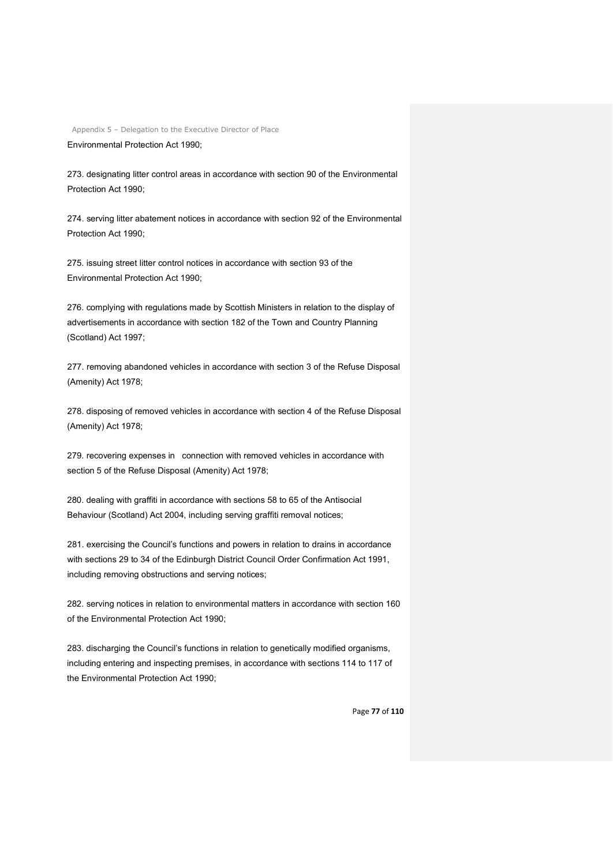Environmental Protection Act 1990;

273. designating litter control areas in accordance with section 90 of the Environmental Protection Act 1990;

274. serving litter abatement notices in accordance with section 92 of the Environmental Protection Act 1990;

275. issuing street litter control notices in accordance with section 93 of the Environmental Protection Act 1990;

276. complying with regulations made by Scottish Ministers in relation to the display of advertisements in accordance with section 182 of the Town and Country Planning (Scotland) Act 1997;

277. removing abandoned vehicles in accordance with section 3 of the Refuse Disposal (Amenity) Act 1978;

278. disposing of removed vehicles in accordance with section 4 of the Refuse Disposal (Amenity) Act 1978;

279. recovering expenses in connection with removed vehicles in accordance with section 5 of the Refuse Disposal (Amenity) Act 1978;

280. dealing with graffiti in accordance with sections 58 to 65 of the Antisocial Behaviour (Scotland) Act 2004, including serving graffiti removal notices;

281. exercising the Council's functions and powers in relation to drains in accordance with sections 29 to 34 of the Edinburgh District Council Order Confirmation Act 1991. including removing obstructions and serving notices;

282. serving notices in relation to environmental matters in accordance with section 160 of the Environmental Protection Act 1990;

283. discharging the Council's functions in relation to genetically modified organisms, including entering and inspecting premises, in accordance with sections 114 to 117 of the Environmental Protection Act 1990;

Page **77** of **110**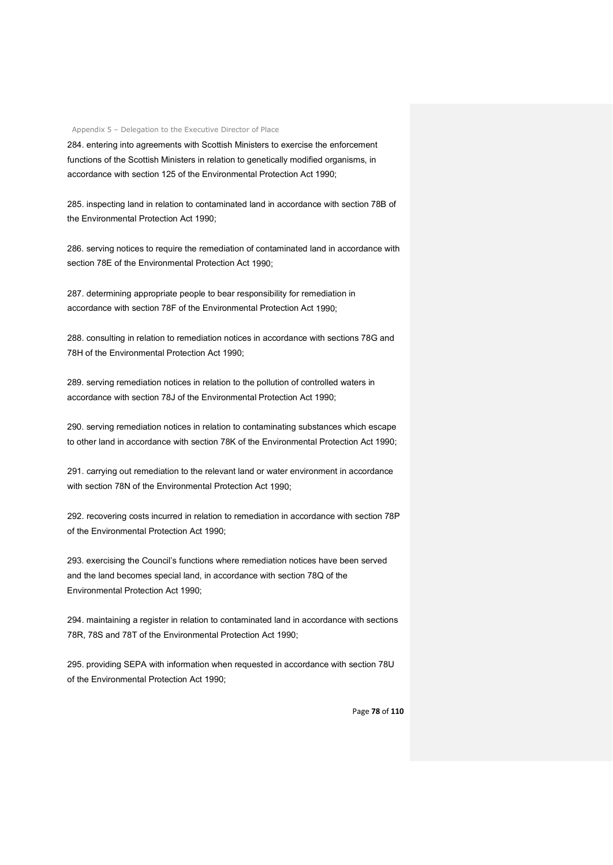284. entering into agreements with Scottish Ministers to exercise the enforcement functions of the Scottish Ministers in relation to genetically modified organisms, in accordance with section 125 of the Environmental Protection Act 1990;

285. inspecting land in relation to contaminated land in accordance with section 78B of the Environmental Protection Act 1990;

286. serving notices to require the remediation of contaminated land in accordance with section 78E of the Environmental Protection Act 1990;

287. determining appropriate people to bear responsibility for remediation in accordance with section 78F of the Environmental Protection Act 1990;

288. consulting in relation to remediation notices in accordance with sections 78G and 78H of the Environmental Protection Act 1990;

289. serving remediation notices in relation to the pollution of controlled waters in accordance with section 78J of the Environmental Protection Act 1990;

290. serving remediation notices in relation to contaminating substances which escape to other land in accordance with section 78K of the Environmental Protection Act 1990;

291. carrying out remediation to the relevant land or water environment in accordance with section 78N of the Environmental Protection Act 1990;

292. recovering costs incurred in relation to remediation in accordance with section 78P of the Environmental Protection Act 1990;

293. exercising the Council's functions where remediation notices have been served and the land becomes special land, in accordance with section 78Q of the Environmental Protection Act 1990;

294. maintaining a register in relation to contaminated land in accordance with sections 78R, 78S and 78T of the Environmental Protection Act 1990;

295. providing SEPA with information when requested in accordance with section 78U of the Environmental Protection Act 1990;

Page **78** of **110**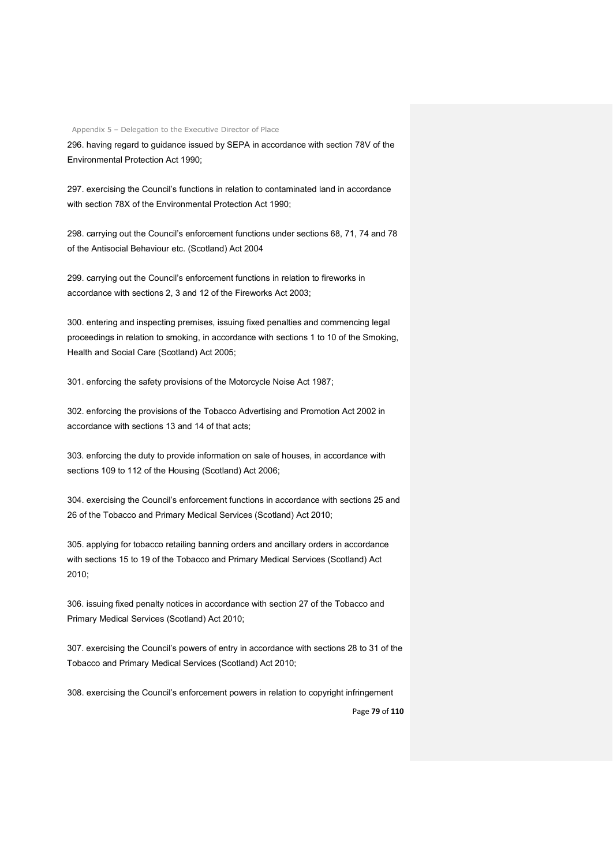296. having regard to guidance issued by SEPA in accordance with section 78V of the Environmental Protection Act 1990;

297. exercising the Council's functions in relation to contaminated land in accordance with section 78X of the Environmental Protection Act 1990;

298. carrying out the Council's enforcement functions under sections 68, 71, 74 and 78 of the Antisocial Behaviour etc. (Scotland) Act 2004

299. carrying out the Council's enforcement functions in relation to fireworks in accordance with sections 2, 3 and 12 of the Fireworks Act 2003;

300. entering and inspecting premises, issuing fixed penalties and commencing legal proceedings in relation to smoking, in accordance with sections 1 to 10 of the Smoking, Health and Social Care (Scotland) Act 2005;

301. enforcing the safety provisions of the Motorcycle Noise Act 1987;

302. enforcing the provisions of the Tobacco Advertising and Promotion Act 2002 in accordance with sections 13 and 14 of that acts;

303. enforcing the duty to provide information on sale of houses, in accordance with sections 109 to 112 of the Housing (Scotland) Act 2006;

304. exercising the Council's enforcement functions in accordance with sections 25 and 26 of the Tobacco and Primary Medical Services (Scotland) Act 2010;

305. applying for tobacco retailing banning orders and ancillary orders in accordance with sections 15 to 19 of the Tobacco and Primary Medical Services (Scotland) Act 2010;

306. issuing fixed penalty notices in accordance with section 27 of the Tobacco and Primary Medical Services (Scotland) Act 2010;

307. exercising the Council's powers of entry in accordance with sections 28 to 31 of the Tobacco and Primary Medical Services (Scotland) Act 2010;

308. exercising the Council's enforcement powers in relation to copyright infringement

Page **79** of **110**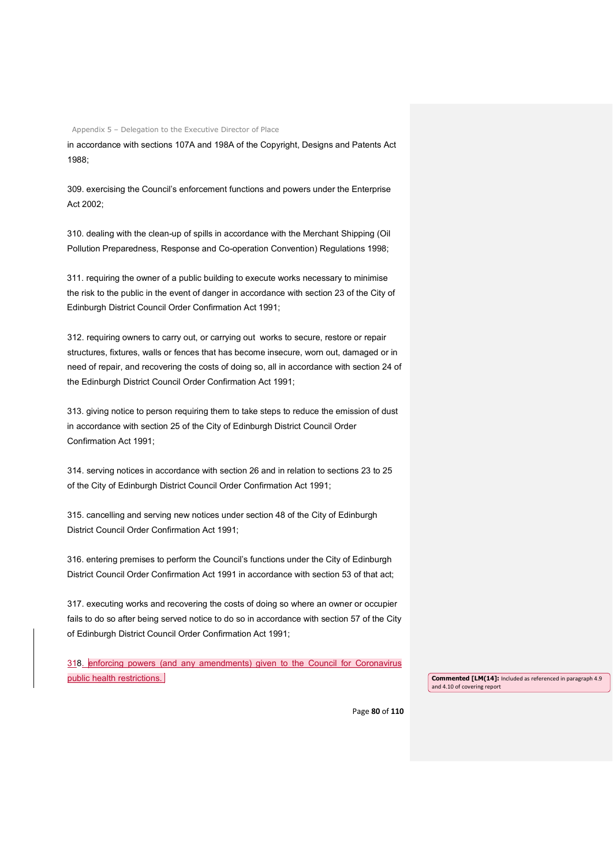in accordance with sections 107A and 198A of the Copyright, Designs and Patents Act 1988;

309. exercising the Council's enforcement functions and powers under the Enterprise Act 2002;

310. dealing with the clean-up of spills in accordance with the Merchant Shipping (Oil Pollution Preparedness, Response and Co-operation Convention) Regulations 1998;

311. requiring the owner of a public building to execute works necessary to minimise the risk to the public in the event of danger in accordance with section 23 of the City of Edinburgh District Council Order Confirmation Act 1991;

312. requiring owners to carry out, or carrying out works to secure, restore or repair structures, fixtures, walls or fences that has become insecure, worn out, damaged or in need of repair, and recovering the costs of doing so, all in accordance with section 24 of the Edinburgh District Council Order Confirmation Act 1991;

313. giving notice to person requiring them to take steps to reduce the emission of dust in accordance with section 25 of the City of Edinburgh District Council Order Confirmation Act 1991;

314. serving notices in accordance with section 26 and in relation to sections 23 to 25 of the City of Edinburgh District Council Order Confirmation Act 1991;

315. cancelling and serving new notices under section 48 of the City of Edinburgh District Council Order Confirmation Act 1991;

316. entering premises to perform the Council's functions under the City of Edinburgh District Council Order Confirmation Act 1991 in accordance with section 53 of that act;

317. executing works and recovering the costs of doing so where an owner or occupier fails to do so after being served notice to do so in accordance with section 57 of the City of Edinburgh District Council Order Confirmation Act 1991;

318. enforcing powers (and any amendments) given to the Council for Coronavirus public health restrictions.

and 4.10 of covering report

Page **80** of **110**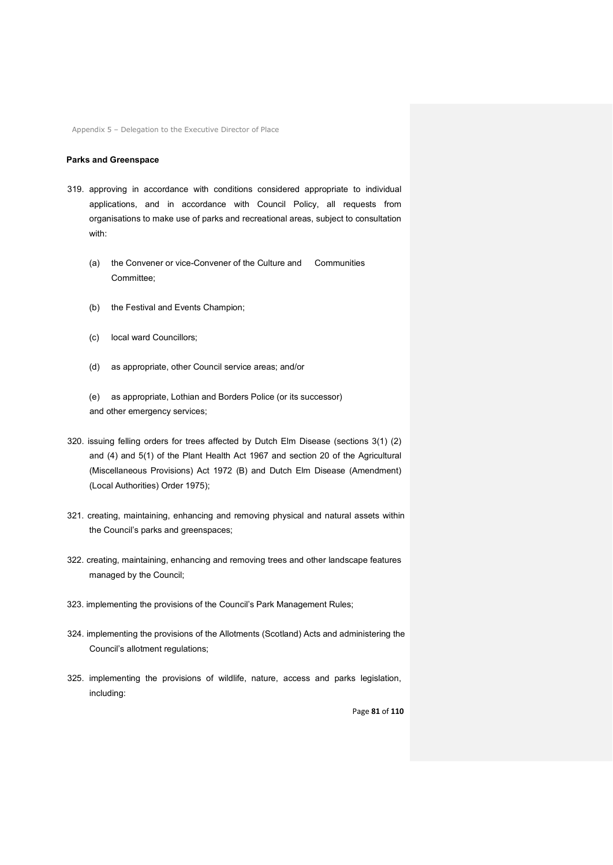#### **Parks and Greenspace**

- 319. approving in accordance with conditions considered appropriate to individual applications, and in accordance with Council Policy, all requests from organisations to make use of parks and recreational areas, subject to consultation with:
	- (a) the Convener or vice-Convener of the Culture and Communities Committee;
	- (b) the Festival and Events Champion;
	- (c) local ward Councillors;
	- (d) as appropriate, other Council service areas; and/or
	- (e) as appropriate, Lothian and Borders Police (or its successor) and other emergency services;
- 320. issuing felling orders for trees affected by Dutch Elm Disease (sections 3(1) (2) and (4) and 5(1) of the Plant Health Act 1967 and section 20 of the Agricultural (Miscellaneous Provisions) Act 1972 (B) and Dutch Elm Disease (Amendment) (Local Authorities) Order 1975);
- 321. creating, maintaining, enhancing and removing physical and natural assets within the Council's parks and greenspaces;
- 322. creating, maintaining, enhancing and removing trees and other landscape features managed by the Council;
- 323. implementing the provisions of the Council's Park Management Rules;
- 324. implementing the provisions of the Allotments (Scotland) Acts and administering the Council's allotment regulations;
- 325. implementing the provisions of wildlife, nature, access and parks legislation, including:

Page **81** of **110**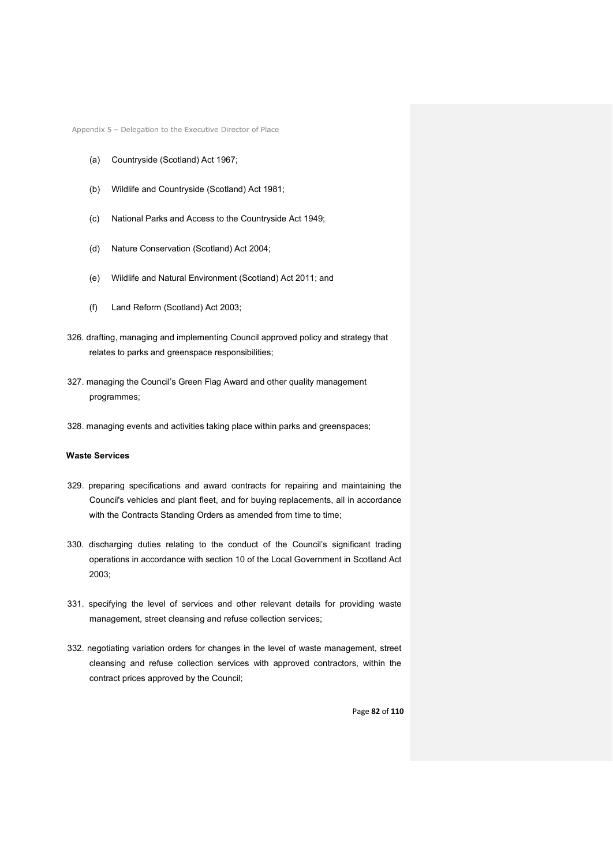- (a) Countryside (Scotland) Act 1967;
- (b) Wildlife and Countryside (Scotland) Act 1981;
- (c) National Parks and Access to the Countryside Act 1949;
- (d) Nature Conservation (Scotland) Act 2004;
- (e) Wildlife and Natural Environment (Scotland) Act 2011; and
- (f) Land Reform (Scotland) Act 2003;
- 326. drafting, managing and implementing Council approved policy and strategy that relates to parks and greenspace responsibilities;
- 327. managing the Council's Green Flag Award and other quality management programmes;
- 328. managing events and activities taking place within parks and greenspaces;

## **Waste Services**

- 329. preparing specifications and award contracts for repairing and maintaining the Council's vehicles and plant fleet, and for buying replacements, all in accordance with the Contracts Standing Orders as amended from time to time;
- 330. discharging duties relating to the conduct of the Council's significant trading operations in accordance with section 10 of the Local Government in Scotland Act 2003;
- 331. specifying the level of services and other relevant details for providing waste management, street cleansing and refuse collection services;
- 332. negotiating variation orders for changes in the level of waste management, street cleansing and refuse collection services with approved contractors, within the contract prices approved by the Council;

Page **82** of **110**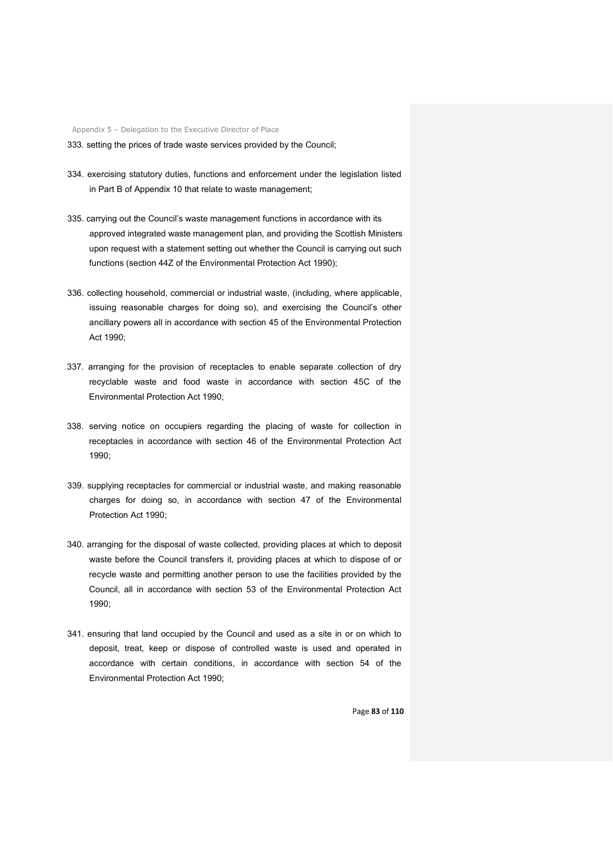333. setting the prices of trade waste services provided by the Council;

- 334. exercising statutory duties, functions and enforcement under the legislation listed in Part B of Appendix 10 that relate to waste management;
- 335. carrying out the Council's waste management functions in accordance with its approved integrated waste management plan, and providing the Scottish Ministers upon request with a statement setting out whether the Council is carrying out such functions (section 44Z of the Environmental Protection Act 1990);
- 336. collecting household, commercial or industrial waste, (including, where applicable, issuing reasonable charges for doing so), and exercising the Council's other ancillary powers all in accordance with section 45 of the Environmental Protection Act 1990;
- 337. arranging for the provision of receptacles to enable separate collection of dry recyclable waste and food waste in accordance with section 45C of the Environmental Protection Act 1990;
- 338. serving notice on occupiers regarding the placing of waste for collection in receptacles in accordance with section 46 of the Environmental Protection Act 1990;
- 339. supplying receptacles for commercial or industrial waste, and making reasonable charges for doing so, in accordance with section 47 of the Environmental Protection Act 1990;
- 340. arranging for the disposal of waste collected, providing places at which to deposit waste before the Council transfers it, providing places at which to dispose of or recycle waste and permitting another person to use the facilities provided by the Council, all in accordance with section 53 of the Environmental Protection Act 1990;
- 341. ensuring that land occupied by the Council and used as a site in or on which to deposit, treat, keep or dispose of controlled waste is used and operated in accordance with certain conditions, in accordance with section 54 of the Environmental Protection Act 1990;

Page **83** of **110**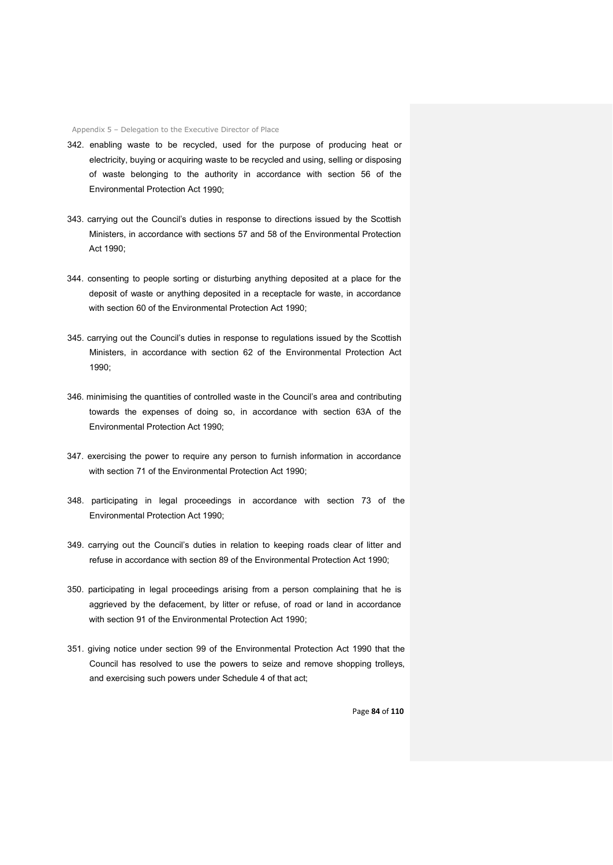- 342. enabling waste to be recycled, used for the purpose of producing heat or electricity, buying or acquiring waste to be recycled and using, selling or disposing of waste belonging to the authority in accordance with section 56 of the Environmental Protection Act 1990;
- 343. carrying out the Council's duties in response to directions issued by the Scottish Ministers, in accordance with sections 57 and 58 of the Environmental Protection Act 1990;
- 344. consenting to people sorting or disturbing anything deposited at a place for the deposit of waste or anything deposited in a receptacle for waste, in accordance with section 60 of the Environmental Protection Act 1990;
- 345. carrying out the Council's duties in response to regulations issued by the Scottish Ministers, in accordance with section 62 of the Environmental Protection Act 1990;
- 346. minimising the quantities of controlled waste in the Council's area and contributing towards the expenses of doing so, in accordance with section 63A of the Environmental Protection Act 1990;
- 347. exercising the power to require any person to furnish information in accordance with section 71 of the Environmental Protection Act 1990;
- 348. participating in legal proceedings in accordance with section 73 of the Environmental Protection Act 1990;
- 349. carrying out the Council's duties in relation to keeping roads clear of litter and refuse in accordance with section 89 of the Environmental Protection Act 1990;
- 350. participating in legal proceedings arising from a person complaining that he is aggrieved by the defacement, by litter or refuse, of road or land in accordance with section 91 of the Environmental Protection Act 1990;
- 351. giving notice under section 99 of the Environmental Protection Act 1990 that the Council has resolved to use the powers to seize and remove shopping trolleys, and exercising such powers under Schedule 4 of that act;

Page **84** of **110**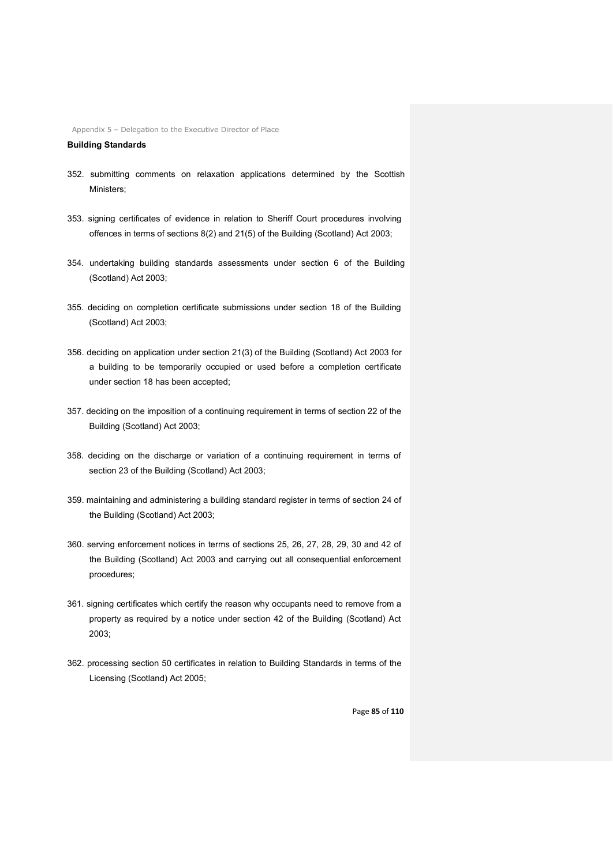**Building Standards**

- 352. submitting comments on relaxation applications determined by the Scottish Ministers;
- 353. signing certificates of evidence in relation to Sheriff Court procedures involving offences in terms of sections 8(2) and 21(5) of the Building (Scotland) Act 2003;
- 354. undertaking building standards assessments under section 6 of the Building (Scotland) Act 2003;
- 355. deciding on completion certificate submissions under section 18 of the Building (Scotland) Act 2003;
- 356. deciding on application under section 21(3) of the Building (Scotland) Act 2003 for a building to be temporarily occupied or used before a completion certificate under section 18 has been accepted;
- 357. deciding on the imposition of a continuing requirement in terms of section 22 of the Building (Scotland) Act 2003;
- 358. deciding on the discharge or variation of a continuing requirement in terms of section 23 of the Building (Scotland) Act 2003;
- 359. maintaining and administering a building standard register in terms of section 24 of the Building (Scotland) Act 2003;
- 360. serving enforcement notices in terms of sections 25, 26, 27, 28, 29, 30 and 42 of the Building (Scotland) Act 2003 and carrying out all consequential enforcement procedures;
- 361. signing certificates which certify the reason why occupants need to remove from a property as required by a notice under section 42 of the Building (Scotland) Act 2003;
- 362. processing section 50 certificates in relation to Building Standards in terms of the Licensing (Scotland) Act 2005;

Page **85** of **110**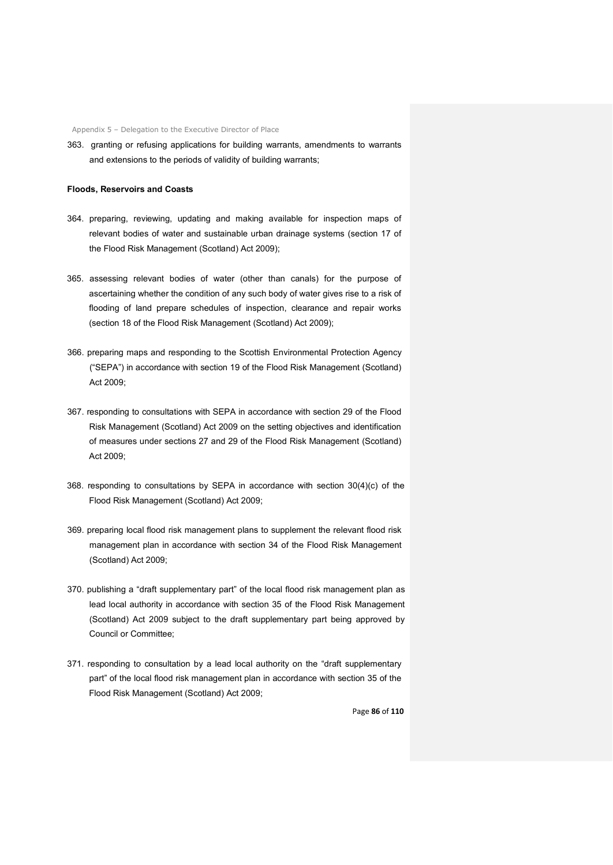363. granting or refusing applications for building warrants, amendments to warrants and extensions to the periods of validity of building warrants;

#### **Floods, Reservoirs and Coasts**

- 364. preparing, reviewing, updating and making available for inspection maps of relevant bodies of water and sustainable urban drainage systems (section 17 of the Flood Risk Management (Scotland) Act 2009);
- 365. assessing relevant bodies of water (other than canals) for the purpose of ascertaining whether the condition of any such body of water gives rise to a risk of flooding of land prepare schedules of inspection, clearance and repair works (section 18 of the Flood Risk Management (Scotland) Act 2009);
- 366. preparing maps and responding to the Scottish Environmental Protection Agency ("SEPA") in accordance with section 19 of the Flood Risk Management (Scotland) Act 2009;
- 367. responding to consultations with SEPA in accordance with section 29 of the Flood Risk Management (Scotland) Act 2009 on the setting objectives and identification of measures under sections 27 and 29 of the Flood Risk Management (Scotland) Act 2009;
- 368. responding to consultations by SEPA in accordance with section 30(4)(c) of the Flood Risk Management (Scotland) Act 2009;
- 369. preparing local flood risk management plans to supplement the relevant flood risk management plan in accordance with section 34 of the Flood Risk Management (Scotland) Act 2009;
- 370. publishing a "draft supplementary part" of the local flood risk management plan as lead local authority in accordance with section 35 of the Flood Risk Management (Scotland) Act 2009 subject to the draft supplementary part being approved by Council or Committee;
- 371. responding to consultation by a lead local authority on the "draft supplementary part" of the local flood risk management plan in accordance with section 35 of the Flood Risk Management (Scotland) Act 2009;

Page **86** of **110**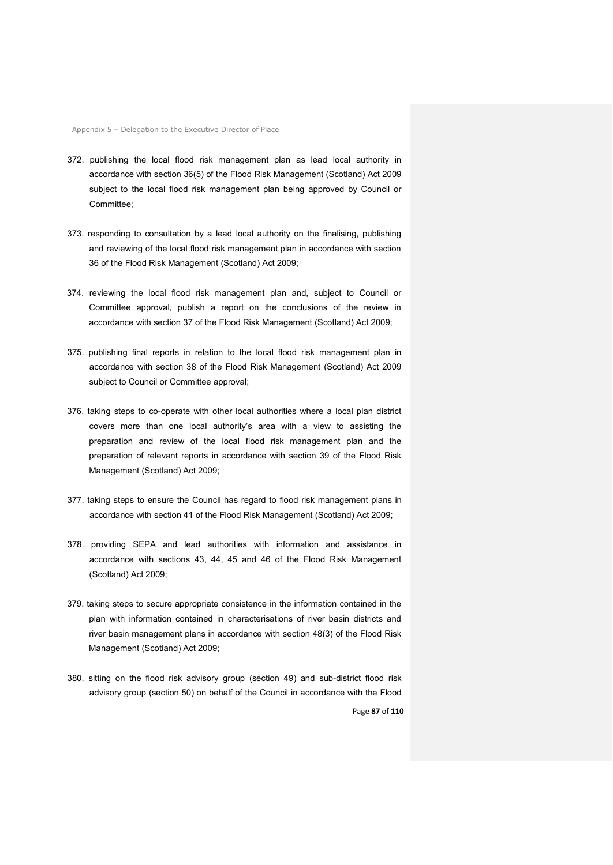- 372. publishing the local flood risk management plan as lead local authority in accordance with section 36(5) of the Flood Risk Management (Scotland) Act 2009 subject to the local flood risk management plan being approved by Council or Committee;
- 373. responding to consultation by a lead local authority on the finalising, publishing and reviewing of the local flood risk management plan in accordance with section 36 of the Flood Risk Management (Scotland) Act 2009;
- 374. reviewing the local flood risk management plan and, subject to Council or Committee approval, publish a report on the conclusions of the review in accordance with section 37 of the Flood Risk Management (Scotland) Act 2009;
- 375. publishing final reports in relation to the local flood risk management plan in accordance with section 38 of the Flood Risk Management (Scotland) Act 2009 subject to Council or Committee approval;
- 376. taking steps to co-operate with other local authorities where a local plan district covers more than one local authority's area with a view to assisting the preparation and review of the local flood risk management plan and the preparation of relevant reports in accordance with section 39 of the Flood Risk Management (Scotland) Act 2009;
- 377. taking steps to ensure the Council has regard to flood risk management plans in accordance with section 41 of the Flood Risk Management (Scotland) Act 2009;
- 378. providing SEPA and lead authorities with information and assistance in accordance with sections 43, 44, 45 and 46 of the Flood Risk Management (Scotland) Act 2009;
- 379. taking steps to secure appropriate consistence in the information contained in the plan with information contained in characterisations of river basin districts and river basin management plans in accordance with section 48(3) of the Flood Risk Management (Scotland) Act 2009;
- Page **87** of **110** 380. sitting on the flood risk advisory group (section 49) and sub-district flood risk advisory group (section 50) on behalf of the Council in accordance with the Flood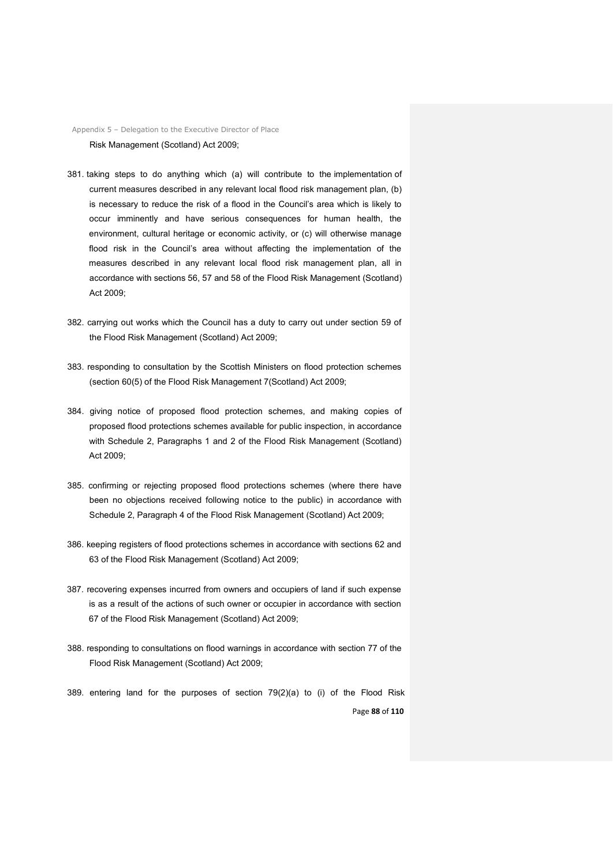Appendix 5 – Delegation to the Executive Director of Place Risk Management (Scotland) Act 2009;

- 381. taking steps to do anything which (a) will contribute to the implementation of current measures described in any relevant local flood risk management plan, (b) is necessary to reduce the risk of a flood in the Council's area which is likely to occur imminently and have serious consequences for human health, the environment, cultural heritage or economic activity, or (c) will otherwise manage flood risk in the Council's area without affecting the implementation of the measures described in any relevant local flood risk management plan, all in accordance with sections 56, 57 and 58 of the Flood Risk Management (Scotland) Act 2009;
- 382. carrying out works which the Council has a duty to carry out under section 59 of the Flood Risk Management (Scotland) Act 2009;
- 383. responding to consultation by the Scottish Ministers on flood protection schemes (section 60(5) of the Flood Risk Management 7(Scotland) Act 2009;
- 384. giving notice of proposed flood protection schemes, and making copies of proposed flood protections schemes available for public inspection, in accordance with Schedule 2, Paragraphs 1 and 2 of the Flood Risk Management (Scotland) Act 2009;
- 385. confirming or rejecting proposed flood protections schemes (where there have been no objections received following notice to the public) in accordance with Schedule 2, Paragraph 4 of the Flood Risk Management (Scotland) Act 2009;
- 386. keeping registers of flood protections schemes in accordance with sections 62 and 63 of the Flood Risk Management (Scotland) Act 2009;
- 387. recovering expenses incurred from owners and occupiers of land if such expense is as a result of the actions of such owner or occupier in accordance with section 67 of the Flood Risk Management (Scotland) Act 2009;
- 388. responding to consultations on flood warnings in accordance with section 77 of the Flood Risk Management (Scotland) Act 2009;
- Page **88** of **110** 389. entering land for the purposes of section 79(2)(a) to (i) of the Flood Risk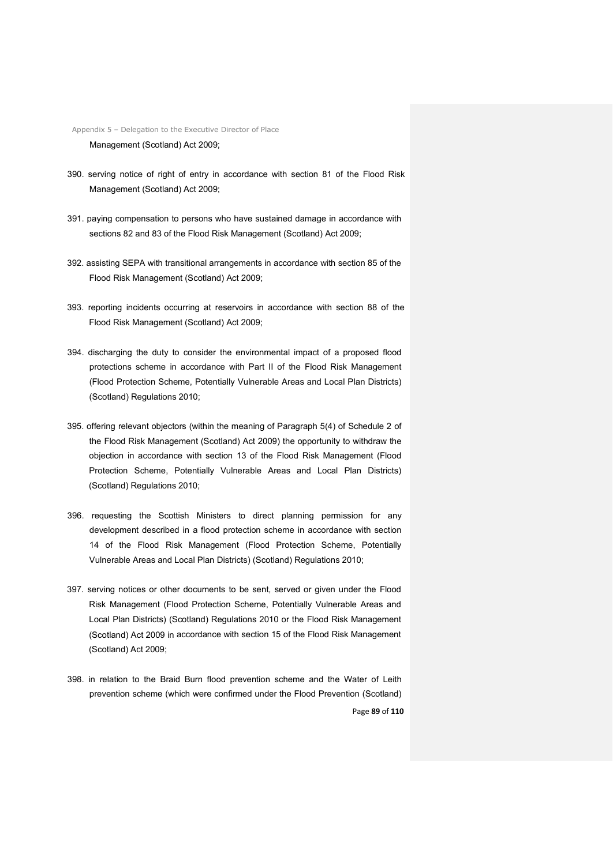Appendix 5 – Delegation to the Executive Director of Place Management (Scotland) Act 2009;

- 390. serving notice of right of entry in accordance with section 81 of the Flood Risk Management (Scotland) Act 2009;
- 391. paying compensation to persons who have sustained damage in accordance with sections 82 and 83 of the Flood Risk Management (Scotland) Act 2009;
- 392. assisting SEPA with transitional arrangements in accordance with section 85 of the Flood Risk Management (Scotland) Act 2009;
- 393. reporting incidents occurring at reservoirs in accordance with section 88 of the Flood Risk Management (Scotland) Act 2009;
- 394. discharging the duty to consider the environmental impact of a proposed flood protections scheme in accordance with Part II of the Flood Risk Management (Flood Protection Scheme, Potentially Vulnerable Areas and Local Plan Districts) (Scotland) Regulations 2010;
- 395. offering relevant objectors (within the meaning of Paragraph 5(4) of Schedule 2 of the Flood Risk Management (Scotland) Act 2009) the opportunity to withdraw the objection in accordance with section 13 of the Flood Risk Management (Flood Protection Scheme, Potentially Vulnerable Areas and Local Plan Districts) (Scotland) Regulations 2010;
- 396. requesting the Scottish Ministers to direct planning permission for any development described in a flood protection scheme in accordance with section 14 of the Flood Risk Management (Flood Protection Scheme, Potentially Vulnerable Areas and Local Plan Districts) (Scotland) Regulations 2010;
- 397. serving notices or other documents to be sent, served or given under the Flood Risk Management (Flood Protection Scheme, Potentially Vulnerable Areas and Local Plan Districts) (Scotland) Regulations 2010 or the Flood Risk Management (Scotland) Act 2009 in accordance with section 15 of the Flood Risk Management (Scotland) Act 2009;
- Page **89** of **110** 398. in relation to the Braid Burn flood prevention scheme and the Water of Leith prevention scheme (which were confirmed under the Flood Prevention (Scotland)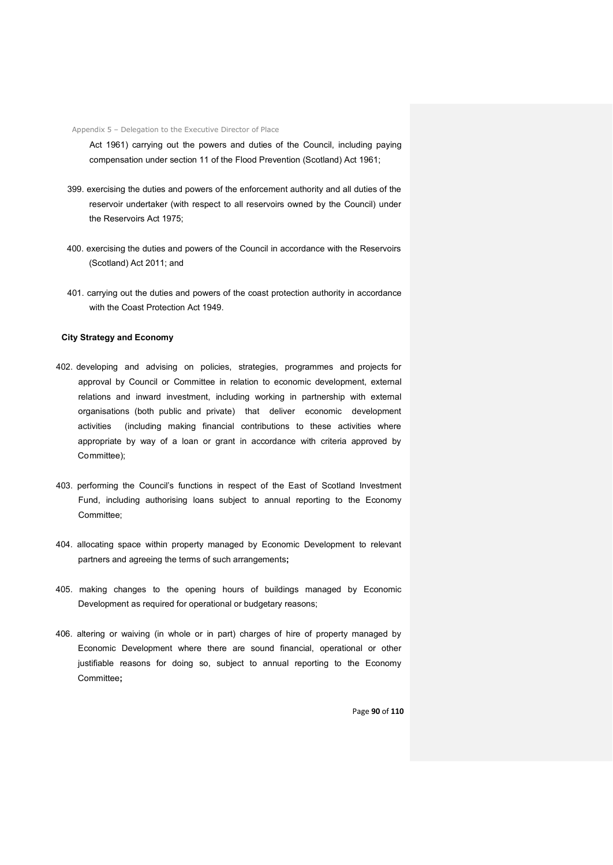Act 1961) carrying out the powers and duties of the Council, including paying compensation under section 11 of the Flood Prevention (Scotland) Act 1961;

- 399. exercising the duties and powers of the enforcement authority and all duties of the reservoir undertaker (with respect to all reservoirs owned by the Council) under the Reservoirs Act 1975;
- 400. exercising the duties and powers of the Council in accordance with the Reservoirs (Scotland) Act 2011; and
- 401. carrying out the duties and powers of the coast protection authority in accordance with the Coast Protection Act 1949.

## **City Strategy and Economy**

- 402. developing and advising on policies, strategies, programmes and projects for approval by Council or Committee in relation to economic development, external relations and inward investment, including working in partnership with external organisations (both public and private) that deliver economic development activities (including making financial contributions to these activities where appropriate by way of a loan or grant in accordance with criteria approved by Committee);
- 403. performing the Council's functions in respect of the East of Scotland Investment Fund, including authorising loans subject to annual reporting to the Economy Committee;
- 404. allocating space within property managed by Economic Development to relevant partners and agreeing the terms of such arrangements**;**
- 405. making changes to the opening hours of buildings managed by Economic Development as required for operational or budgetary reasons;
- 406. altering or waiving (in whole or in part) charges of hire of property managed by Economic Development where there are sound financial, operational or other justifiable reasons for doing so, subject to annual reporting to the Economy Committee**;**

Page **90** of **110**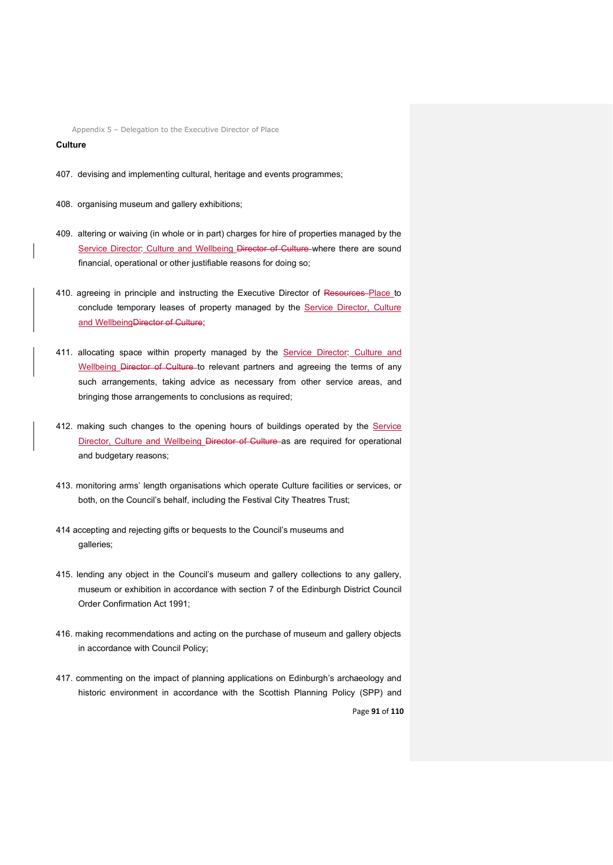## **Culture**

- 407. devising and implementing cultural, heritage and events programmes;
- 408. organising museum and gallery exhibitions;
- 409. altering or waiving (in whole or in part) charges for hire of properties managed by the Service Director: Culture and Wellbeing Director of Culture where there are sound financial, operational or other justifiable reasons for doing so;
- 410. agreeing in principle and instructing the Executive Director of Resources Place to conclude temporary leases of property managed by the Service Director, Culture and WellbeingDirector of Culture;
- 411. allocating space within property managed by the Service Director: Culture and Wellbeing Director of Culture to relevant partners and agreeing the terms of any such arrangements, taking advice as necessary from other service areas, and bringing those arrangements to conclusions as required;
- 412. making such changes to the opening hours of buildings operated by the Service Director, Culture and Wellbeing Director of Culture as are required for operational and budgetary reasons;
- 413. monitoring arms' length organisations which operate Culture facilities or services, or both, on the Council's behalf, including the Festival City Theatres Trust;
- 414 accepting and rejecting gifts or bequests to the Council's museums and galleries;
- 415. lending any object in the Council's museum and gallery collections to any gallery, museum or exhibition in accordance with section 7 of the Edinburgh District Council Order Confirmation Act 1991;
- 416. making recommendations and acting on the purchase of museum and gallery objects in accordance with Council Policy;
- Page **91** of **110** 417. commenting on the impact of planning applications on Edinburgh's archaeology and historic environment in accordance with the Scottish Planning Policy (SPP) and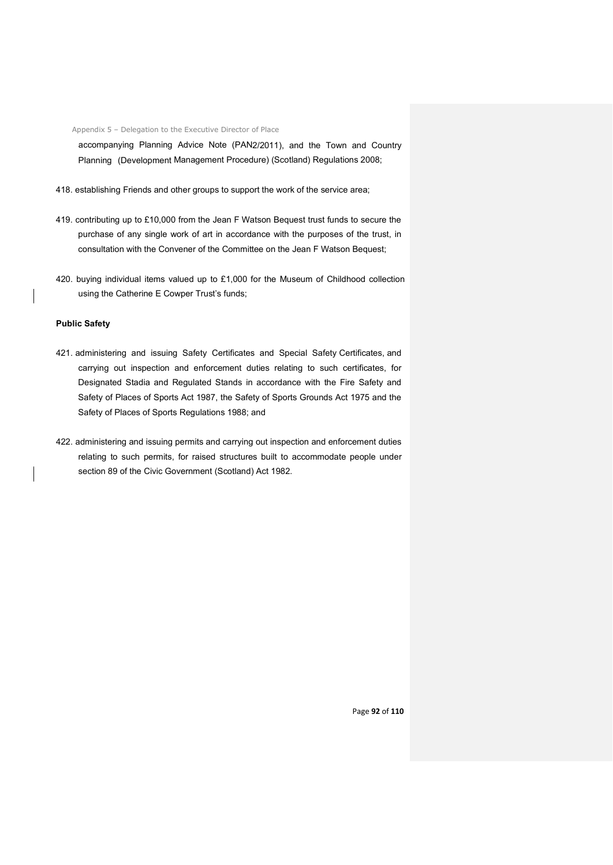accompanying Planning Advice Note (PAN2/2011), and the Town and Country Planning (Development Management Procedure) (Scotland) Regulations 2008;

- 418. establishing Friends and other groups to support the work of the service area;
- 419. contributing up to £10,000 from the Jean F Watson Bequest trust funds to secure the purchase of any single work of art in accordance with the purposes of the trust, in consultation with the Convener of the Committee on the Jean F Watson Bequest;
- 420. buying individual items valued up to £1,000 for the Museum of Childhood collection using the Catherine E Cowper Trust's funds;

## **Public Safety**

- 421. administering and issuing Safety Certificates and Special Safety Certificates, and carrying out inspection and enforcement duties relating to such certificates, for Designated Stadia and Regulated Stands in accordance with the Fire Safety and Safety of Places of Sports Act 1987, the Safety of Sports Grounds Act 1975 and the Safety of Places of Sports Regulations 1988; and
- 422. administering and issuing permits and carrying out inspection and enforcement duties relating to such permits, for raised structures built to accommodate people under section 89 of the Civic Government (Scotland) Act 1982.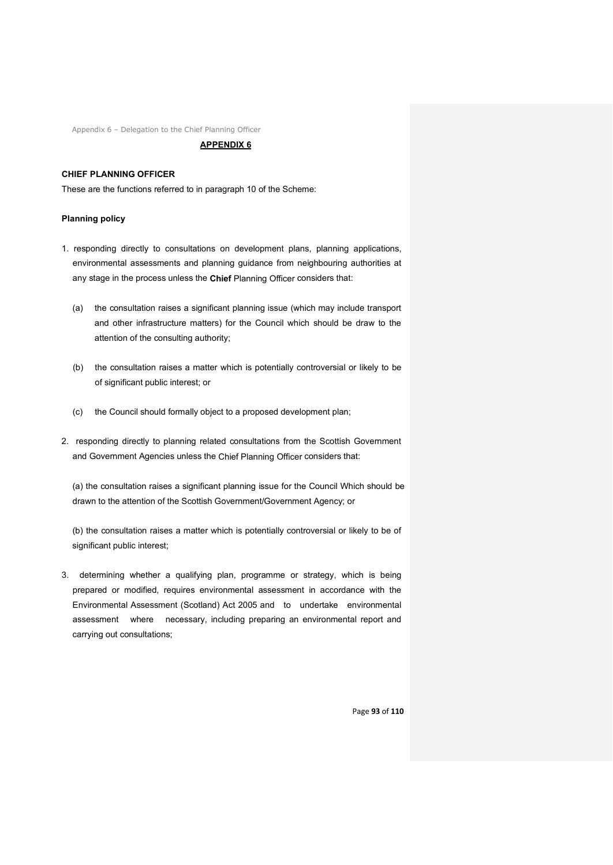#### **APPENDIX 6**

## **CHIEF PLANNING OFFICER**

These are the functions referred to in paragraph 10 of the Scheme:

## **Planning policy**

- 1. responding directly to consultations on development plans, planning applications, environmental assessments and planning guidance from neighbouring authorities at any stage in the process unless the **Chief** Planning Officer considers that:
	- (a) the consultation raises a significant planning issue (which may include transport and other infrastructure matters) for the Council which should be draw to the attention of the consulting authority;
	- (b) the consultation raises a matter which is potentially controversial or likely to be of significant public interest; or
	- (c) the Council should formally object to a proposed development plan;
- 2. responding directly to planning related consultations from the Scottish Government and Government Agencies unless the Chief Planning Officer considers that:

(a) the consultation raises a significant planning issue for the Council Which should be drawn to the attention of the Scottish Government/Government Agency; or

(b) the consultation raises a matter which is potentially controversial or likely to be of significant public interest;

3. determining whether a qualifying plan, programme or strategy, which is being prepared or modified, requires environmental assessment in accordance with the Environmental Assessment (Scotland) Act 2005 and to undertake environmental assessment where necessary, including preparing an environmental report and carrying out consultations;

Page **93** of **110**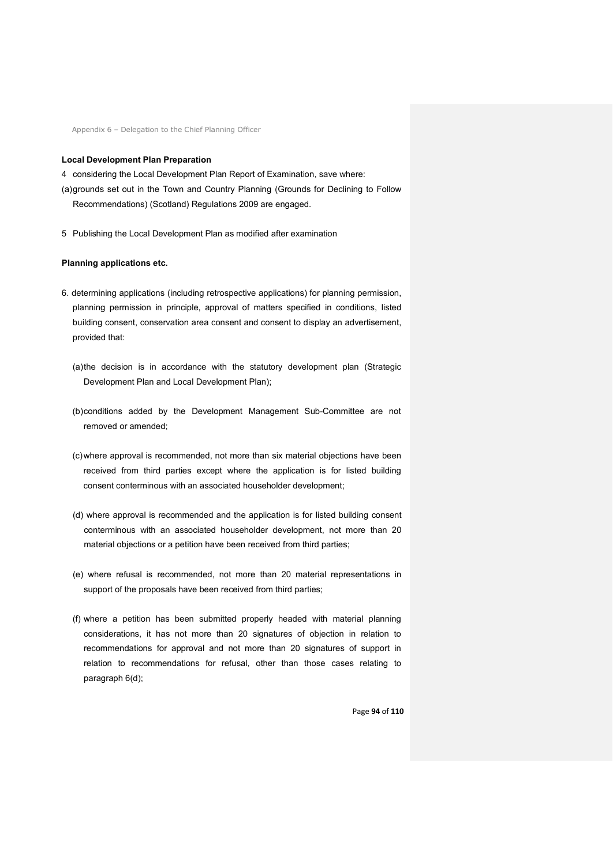#### **Local Development Plan Preparation**

- 4 considering the Local Development Plan Report of Examination, save where:
- (a)grounds set out in the Town and Country Planning (Grounds for Declining to Follow Recommendations) (Scotland) Regulations 2009 are engaged.
- 5 Publishing the Local Development Plan as modified after examination

## **Planning applications etc.**

- 6. determining applications (including retrospective applications) for planning permission, planning permission in principle, approval of matters specified in conditions, listed building consent, conservation area consent and consent to display an advertisement, provided that:
	- (a)the decision is in accordance with the statutory development plan (Strategic Development Plan and Local Development Plan);
	- (b)conditions added by the Development Management Sub-Committee are not removed or amended;
	- (c)where approval is recommended, not more than six material objections have been received from third parties except where the application is for listed building consent conterminous with an associated householder development;
	- (d) where approval is recommended and the application is for listed building consent conterminous with an associated householder development, not more than 20 material objections or a petition have been received from third parties;
	- (e) where refusal is recommended, not more than 20 material representations in support of the proposals have been received from third parties;
	- (f) where a petition has been submitted properly headed with material planning considerations, it has not more than 20 signatures of objection in relation to recommendations for approval and not more than 20 signatures of support in relation to recommendations for refusal, other than those cases relating to paragraph 6(d);

Page **94** of **110**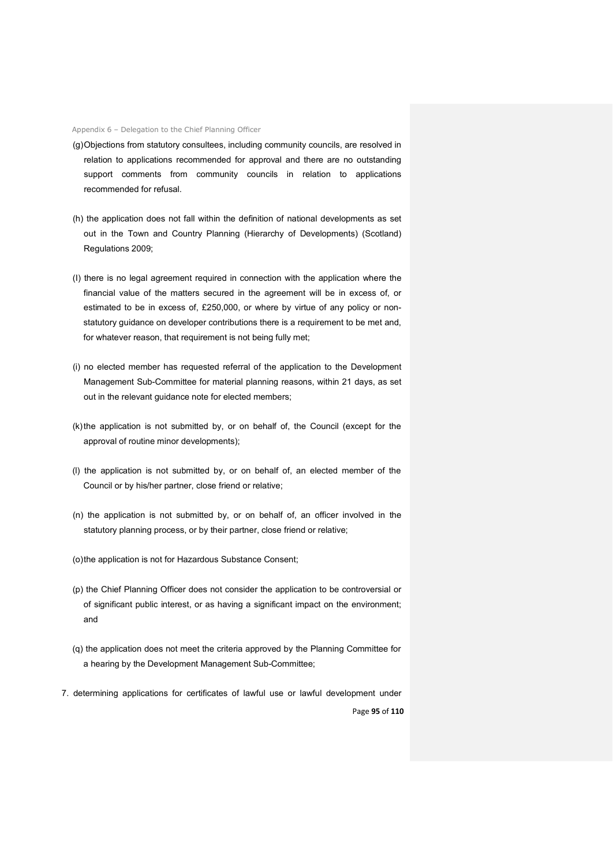- (g)Objections from statutory consultees, including community councils, are resolved in relation to applications recommended for approval and there are no outstanding support comments from community councils in relation to applications recommended for refusal.
- (h) the application does not fall within the definition of national developments as set out in the Town and Country Planning (Hierarchy of Developments) (Scotland) Regulations 2009;
- (I) there is no legal agreement required in connection with the application where the financial value of the matters secured in the agreement will be in excess of, or estimated to be in excess of, £250,000, or where by virtue of any policy or nonstatutory guidance on developer contributions there is a requirement to be met and, for whatever reason, that requirement is not being fully met;
- (i) no elected member has requested referral of the application to the Development Management Sub-Committee for material planning reasons, within 21 days, as set out in the relevant guidance note for elected members;
- (k)the application is not submitted by, or on behalf of, the Council (except for the approval of routine minor developments);
- (l) the application is not submitted by, or on behalf of, an elected member of the Council or by his/her partner, close friend or relative;
- (n) the application is not submitted by, or on behalf of, an officer involved in the statutory planning process, or by their partner, close friend or relative;
- (o)the application is not for Hazardous Substance Consent;
- (p) the Chief Planning Officer does not consider the application to be controversial or of significant public interest, or as having a significant impact on the environment; and
- (q) the application does not meet the criteria approved by the Planning Committee for a hearing by the Development Management Sub-Committee;
- Page **95** of **110** 7. determining applications for certificates of lawful use or lawful development under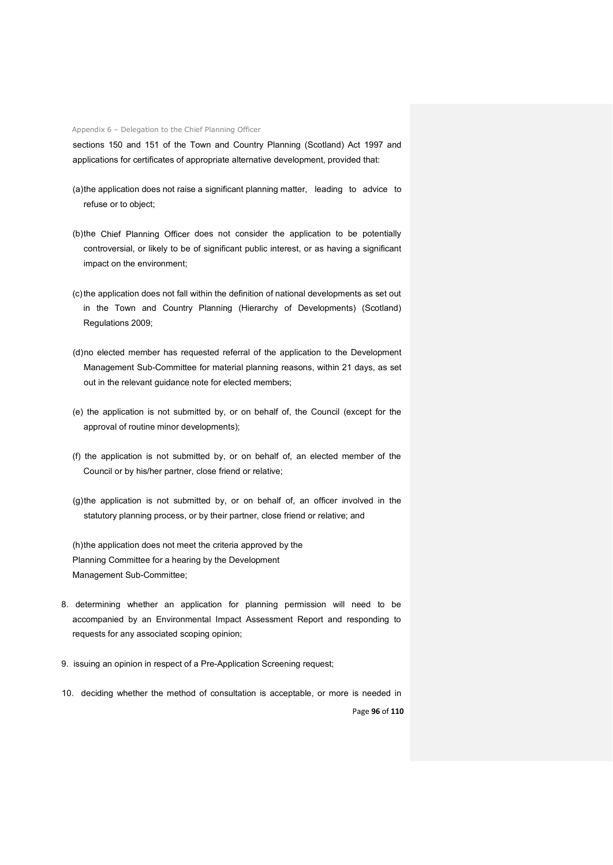sections 150 and 151 of the Town and Country Planning (Scotland) Act 1997 and applications for certificates of appropriate alternative development, provided that:

- (a)the application does not raise a significant planning matter, leading to advice to refuse or to object;
- (b)the Chief Planning Officer does not consider the application to be potentially controversial, or likely to be of significant public interest, or as having a significant impact on the environment;
- (c)the application does not fall within the definition of national developments as set out in the Town and Country Planning (Hierarchy of Developments) (Scotland) Regulations 2009;
- (d)no elected member has requested referral of the application to the Development Management Sub-Committee for material planning reasons, within 21 days, as set out in the relevant guidance note for elected members;
- (e) the application is not submitted by, or on behalf of, the Council (except for the approval of routine minor developments);
- (f) the application is not submitted by, or on behalf of, an elected member of the Council or by his/her partner, close friend or relative;
- (g)the application is not submitted by, or on behalf of, an officer involved in the statutory planning process, or by their partner, close friend or relative; and

(h)the application does not meet the criteria approved by the Planning Committee for a hearing by the Development Management Sub-Committee;

- 8. determining whether an application for planning permission will need to be accompanied by an Environmental Impact Assessment Report and responding to requests for any associated scoping opinion;
- 9. issuing an opinion in respect of a Pre-Application Screening request;
- 10. deciding whether the method of consultation is acceptable, or more is needed in

Page **96** of **110**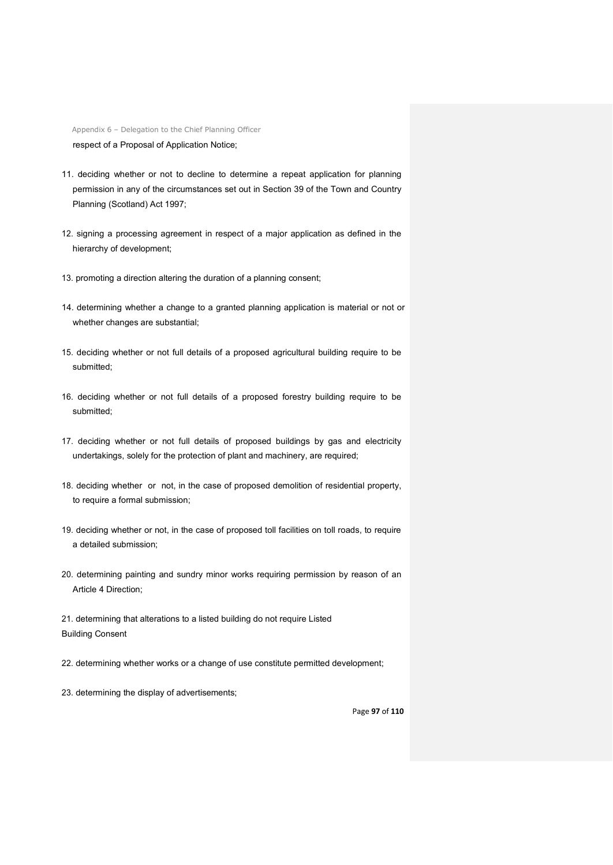Appendix 6 – Delegation to the Chief Planning Officer respect of a Proposal of Application Notice;

- 11. deciding whether or not to decline to determine a repeat application for planning permission in any of the circumstances set out in Section 39 of the Town and Country Planning (Scotland) Act 1997;
- 12. signing a processing agreement in respect of a major application as defined in the hierarchy of development;
- 13. promoting a direction altering the duration of a planning consent;
- 14. determining whether a change to a granted planning application is material or not or whether changes are substantial;
- 15. deciding whether or not full details of a proposed agricultural building require to be submitted;
- 16. deciding whether or not full details of a proposed forestry building require to be submitted;
- 17. deciding whether or not full details of proposed buildings by gas and electricity undertakings, solely for the protection of plant and machinery, are required;
- 18. deciding whether or not, in the case of proposed demolition of residential property, to require a formal submission;
- 19. deciding whether or not, in the case of proposed toll facilities on toll roads, to require a detailed submission;
- 20. determining painting and sundry minor works requiring permission by reason of an Article 4 Direction;

21. determining that alterations to a listed building do not require Listed Building Consent

- 22. determining whether works or a change of use constitute permitted development;
- 23. determining the display of advertisements;

#### Page **97** of **110**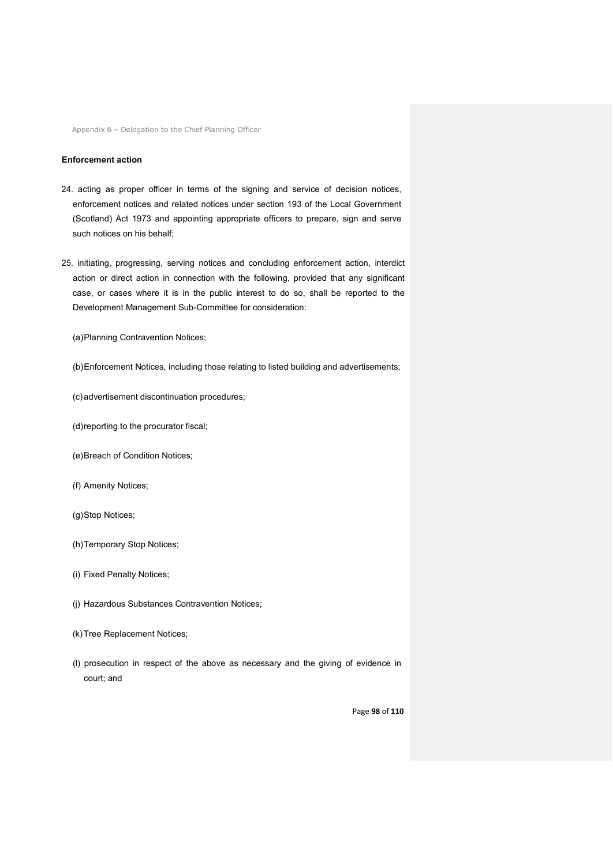#### **Enforcement action**

- 24. acting as proper officer in terms of the signing and service of decision notices, enforcement notices and related notices under section 193 of the Local Government (Scotland) Act 1973 and appointing appropriate officers to prepare, sign and serve such notices on his behalf;
- 25. initiating, progressing, serving notices and concluding enforcement action, interdict action or direct action in connection with the following, provided that any significant case, or cases where it is in the public interest to do so, shall be reported to the Development Management Sub-Committee for consideration:
	- (a)Planning Contravention Notices;
	- (b)Enforcement Notices, including those relating to listed building and advertisements;
	- (c)advertisement discontinuation procedures;
	- (d)reporting to the procurator fiscal;
	- (e)Breach of Condition Notices;
	- (f) Amenity Notices;
	- (g)Stop Notices;
	- (h)Temporary Stop Notices;
	- (i) Fixed Penalty Notices;
	- (j) Hazardous Substances Contravention Notices;
	- (k)Tree Replacement Notices;
	- (l) prosecution in respect of the above as necessary and the giving of evidence in court; and

Page **98** of **110**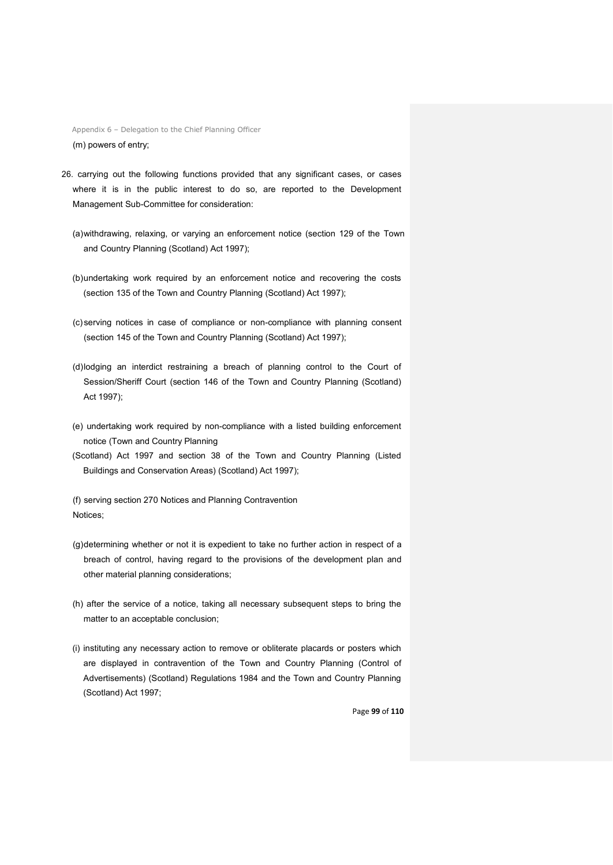Appendix 6 – Delegation to the Chief Planning Officer (m) powers of entry;

- 26. carrying out the following functions provided that any significant cases, or cases where it is in the public interest to do so, are reported to the Development Management Sub-Committee for consideration:
	- (a)withdrawing, relaxing, or varying an enforcement notice (section 129 of the Town and Country Planning (Scotland) Act 1997);
	- (b)undertaking work required by an enforcement notice and recovering the costs (section 135 of the Town and Country Planning (Scotland) Act 1997);
	- (c)serving notices in case of compliance or non-compliance with planning consent (section 145 of the Town and Country Planning (Scotland) Act 1997);
	- (d)lodging an interdict restraining a breach of planning control to the Court of Session/Sheriff Court (section 146 of the Town and Country Planning (Scotland) Act 1997);
	- (e) undertaking work required by non-compliance with a listed building enforcement notice (Town and Country Planning
	- (Scotland) Act 1997 and section 38 of the Town and Country Planning (Listed Buildings and Conservation Areas) (Scotland) Act 1997);

(f) serving section 270 Notices and Planning Contravention Notices;

- (g)determining whether or not it is expedient to take no further action in respect of a breach of control, having regard to the provisions of the development plan and other material planning considerations;
- (h) after the service of a notice, taking all necessary subsequent steps to bring the matter to an acceptable conclusion;
- (i) instituting any necessary action to remove or obliterate placards or posters which are displayed in contravention of the Town and Country Planning (Control of Advertisements) (Scotland) Regulations 1984 and the Town and Country Planning (Scotland) Act 1997;

Page **99** of **110**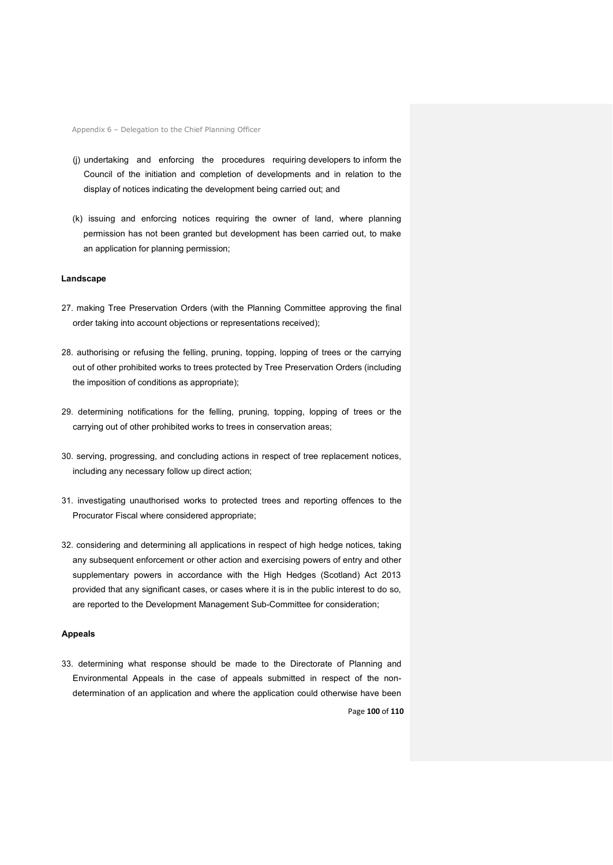- (j) undertaking and enforcing the procedures requiring developers to inform the Council of the initiation and completion of developments and in relation to the display of notices indicating the development being carried out; and
- (k) issuing and enforcing notices requiring the owner of land, where planning permission has not been granted but development has been carried out, to make an application for planning permission;

#### **Landscape**

- 27. making Tree Preservation Orders (with the Planning Committee approving the final order taking into account objections or representations received);
- 28. authorising or refusing the felling, pruning, topping, lopping of trees or the carrying out of other prohibited works to trees protected by Tree Preservation Orders (including the imposition of conditions as appropriate);
- 29. determining notifications for the felling, pruning, topping, lopping of trees or the carrying out of other prohibited works to trees in conservation areas;
- 30. serving, progressing, and concluding actions in respect of tree replacement notices, including any necessary follow up direct action;
- 31. investigating unauthorised works to protected trees and reporting offences to the Procurator Fiscal where considered appropriate;
- 32. considering and determining all applications in respect of high hedge notices, taking any subsequent enforcement or other action and exercising powers of entry and other supplementary powers in accordance with the High Hedges (Scotland) Act 2013 provided that any significant cases, or cases where it is in the public interest to do so, are reported to the Development Management Sub-Committee for consideration;

#### **Appeals**

Page **100** of **110** 33. determining what response should be made to the Directorate of Planning and Environmental Appeals in the case of appeals submitted in respect of the nondetermination of an application and where the application could otherwise have been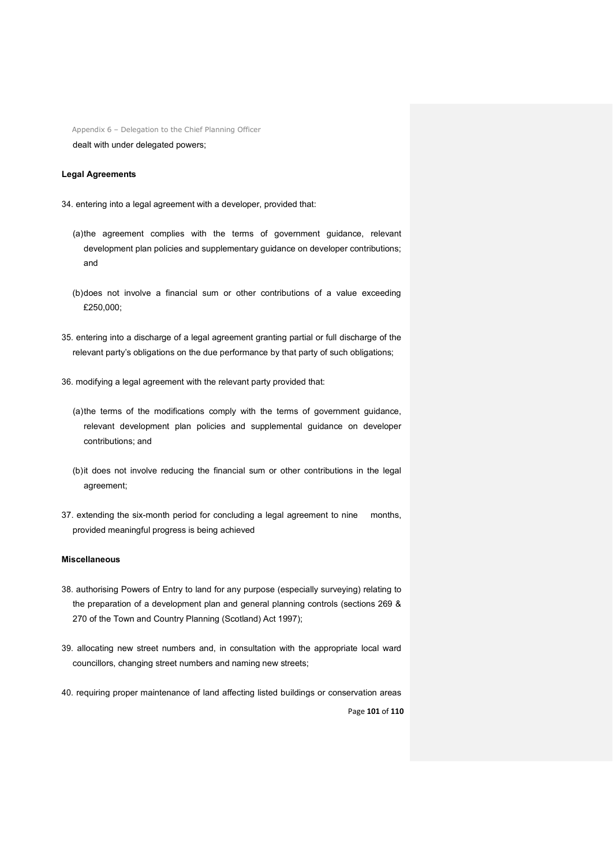## dealt with under delegated powers;

## **Legal Agreements**

- 34. entering into a legal agreement with a developer, provided that:
	- (a)the agreement complies with the terms of government guidance, relevant development plan policies and supplementary guidance on developer contributions; and
	- (b)does not involve a financial sum or other contributions of a value exceeding £250,000;
- 35. entering into a discharge of a legal agreement granting partial or full discharge of the relevant party's obligations on the due performance by that party of such obligations;
- 36. modifying a legal agreement with the relevant party provided that:
	- (a)the terms of the modifications comply with the terms of government guidance, relevant development plan policies and supplemental guidance on developer contributions; and
	- (b)it does not involve reducing the financial sum or other contributions in the legal agreement;
- 37. extending the six-month period for concluding a legal agreement to nine months, provided meaningful progress is being achieved

#### **Miscellaneous**

- 38. authorising Powers of Entry to land for any purpose (especially surveying) relating to the preparation of a development plan and general planning controls (sections 269 & 270 of the Town and Country Planning (Scotland) Act 1997);
- 39. allocating new street numbers and, in consultation with the appropriate local ward councillors, changing street numbers and naming new streets;
- Page **101** of **110** 40. requiring proper maintenance of land affecting listed buildings or conservation areas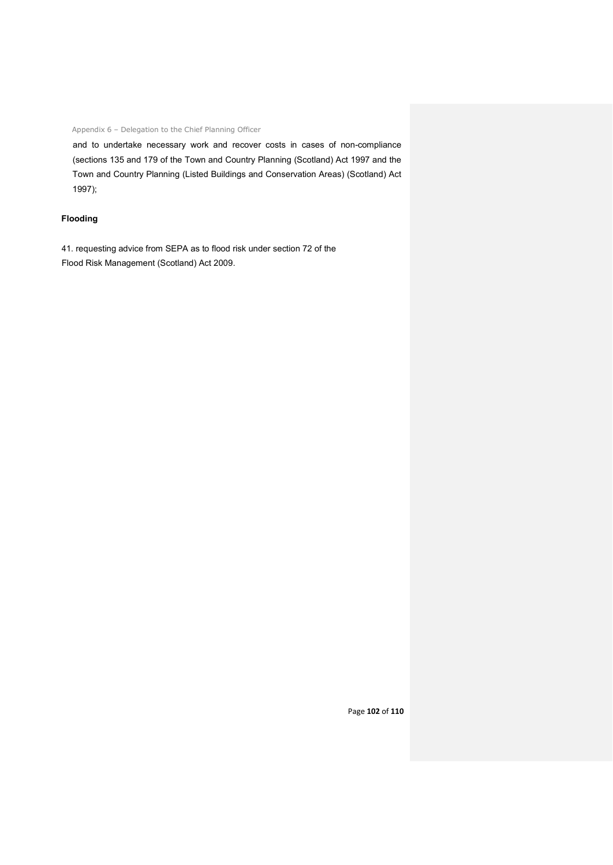and to undertake necessary work and recover costs in cases of non-compliance (sections 135 and 179 of the Town and Country Planning (Scotland) Act 1997 and the Town and Country Planning (Listed Buildings and Conservation Areas) (Scotland) Act 1997);

## **Flooding**

41. requesting advice from SEPA as to flood risk under section 72 of the Flood Risk Management (Scotland) Act 2009.

Page **102** of **110**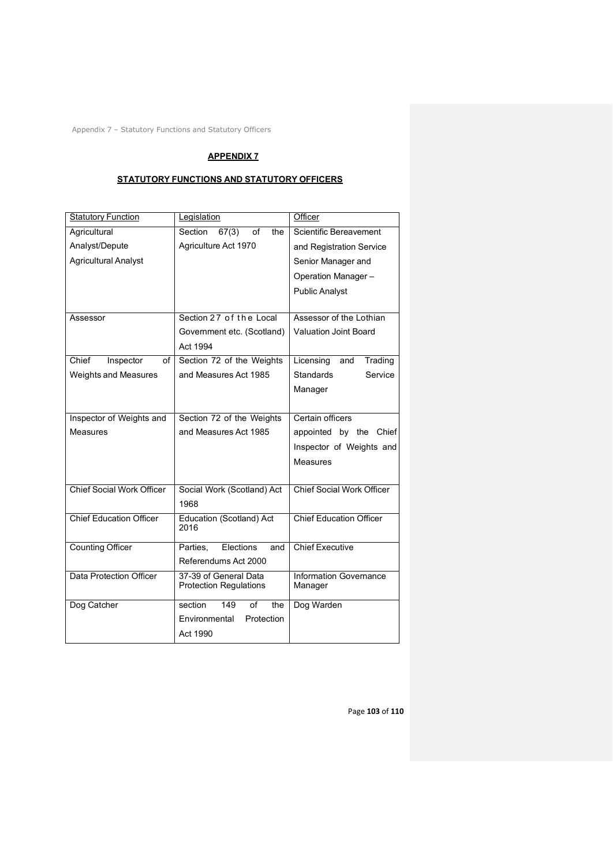Appendix 7 – Statutory Functions and Statutory Officers

# **APPENDIX 7**

# **STATUTORY FUNCTIONS AND STATUTORY OFFICERS**

| <b>Statutory Function</b>        | Legislation                   | Officer                          |
|----------------------------------|-------------------------------|----------------------------------|
| Agricultural                     | Section<br>67(3)<br>of<br>the | Scientific Bereavement           |
| Analyst/Depute                   | Agriculture Act 1970          | and Registration Service         |
| <b>Agricultural Analyst</b>      |                               | Senior Manager and               |
|                                  |                               | Operation Manager-               |
|                                  |                               | <b>Public Analyst</b>            |
|                                  |                               |                                  |
| Assessor                         | Section 27 of the Local       | Assessor of the Lothian          |
|                                  | Government etc. (Scotland)    | <b>Valuation Joint Board</b>     |
|                                  | Act 1994                      |                                  |
| Chief<br>Inspector<br>of         | Section 72 of the Weights     | Licensing<br>Trading<br>and      |
| <b>Weights and Measures</b>      | and Measures Act 1985         | <b>Standards</b><br>Service      |
|                                  |                               | Manager                          |
|                                  |                               |                                  |
| Inspector of Weights and         | Section 72 of the Weights     | Certain officers                 |
| Measures                         | and Measures Act 1985         | appointed by the Chief           |
|                                  |                               | Inspector of Weights and         |
|                                  |                               | Measures                         |
|                                  |                               |                                  |
| <b>Chief Social Work Officer</b> | Social Work (Scotland) Act    | <b>Chief Social Work Officer</b> |
|                                  | 1968                          |                                  |
| <b>Chief Education Officer</b>   | Education (Scotland) Act      | <b>Chief Education Officer</b>   |
|                                  | 2016                          |                                  |
| <b>Counting Officer</b>          | Elections<br>Parties.<br>and  | <b>Chief Executive</b>           |
|                                  | Referendums Act 2000          |                                  |
| Data Protection Officer          | 37-39 of General Data         | <b>Information Governance</b>    |
|                                  | <b>Protection Regulations</b> | Manager                          |
| Dog Catcher                      | section<br>149<br>of<br>the   | Dog Warden                       |
|                                  | Protection<br>Environmental   |                                  |
|                                  | Act 1990                      |                                  |

Page **103** of **110**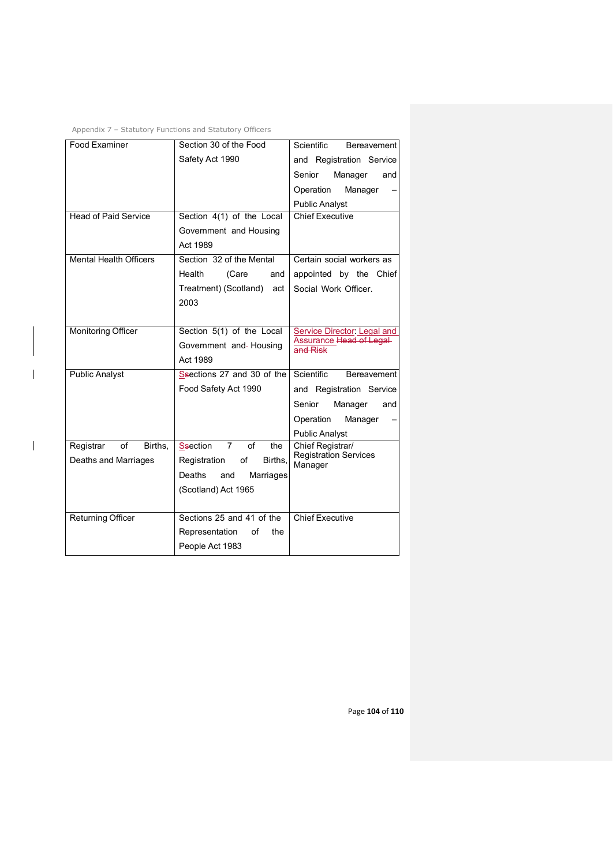| Appendix 7 – Statutory Functions and Statutory Officers |  |  |  |  |  |
|---------------------------------------------------------|--|--|--|--|--|
|---------------------------------------------------------|--|--|--|--|--|

 $\overline{1}$ 

| <b>Food Examiner</b>          | Section 30 of the Food                         | <b>Scientific</b><br><b>Bereavement</b>    |  |
|-------------------------------|------------------------------------------------|--------------------------------------------|--|
|                               | Safety Act 1990                                | and Registration Service                   |  |
|                               |                                                | Senior<br>Manager<br>and                   |  |
|                               |                                                | Operation<br>Manager                       |  |
|                               |                                                | <b>Public Analyst</b>                      |  |
| <b>Head of Paid Service</b>   | Section 4(1) of the Local                      | <b>Chief Executive</b>                     |  |
|                               | Government and Housing                         |                                            |  |
|                               | Act 1989                                       |                                            |  |
| <b>Mental Health Officers</b> | Section 32 of the Mental                       | Certain social workers as                  |  |
|                               | Health<br>(Care<br>and                         | appointed by the Chief                     |  |
|                               | Treatment) (Scotland)<br>act                   | Social Work Officer.                       |  |
|                               | 2003                                           |                                            |  |
|                               |                                                |                                            |  |
| <b>Monitoring Officer</b>     | Section 5(1) of the Local                      | <b>Service Director: Legal and</b>         |  |
|                               | Government and-Housing                         | <b>Assurance Head of Legal</b><br>and Risk |  |
|                               | Act 1989                                       |                                            |  |
| <b>Public Analyst</b>         | Ssections 27 and 30 of the                     | Scientific<br>Bereavement                  |  |
|                               | Food Safety Act 1990                           | and Registration Service                   |  |
|                               |                                                | Senior<br>Manager<br>and                   |  |
|                               |                                                | Operation<br>Manager                       |  |
|                               |                                                | <b>Public Analyst</b>                      |  |
| Registrar<br>of<br>Births.    | <b>Ssection</b><br>$\overline{7}$<br>of<br>the | Chief Registrar/                           |  |
| Deaths and Marriages          | of<br>Births.<br>Registration                  | Registration Services<br>Manager           |  |
|                               | Deaths<br>Marriages<br>and                     |                                            |  |
|                               | (Scotland) Act 1965                            |                                            |  |
|                               |                                                |                                            |  |
| <b>Returning Officer</b>      | Sections 25 and 41 of the                      | <b>Chief Executive</b>                     |  |
|                               | Representation<br>of<br>the                    |                                            |  |
|                               | People Act 1983                                |                                            |  |

Page **104** of **110**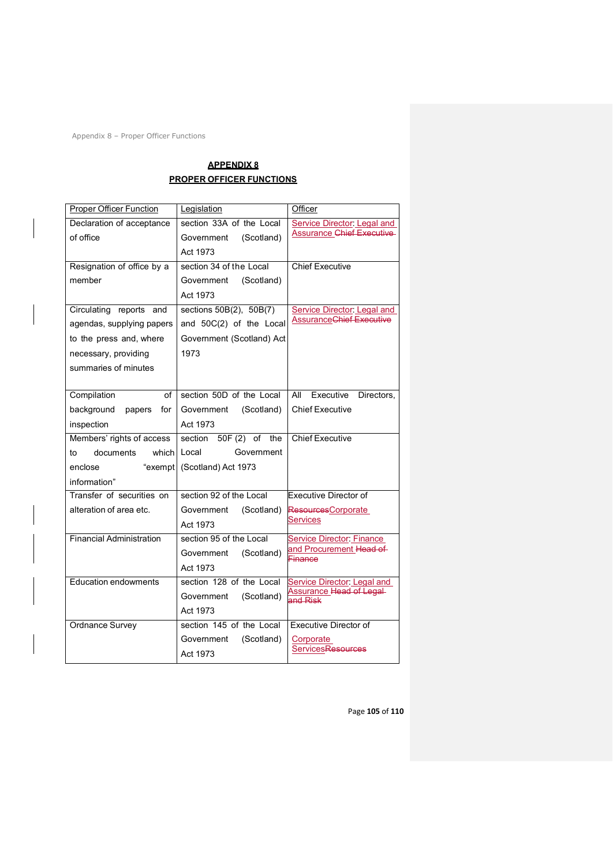Appendix 8 – Proper Officer Functions

## **APPENDIX 8 PROPER OFFICER FUNCTIONS**

| <b>Proper Officer Function</b>  | Legislation                 | Officer                              |
|---------------------------------|-----------------------------|--------------------------------------|
| Declaration of acceptance       | section 33A of the Local    | Service Director: Legal and          |
| of office                       | (Scotland)<br>Government    | <b>Assurance Chief Executive</b>     |
|                                 | Act 1973                    |                                      |
| Resignation of office by a      | section 34 of the Local     | <b>Chief Executive</b>               |
| member                          | Government<br>(Scotland)    |                                      |
|                                 | Act 1973                    |                                      |
| Circulating reports and         | sections 50B(2), 50B(7)     | <b>Service Director: Legal and</b>   |
| agendas, supplying papers       | and 50C(2) of the Local     | <b>AssuranceChief Executive</b>      |
| to the press and, where         | Government (Scotland) Act   |                                      |
| necessary, providing            | 1973                        |                                      |
| summaries of minutes            |                             |                                      |
|                                 |                             |                                      |
| Compilation<br>of               | section 50D of the Local    | All<br>Executive<br>Directors,       |
| background<br>papers<br>for     | (Scotland)<br>Government    | <b>Chief Executive</b>               |
| inspection                      | Act 1973                    |                                      |
| Members' rights of access       | 50F (2) of the<br>section   | <b>Chief Executive</b>               |
| documents<br>which<br>to        | Local<br>Government         |                                      |
| enclose                         | "exempt (Scotland) Act 1973 |                                      |
| information"                    |                             |                                      |
| Transfer of securities on       | section 92 of the Local     | <b>Executive Director of</b>         |
| alteration of area etc.         | (Scotland)<br>Government    | ResourcesCorporate                   |
|                                 | Act 1973                    | <b>Services</b>                      |
| <b>Financial Administration</b> | section 95 of the Local     | <b>Service Director: Finance</b>     |
|                                 | Government<br>(Scotland)    | and Procurement Head of<br>Finance   |
|                                 | Act 1973                    |                                      |
| <b>Education endowments</b>     | section 128 of the Local    | Service Director: Legal and          |
|                                 | (Scotland)<br>Government    | Assurance Head of Legal-<br>and Risk |
|                                 | Act 1973                    |                                      |
| Ordnance Survey                 | section 145 of the Local    | Executive Director of                |
|                                 | (Scotland)<br>Government    | Corporate                            |
|                                 | Act 1973                    | <b>Services<del>Resources</del></b>  |

Page **105** of **110**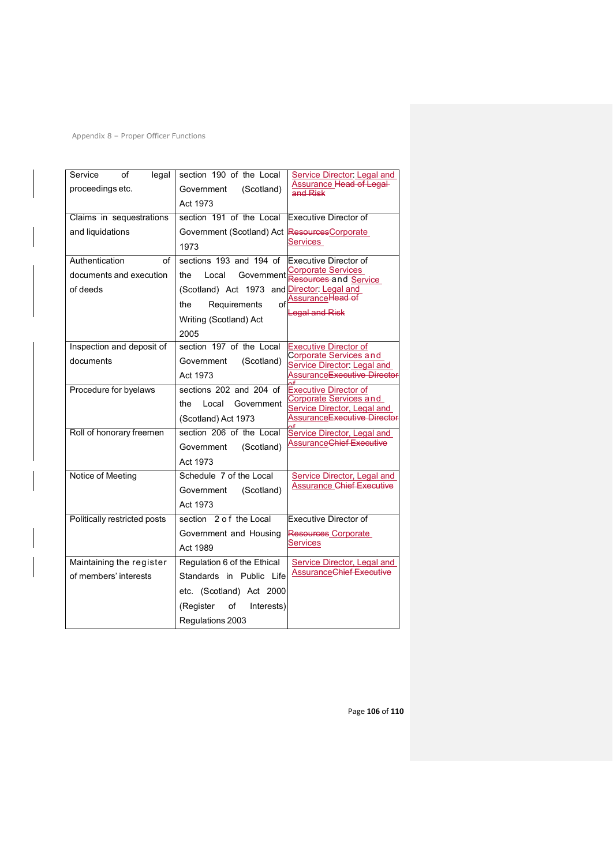Appendix 8 – Proper Officer Functions

| Service<br>of<br>legal       | section 190 of the Local                      | <b>Service Director: Legal and</b>                           |
|------------------------------|-----------------------------------------------|--------------------------------------------------------------|
| proceedings etc.             | (Scotland)<br>Government                      | Assurance Head of Legal-<br>and Risk                         |
|                              | Act 1973                                      |                                                              |
| Claims in sequestrations     | section 191 of the Local                      | Executive Director of                                        |
| and liquidations             | Government (Scotland) Act Resources Corporate |                                                              |
|                              | 1973                                          | Services                                                     |
| Authentication<br>οf         | sections 193 and 194 of                       | Executive Director of                                        |
| documents and execution      | Local<br>Government<br>the                    | <b>Corporate Services</b><br>Resources and Service           |
| of deeds                     | (Scotland) Act 1973 and Director: Legal and   |                                                              |
|                              | of<br>the<br>Requirements                     | AssuranceHead of                                             |
|                              | Writing (Scotland) Act                        | <b>Legal and Risk</b>                                        |
|                              | 2005                                          |                                                              |
| Inspection and deposit of    | section 197 of the Local                      | <b>Executive Director of</b>                                 |
| documents                    | (Scotland)<br>Government                      | Corporate Services and<br><b>Service Director: Legal and</b> |
|                              | Act 1973                                      | Assurance <del>Executive Director</del>                      |
| Procedure for byelaws        | sections 202 and 204 of                       | <b>Executive Director of</b>                                 |
|                              | Government<br>the<br>Local                    | <b>Corporate Services and</b><br>Service Director, Legal and |
|                              | (Scotland) Act 1973                           | AssuranceExecutive Director                                  |
| Roll of honorary freemen     | section 206 of the Local                      | <b>Service Director, Legal and</b>                           |
|                              | (Scotland)<br>Government                      | <b>AssuranceChief Executive</b>                              |
|                              | Act 1973                                      |                                                              |
| Notice of Meeting            | Schedule 7 of the Local                       | <b>Service Director, Legal and</b>                           |
|                              | (Scotland)<br>Government                      | <b>Assurance Chief Executive</b>                             |
|                              | Act 1973                                      |                                                              |
| Politically restricted posts | section 2 of the Local                        | Executive Director of                                        |
|                              | Government and Housing                        | Resources Corporate                                          |
|                              | Act 1989                                      | Services                                                     |
| Maintaining the register     | Regulation 6 of the Ethical                   | <b>Service Director, Legal and</b>                           |
| of members' interests        | Standards in Public Life                      | <b>AssuranceChief Executive</b>                              |
|                              | etc. (Scotland) Act 2000                      |                                                              |
|                              | Interests)<br>(Register<br>of                 |                                                              |
|                              | Regulations 2003                              |                                                              |

Page **106** of **110**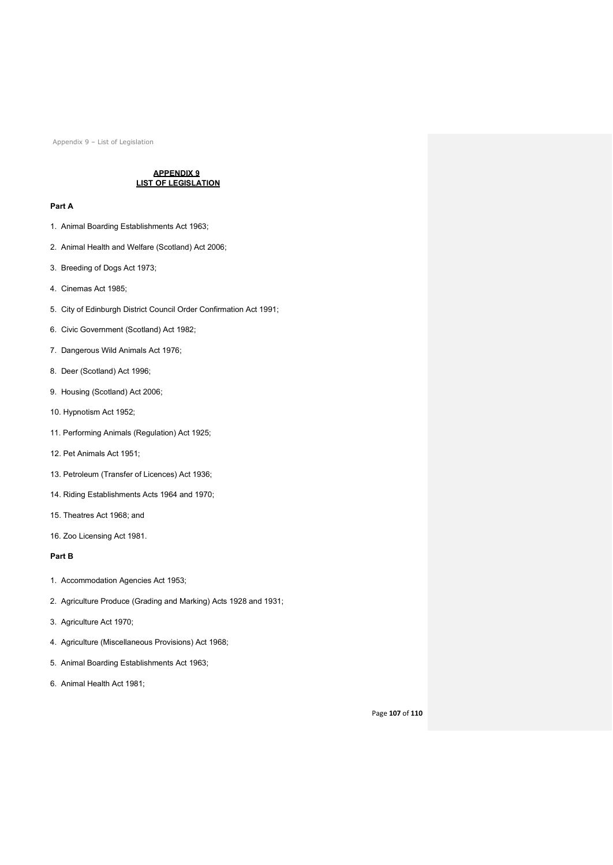## **APPENDIX 9 LIST OF LEGISLATION**

## **Part A**

- 1. Animal Boarding Establishments Act 1963;
- 2. Animal Health and Welfare (Scotland) Act 2006;
- 3. Breeding of Dogs Act 1973;
- 4. Cinemas Act 1985;
- 5. City of Edinburgh District Council Order Confirmation Act 1991;
- 6. Civic Government (Scotland) Act 1982;
- 7. Dangerous Wild Animals Act 1976;
- 8. Deer (Scotland) Act 1996;
- 9. Housing (Scotland) Act 2006;
- 10. Hypnotism Act 1952;
- 11. Performing Animals (Regulation) Act 1925;
- 12. Pet Animals Act 1951;
- 13. Petroleum (Transfer of Licences) Act 1936;
- 14. Riding Establishments Acts 1964 and 1970;
- 15. Theatres Act 1968; and
- 16. Zoo Licensing Act 1981.

## **Part B**

- 1. Accommodation Agencies Act 1953;
- 2. Agriculture Produce (Grading and Marking) Acts 1928 and 1931;
- 3. Agriculture Act 1970;
- 4. Agriculture (Miscellaneous Provisions) Act 1968;
- 5. Animal Boarding Establishments Act 1963;
- 6. Animal Health Act 1981;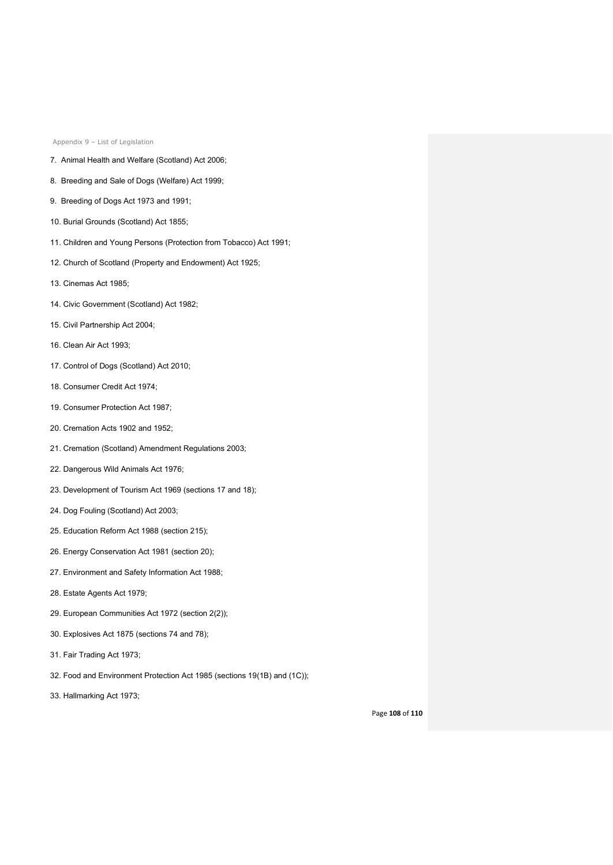- 7. Animal Health and Welfare (Scotland) Act 2006;
- 8. Breeding and Sale of Dogs (Welfare) Act 1999;
- 9. Breeding of Dogs Act 1973 and 1991;
- 10. Burial Grounds (Scotland) Act 1855;
- 11. Children and Young Persons (Protection from Tobacco) Act 1991;
- 12. Church of Scotland (Property and Endowment) Act 1925;
- 13. Cinemas Act 1985;
- 14. Civic Government (Scotland) Act 1982;
- 15. Civil Partnership Act 2004;
- 16. Clean Air Act 1993;
- 17. Control of Dogs (Scotland) Act 2010;
- 18. Consumer Credit Act 1974;
- 19. Consumer Protection Act 1987;
- 20. Cremation Acts 1902 and 1952;
- 21. Cremation (Scotland) Amendment Regulations 2003;
- 22. Dangerous Wild Animals Act 1976;
- 23. Development of Tourism Act 1969 (sections 17 and 18);
- 24. Dog Fouling (Scotland) Act 2003;
- 25. Education Reform Act 1988 (section 215);
- 26. Energy Conservation Act 1981 (section 20);
- 27. Environment and Safety Information Act 1988;
- 28. Estate Agents Act 1979;
- 29. European Communities Act 1972 (section 2(2));
- 30. Explosives Act 1875 (sections 74 and 78);
- 31. Fair Trading Act 1973;
- 32. Food and Environment Protection Act 1985 (sections 19(1B) and (1C));
- 33. Hallmarking Act 1973;

Page **108** of **110**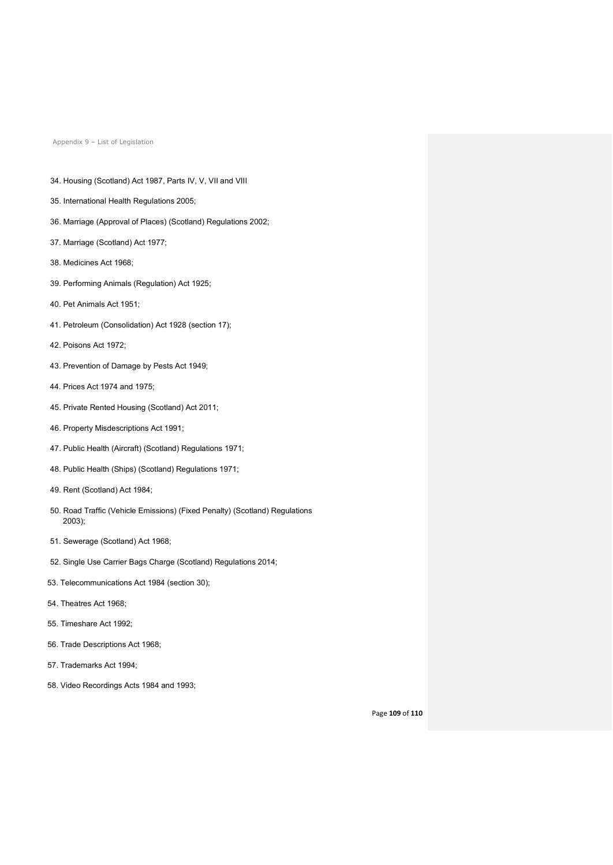- 34. Housing (Scotland) Act 1987, Parts IV, V, VII and VIII
- 35. International Health Regulations 2005;
- 36. Marriage (Approval of Places) (Scotland) Regulations 2002;
- 37. Marriage (Scotland) Act 1977;
- 38. Medicines Act 1968;
- 39. Performing Animals (Regulation) Act 1925;
- 40. Pet Animals Act 1951;
- 41. Petroleum (Consolidation) Act 1928 (section 17);
- 42. Poisons Act 1972;
- 43. Prevention of Damage by Pests Act 1949;
- 44. Prices Act 1974 and 1975;
- 45. Private Rented Housing (Scotland) Act 2011;
- 46. Property Misdescriptions Act 1991;
- 47. Public Health (Aircraft) (Scotland) Regulations 1971;
- 48. Public Health (Ships) (Scotland) Regulations 1971;
- 49. Rent (Scotland) Act 1984;
- 50. Road Traffic (Vehicle Emissions) (Fixed Penalty) (Scotland) Regulations 2003);
- 51. Sewerage (Scotland) Act 1968;
- 52. Single Use Carrier Bags Charge (Scotland) Regulations 2014;
- 53. Telecommunications Act 1984 (section 30);
- 54. Theatres Act 1968;
- 55. Timeshare Act 1992;
- 56. Trade Descriptions Act 1968;
- 57. Trademarks Act 1994;
- 58. Video Recordings Acts 1984 and 1993;